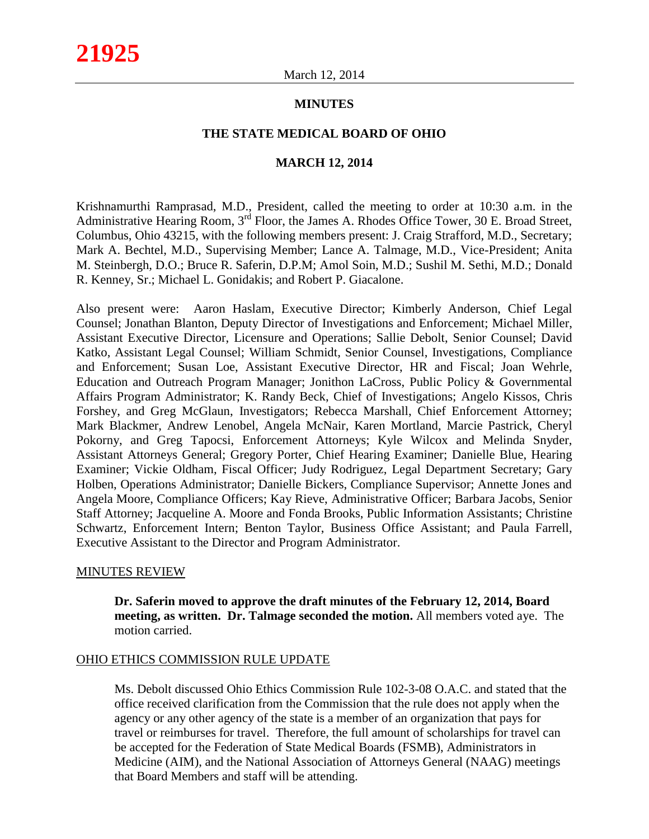## **MINUTES**

#### **THE STATE MEDICAL BOARD OF OHIO**

### **MARCH 12, 2014**

Krishnamurthi Ramprasad, M.D., President, called the meeting to order at 10:30 a.m. in the Administrative Hearing Room, 3<sup>rd</sup> Floor, the James A. Rhodes Office Tower, 30 E. Broad Street, Columbus, Ohio 43215, with the following members present: J. Craig Strafford, M.D., Secretary; Mark A. Bechtel, M.D., Supervising Member; Lance A. Talmage, M.D., Vice-President; Anita M. Steinbergh, D.O.; Bruce R. Saferin, D.P.M; Amol Soin, M.D.; Sushil M. Sethi, M.D.; Donald R. Kenney, Sr.; Michael L. Gonidakis; and Robert P. Giacalone.

Also present were: Aaron Haslam, Executive Director; Kimberly Anderson, Chief Legal Counsel; Jonathan Blanton, Deputy Director of Investigations and Enforcement; Michael Miller, Assistant Executive Director, Licensure and Operations; Sallie Debolt, Senior Counsel; David Katko, Assistant Legal Counsel; William Schmidt, Senior Counsel, Investigations, Compliance and Enforcement; Susan Loe, Assistant Executive Director, HR and Fiscal; Joan Wehrle, Education and Outreach Program Manager; Jonithon LaCross, Public Policy & Governmental Affairs Program Administrator; K. Randy Beck, Chief of Investigations; Angelo Kissos, Chris Forshey, and Greg McGlaun, Investigators; Rebecca Marshall, Chief Enforcement Attorney; Mark Blackmer, Andrew Lenobel, Angela McNair, Karen Mortland, Marcie Pastrick, Cheryl Pokorny, and Greg Tapocsi, Enforcement Attorneys; Kyle Wilcox and Melinda Snyder, Assistant Attorneys General; Gregory Porter, Chief Hearing Examiner; Danielle Blue, Hearing Examiner; Vickie Oldham, Fiscal Officer; Judy Rodriguez, Legal Department Secretary; Gary Holben, Operations Administrator; Danielle Bickers, Compliance Supervisor; Annette Jones and Angela Moore, Compliance Officers; Kay Rieve, Administrative Officer; Barbara Jacobs, Senior Staff Attorney; Jacqueline A. Moore and Fonda Brooks, Public Information Assistants; Christine Schwartz, Enforcement Intern; Benton Taylor, Business Office Assistant; and Paula Farrell, Executive Assistant to the Director and Program Administrator.

#### MINUTES REVIEW

**Dr. Saferin moved to approve the draft minutes of the February 12, 2014, Board meeting, as written. Dr. Talmage seconded the motion.** All members voted aye. The motion carried.

#### OHIO ETHICS COMMISSION RULE UPDATE

Ms. Debolt discussed Ohio Ethics Commission Rule 102-3-08 O.A.C. and stated that the office received clarification from the Commission that the rule does not apply when the agency or any other agency of the state is a member of an organization that pays for travel or reimburses for travel. Therefore, the full amount of scholarships for travel can be accepted for the Federation of State Medical Boards (FSMB), Administrators in Medicine (AIM), and the National Association of Attorneys General (NAAG) meetings that Board Members and staff will be attending.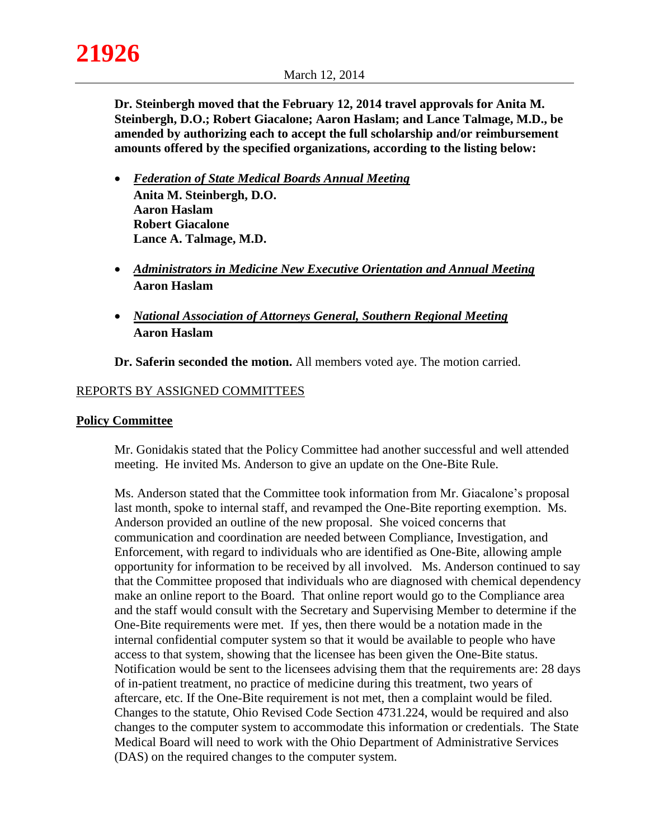**Dr. Steinbergh moved that the February 12, 2014 travel approvals for Anita M. Steinbergh, D.O.; Robert Giacalone; Aaron Haslam; and Lance Talmage, M.D., be amended by authorizing each to accept the full scholarship and/or reimbursement amounts offered by the specified organizations, according to the listing below:** 

- *Federation of State Medical Boards Annual Meeting* **Anita M. Steinbergh, D.O. Aaron Haslam Robert Giacalone Lance A. Talmage, M.D.**
- *Administrators in Medicine New Executive Orientation and Annual Meeting* **Aaron Haslam**
- *National Association of Attorneys General, Southern Regional Meeting* **Aaron Haslam**

**Dr. Saferin seconded the motion.** All members voted aye. The motion carried.

# REPORTS BY ASSIGNED COMMITTEES

#### **Policy Committee**

Mr. Gonidakis stated that the Policy Committee had another successful and well attended meeting. He invited Ms. Anderson to give an update on the One-Bite Rule.

Ms. Anderson stated that the Committee took information from Mr. Giacalone's proposal last month, spoke to internal staff, and revamped the One-Bite reporting exemption. Ms. Anderson provided an outline of the new proposal. She voiced concerns that communication and coordination are needed between Compliance, Investigation, and Enforcement, with regard to individuals who are identified as One-Bite, allowing ample opportunity for information to be received by all involved. Ms. Anderson continued to say that the Committee proposed that individuals who are diagnosed with chemical dependency make an online report to the Board. That online report would go to the Compliance area and the staff would consult with the Secretary and Supervising Member to determine if the One-Bite requirements were met. If yes, then there would be a notation made in the internal confidential computer system so that it would be available to people who have access to that system, showing that the licensee has been given the One-Bite status. Notification would be sent to the licensees advising them that the requirements are: 28 days of in-patient treatment, no practice of medicine during this treatment, two years of aftercare, etc. If the One-Bite requirement is not met, then a complaint would be filed. Changes to the statute, Ohio Revised Code Section 4731.224, would be required and also changes to the computer system to accommodate this information or credentials. The State Medical Board will need to work with the Ohio Department of Administrative Services (DAS) on the required changes to the computer system.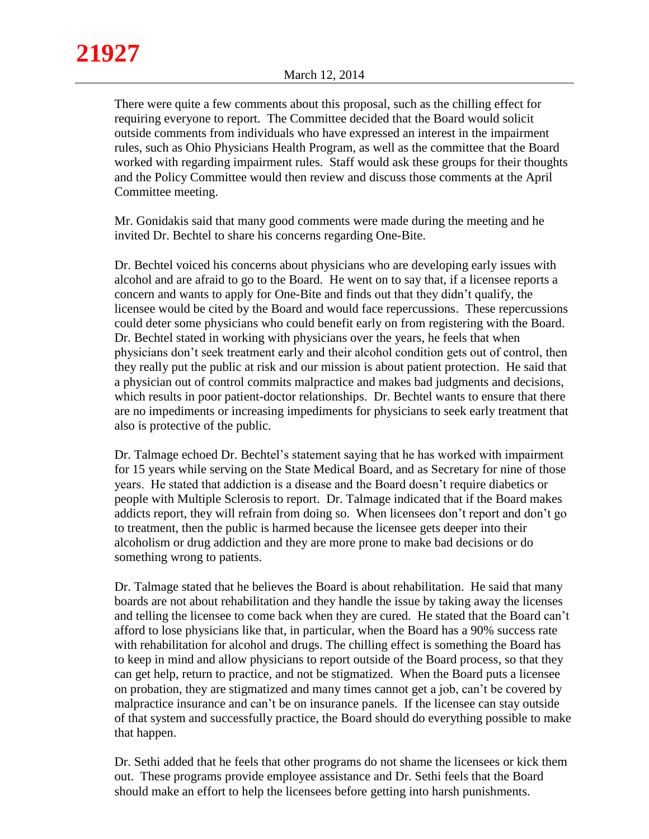There were quite a few comments about this proposal, such as the chilling effect for requiring everyone to report. The Committee decided that the Board would solicit outside comments from individuals who have expressed an interest in the impairment rules, such as Ohio Physicians Health Program, as well as the committee that the Board worked with regarding impairment rules. Staff would ask these groups for their thoughts and the Policy Committee would then review and discuss those comments at the April Committee meeting.

Mr. Gonidakis said that many good comments were made during the meeting and he invited Dr. Bechtel to share his concerns regarding One-Bite.

Dr. Bechtel voiced his concerns about physicians who are developing early issues with alcohol and are afraid to go to the Board. He went on to say that, if a licensee reports a concern and wants to apply for One-Bite and finds out that they didn't qualify, the licensee would be cited by the Board and would face repercussions. These repercussions could deter some physicians who could benefit early on from registering with the Board. Dr. Bechtel stated in working with physicians over the years, he feels that when physicians don't seek treatment early and their alcohol condition gets out of control, then they really put the public at risk and our mission is about patient protection. He said that a physician out of control commits malpractice and makes bad judgments and decisions, which results in poor patient-doctor relationships. Dr. Bechtel wants to ensure that there are no impediments or increasing impediments for physicians to seek early treatment that also is protective of the public.

Dr. Talmage echoed Dr. Bechtel's statement saying that he has worked with impairment for 15 years while serving on the State Medical Board, and as Secretary for nine of those years. He stated that addiction is a disease and the Board doesn't require diabetics or people with Multiple Sclerosis to report. Dr. Talmage indicated that if the Board makes addicts report, they will refrain from doing so. When licensees don't report and don't go to treatment, then the public is harmed because the licensee gets deeper into their alcoholism or drug addiction and they are more prone to make bad decisions or do something wrong to patients.

Dr. Talmage stated that he believes the Board is about rehabilitation. He said that many boards are not about rehabilitation and they handle the issue by taking away the licenses and telling the licensee to come back when they are cured. He stated that the Board can't afford to lose physicians like that, in particular, when the Board has a 90% success rate with rehabilitation for alcohol and drugs. The chilling effect is something the Board has to keep in mind and allow physicians to report outside of the Board process, so that they can get help, return to practice, and not be stigmatized. When the Board puts a licensee on probation, they are stigmatized and many times cannot get a job, can't be covered by malpractice insurance and can't be on insurance panels. If the licensee can stay outside of that system and successfully practice, the Board should do everything possible to make that happen.

Dr. Sethi added that he feels that other programs do not shame the licensees or kick them out. These programs provide employee assistance and Dr. Sethi feels that the Board should make an effort to help the licensees before getting into harsh punishments.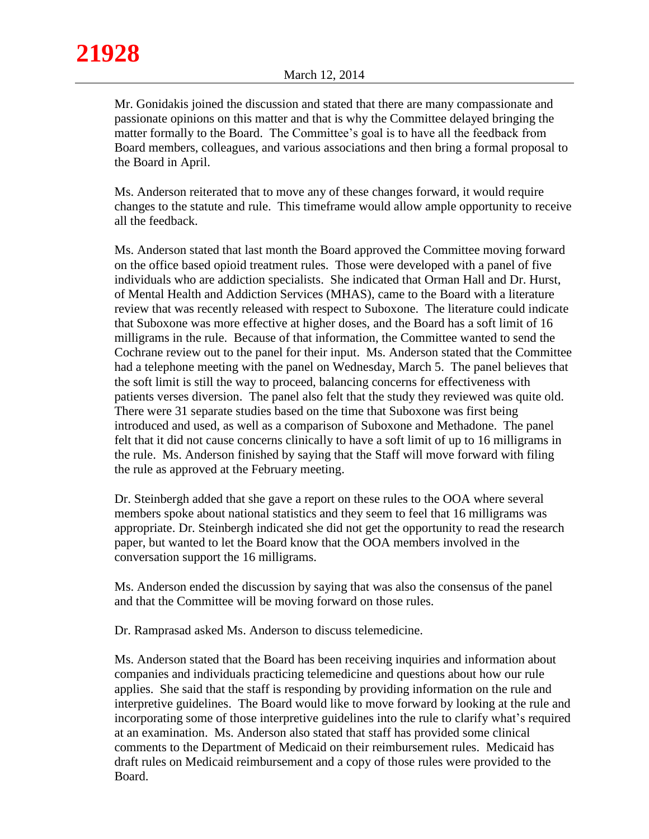Mr. Gonidakis joined the discussion and stated that there are many compassionate and passionate opinions on this matter and that is why the Committee delayed bringing the matter formally to the Board. The Committee's goal is to have all the feedback from Board members, colleagues, and various associations and then bring a formal proposal to the Board in April.

Ms. Anderson reiterated that to move any of these changes forward, it would require changes to the statute and rule. This timeframe would allow ample opportunity to receive all the feedback.

Ms. Anderson stated that last month the Board approved the Committee moving forward on the office based opioid treatment rules. Those were developed with a panel of five individuals who are addiction specialists. She indicated that Orman Hall and Dr. Hurst, of Mental Health and Addiction Services (MHAS), came to the Board with a literature review that was recently released with respect to Suboxone. The literature could indicate that Suboxone was more effective at higher doses, and the Board has a soft limit of 16 milligrams in the rule. Because of that information, the Committee wanted to send the Cochrane review out to the panel for their input. Ms. Anderson stated that the Committee had a telephone meeting with the panel on Wednesday, March 5. The panel believes that the soft limit is still the way to proceed, balancing concerns for effectiveness with patients verses diversion. The panel also felt that the study they reviewed was quite old. There were 31 separate studies based on the time that Suboxone was first being introduced and used, as well as a comparison of Suboxone and Methadone. The panel felt that it did not cause concerns clinically to have a soft limit of up to 16 milligrams in the rule. Ms. Anderson finished by saying that the Staff will move forward with filing the rule as approved at the February meeting.

Dr. Steinbergh added that she gave a report on these rules to the OOA where several members spoke about national statistics and they seem to feel that 16 milligrams was appropriate. Dr. Steinbergh indicated she did not get the opportunity to read the research paper, but wanted to let the Board know that the OOA members involved in the conversation support the 16 milligrams.

Ms. Anderson ended the discussion by saying that was also the consensus of the panel and that the Committee will be moving forward on those rules.

Dr. Ramprasad asked Ms. Anderson to discuss telemedicine.

Ms. Anderson stated that the Board has been receiving inquiries and information about companies and individuals practicing telemedicine and questions about how our rule applies. She said that the staff is responding by providing information on the rule and interpretive guidelines. The Board would like to move forward by looking at the rule and incorporating some of those interpretive guidelines into the rule to clarify what's required at an examination. Ms. Anderson also stated that staff has provided some clinical comments to the Department of Medicaid on their reimbursement rules. Medicaid has draft rules on Medicaid reimbursement and a copy of those rules were provided to the Board.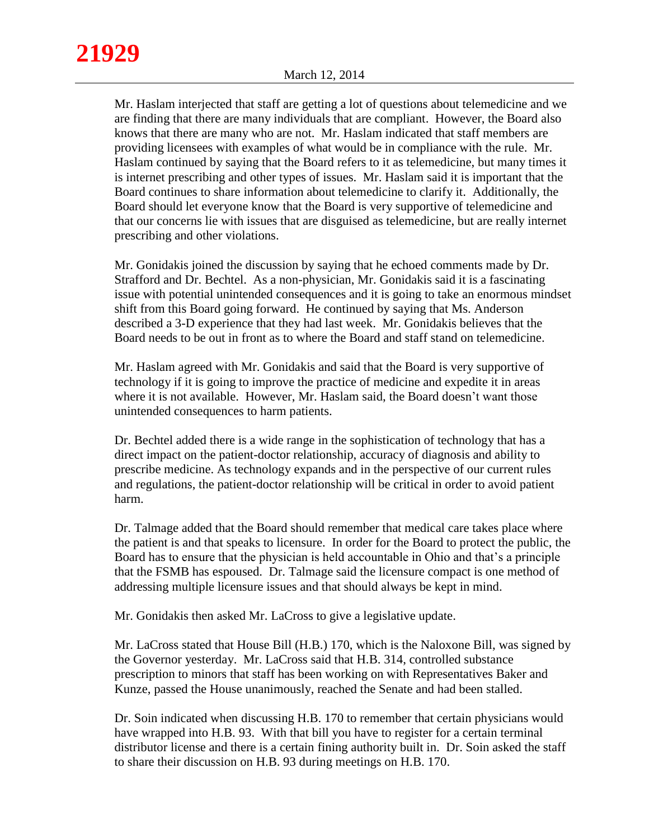Mr. Haslam interjected that staff are getting a lot of questions about telemedicine and we are finding that there are many individuals that are compliant. However, the Board also knows that there are many who are not. Mr. Haslam indicated that staff members are providing licensees with examples of what would be in compliance with the rule. Mr. Haslam continued by saying that the Board refers to it as telemedicine, but many times it is internet prescribing and other types of issues. Mr. Haslam said it is important that the Board continues to share information about telemedicine to clarify it. Additionally, the Board should let everyone know that the Board is very supportive of telemedicine and that our concerns lie with issues that are disguised as telemedicine, but are really internet prescribing and other violations.

Mr. Gonidakis joined the discussion by saying that he echoed comments made by Dr. Strafford and Dr. Bechtel. As a non-physician, Mr. Gonidakis said it is a fascinating issue with potential unintended consequences and it is going to take an enormous mindset shift from this Board going forward. He continued by saying that Ms. Anderson described a 3-D experience that they had last week. Mr. Gonidakis believes that the Board needs to be out in front as to where the Board and staff stand on telemedicine.

Mr. Haslam agreed with Mr. Gonidakis and said that the Board is very supportive of technology if it is going to improve the practice of medicine and expedite it in areas where it is not available. However, Mr. Haslam said, the Board doesn't want those unintended consequences to harm patients.

Dr. Bechtel added there is a wide range in the sophistication of technology that has a direct impact on the patient-doctor relationship, accuracy of diagnosis and ability to prescribe medicine. As technology expands and in the perspective of our current rules and regulations, the patient-doctor relationship will be critical in order to avoid patient harm.

Dr. Talmage added that the Board should remember that medical care takes place where the patient is and that speaks to licensure. In order for the Board to protect the public, the Board has to ensure that the physician is held accountable in Ohio and that's a principle that the FSMB has espoused. Dr. Talmage said the licensure compact is one method of addressing multiple licensure issues and that should always be kept in mind.

Mr. Gonidakis then asked Mr. LaCross to give a legislative update.

Mr. LaCross stated that House Bill (H.B.) 170, which is the Naloxone Bill, was signed by the Governor yesterday. Mr. LaCross said that H.B. 314, controlled substance prescription to minors that staff has been working on with Representatives Baker and Kunze, passed the House unanimously, reached the Senate and had been stalled.

Dr. Soin indicated when discussing H.B. 170 to remember that certain physicians would have wrapped into H.B. 93. With that bill you have to register for a certain terminal distributor license and there is a certain fining authority built in. Dr. Soin asked the staff to share their discussion on H.B. 93 during meetings on H.B. 170.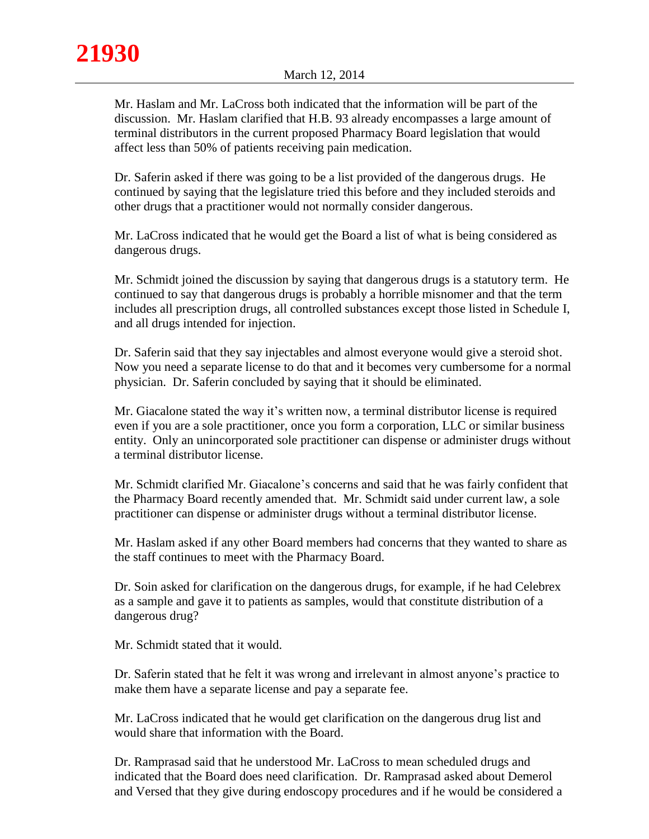Mr. Haslam and Mr. LaCross both indicated that the information will be part of the discussion. Mr. Haslam clarified that H.B. 93 already encompasses a large amount of terminal distributors in the current proposed Pharmacy Board legislation that would affect less than 50% of patients receiving pain medication.

Dr. Saferin asked if there was going to be a list provided of the dangerous drugs. He continued by saying that the legislature tried this before and they included steroids and other drugs that a practitioner would not normally consider dangerous.

Mr. LaCross indicated that he would get the Board a list of what is being considered as dangerous drugs.

Mr. Schmidt joined the discussion by saying that dangerous drugs is a statutory term. He continued to say that dangerous drugs is probably a horrible misnomer and that the term includes all prescription drugs, all controlled substances except those listed in Schedule I, and all drugs intended for injection.

Dr. Saferin said that they say injectables and almost everyone would give a steroid shot. Now you need a separate license to do that and it becomes very cumbersome for a normal physician. Dr. Saferin concluded by saying that it should be eliminated.

Mr. Giacalone stated the way it's written now, a terminal distributor license is required even if you are a sole practitioner, once you form a corporation, LLC or similar business entity. Only an unincorporated sole practitioner can dispense or administer drugs without a terminal distributor license.

Mr. Schmidt clarified Mr. Giacalone's concerns and said that he was fairly confident that the Pharmacy Board recently amended that. Mr. Schmidt said under current law, a sole practitioner can dispense or administer drugs without a terminal distributor license.

Mr. Haslam asked if any other Board members had concerns that they wanted to share as the staff continues to meet with the Pharmacy Board.

Dr. Soin asked for clarification on the dangerous drugs, for example, if he had Celebrex as a sample and gave it to patients as samples, would that constitute distribution of a dangerous drug?

Mr. Schmidt stated that it would.

Dr. Saferin stated that he felt it was wrong and irrelevant in almost anyone's practice to make them have a separate license and pay a separate fee.

Mr. LaCross indicated that he would get clarification on the dangerous drug list and would share that information with the Board.

Dr. Ramprasad said that he understood Mr. LaCross to mean scheduled drugs and indicated that the Board does need clarification. Dr. Ramprasad asked about Demerol and Versed that they give during endoscopy procedures and if he would be considered a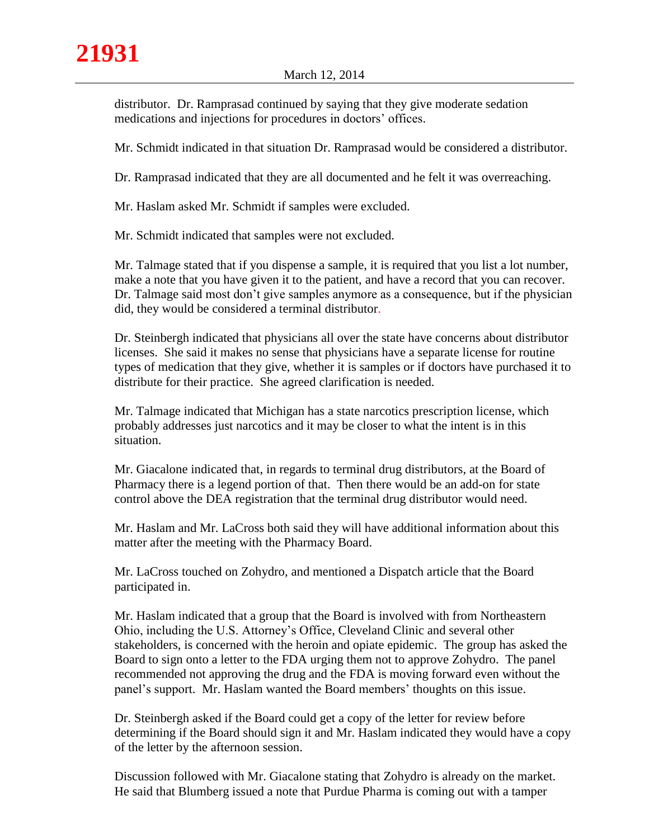distributor. Dr. Ramprasad continued by saying that they give moderate sedation medications and injections for procedures in doctors' offices.

Mr. Schmidt indicated in that situation Dr. Ramprasad would be considered a distributor.

Dr. Ramprasad indicated that they are all documented and he felt it was overreaching.

Mr. Haslam asked Mr. Schmidt if samples were excluded.

Mr. Schmidt indicated that samples were not excluded.

Mr. Talmage stated that if you dispense a sample, it is required that you list a lot number, make a note that you have given it to the patient, and have a record that you can recover. Dr. Talmage said most don't give samples anymore as a consequence, but if the physician did, they would be considered a terminal distributor.

Dr. Steinbergh indicated that physicians all over the state have concerns about distributor licenses. She said it makes no sense that physicians have a separate license for routine types of medication that they give, whether it is samples or if doctors have purchased it to distribute for their practice. She agreed clarification is needed.

Mr. Talmage indicated that Michigan has a state narcotics prescription license, which probably addresses just narcotics and it may be closer to what the intent is in this situation.

Mr. Giacalone indicated that, in regards to terminal drug distributors, at the Board of Pharmacy there is a legend portion of that. Then there would be an add-on for state control above the DEA registration that the terminal drug distributor would need.

Mr. Haslam and Mr. LaCross both said they will have additional information about this matter after the meeting with the Pharmacy Board.

Mr. LaCross touched on Zohydro, and mentioned a Dispatch article that the Board participated in.

Mr. Haslam indicated that a group that the Board is involved with from Northeastern Ohio, including the U.S. Attorney's Office, Cleveland Clinic and several other stakeholders, is concerned with the heroin and opiate epidemic. The group has asked the Board to sign onto a letter to the FDA urging them not to approve Zohydro. The panel recommended not approving the drug and the FDA is moving forward even without the panel's support. Mr. Haslam wanted the Board members' thoughts on this issue.

Dr. Steinbergh asked if the Board could get a copy of the letter for review before determining if the Board should sign it and Mr. Haslam indicated they would have a copy of the letter by the afternoon session.

Discussion followed with Mr. Giacalone stating that Zohydro is already on the market. He said that Blumberg issued a note that Purdue Pharma is coming out with a tamper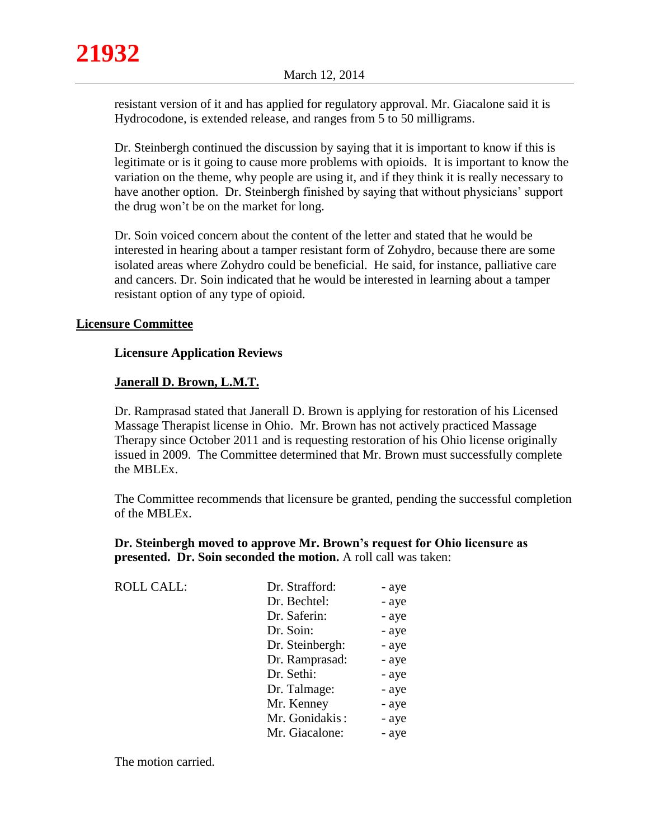resistant version of it and has applied for regulatory approval. Mr. Giacalone said it is Hydrocodone, is extended release, and ranges from 5 to 50 milligrams.

Dr. Steinbergh continued the discussion by saying that it is important to know if this is legitimate or is it going to cause more problems with opioids. It is important to know the variation on the theme, why people are using it, and if they think it is really necessary to have another option. Dr. Steinbergh finished by saying that without physicians' support the drug won't be on the market for long.

Dr. Soin voiced concern about the content of the letter and stated that he would be interested in hearing about a tamper resistant form of Zohydro, because there are some isolated areas where Zohydro could be beneficial. He said, for instance, palliative care and cancers. Dr. Soin indicated that he would be interested in learning about a tamper resistant option of any type of opioid.

## **Licensure Committee**

# **Licensure Application Reviews**

# **Janerall D. Brown, L.M.T.**

Dr. Ramprasad stated that Janerall D. Brown is applying for restoration of his Licensed Massage Therapist license in Ohio. Mr. Brown has not actively practiced Massage Therapy since October 2011 and is requesting restoration of his Ohio license originally issued in 2009. The Committee determined that Mr. Brown must successfully complete the MBLEx.

The Committee recommends that licensure be granted, pending the successful completion of the MBLEx.

# **Dr. Steinbergh moved to approve Mr. Brown's request for Ohio licensure as presented. Dr. Soin seconded the motion.** A roll call was taken:

| <b>ROLL CALL:</b> | Dr. Strafford:  | - aye |
|-------------------|-----------------|-------|
|                   | Dr. Bechtel:    | - aye |
|                   | Dr. Saferin:    | - aye |
|                   | Dr. Soin:       | - aye |
|                   | Dr. Steinbergh: | - aye |
|                   | Dr. Ramprasad:  | - aye |
|                   | Dr. Sethi:      | - aye |
|                   | Dr. Talmage:    | - aye |
|                   | Mr. Kenney      | - aye |
|                   | Mr. Gonidakis:  | - aye |
|                   | Mr. Giacalone:  | - aye |

The motion carried.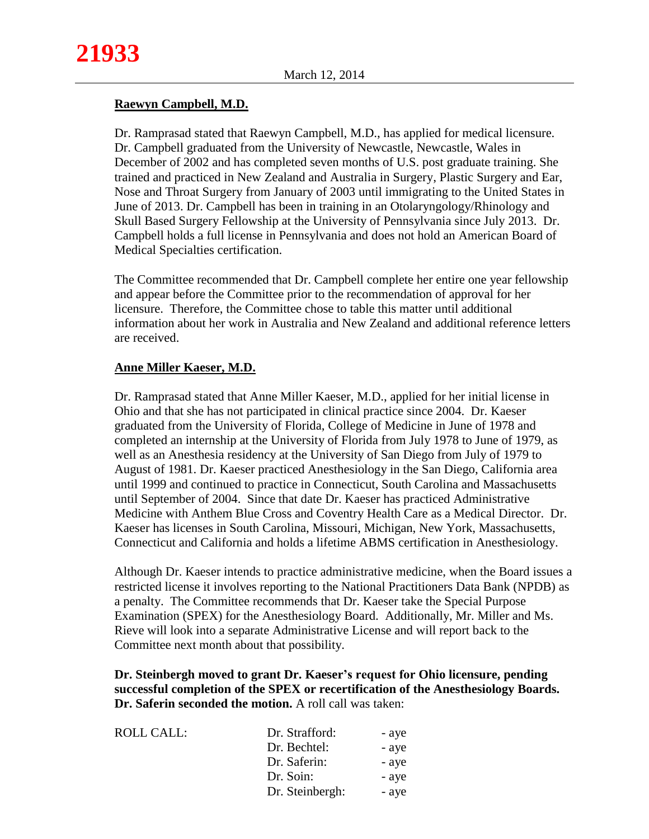# **Raewyn Campbell, M.D.**

Dr. Ramprasad stated that Raewyn Campbell, M.D., has applied for medical licensure. Dr. Campbell graduated from the University of Newcastle, Newcastle, Wales in December of 2002 and has completed seven months of U.S. post graduate training. She trained and practiced in New Zealand and Australia in Surgery, Plastic Surgery and Ear, Nose and Throat Surgery from January of 2003 until immigrating to the United States in June of 2013. Dr. Campbell has been in training in an Otolaryngology/Rhinology and Skull Based Surgery Fellowship at the University of Pennsylvania since July 2013. Dr. Campbell holds a full license in Pennsylvania and does not hold an American Board of Medical Specialties certification.

The Committee recommended that Dr. Campbell complete her entire one year fellowship and appear before the Committee prior to the recommendation of approval for her licensure. Therefore, the Committee chose to table this matter until additional information about her work in Australia and New Zealand and additional reference letters are received.

# **Anne Miller Kaeser, M.D.**

Dr. Ramprasad stated that Anne Miller Kaeser, M.D., applied for her initial license in Ohio and that she has not participated in clinical practice since 2004. Dr. Kaeser graduated from the University of Florida, College of Medicine in June of 1978 and completed an internship at the University of Florida from July 1978 to June of 1979, as well as an Anesthesia residency at the University of San Diego from July of 1979 to August of 1981. Dr. Kaeser practiced Anesthesiology in the San Diego, California area until 1999 and continued to practice in Connecticut, South Carolina and Massachusetts until September of 2004. Since that date Dr. Kaeser has practiced Administrative Medicine with Anthem Blue Cross and Coventry Health Care as a Medical Director. Dr. Kaeser has licenses in South Carolina, Missouri, Michigan, New York, Massachusetts, Connecticut and California and holds a lifetime ABMS certification in Anesthesiology.

Although Dr. Kaeser intends to practice administrative medicine, when the Board issues a restricted license it involves reporting to the National Practitioners Data Bank (NPDB) as a penalty. The Committee recommends that Dr. Kaeser take the Special Purpose Examination (SPEX) for the Anesthesiology Board. Additionally, Mr. Miller and Ms. Rieve will look into a separate Administrative License and will report back to the Committee next month about that possibility.

**Dr. Steinbergh moved to grant Dr. Kaeser's request for Ohio licensure, pending successful completion of the SPEX or recertification of the Anesthesiology Boards. Dr. Saferin seconded the motion.** A roll call was taken:

| ROLL CALL: | Dr. Strafford:  | - ave |
|------------|-----------------|-------|
|            | Dr. Bechtel:    | - ave |
|            | Dr. Saferin:    | - ave |
|            | Dr. Soin:       | - ave |
|            | Dr. Steinbergh: | - aye |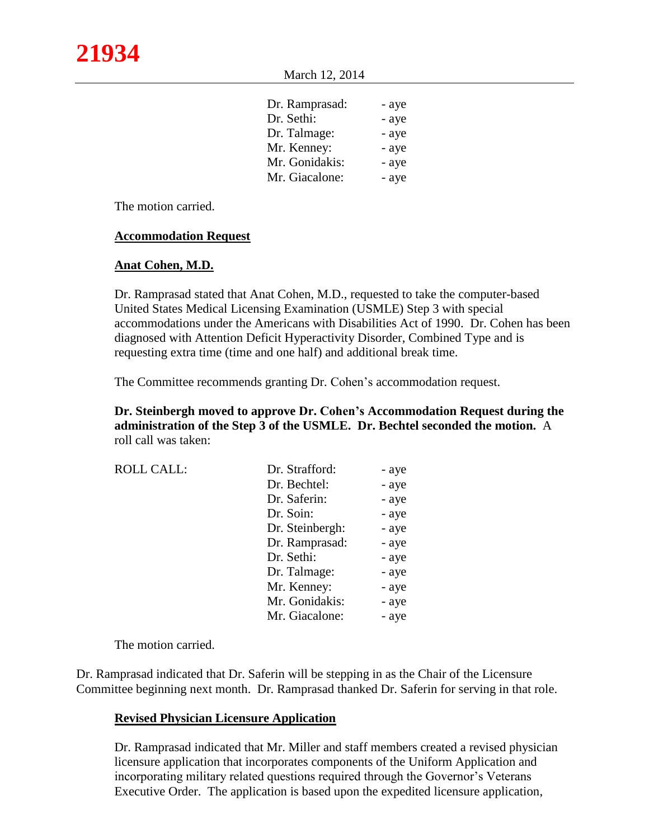March 12, 2014

| Dr. Ramprasad: | - aye |
|----------------|-------|
| Dr. Sethi:     | - aye |
| Dr. Talmage:   | - aye |
| Mr. Kenney:    | - aye |
| Mr. Gonidakis: | - aye |
| Mr. Giacalone: | - aye |

The motion carried.

### **Accommodation Request**

### **Anat Cohen, M.D.**

Dr. Ramprasad stated that Anat Cohen, M.D., requested to take the computer-based United States Medical Licensing Examination (USMLE) Step 3 with special accommodations under the Americans with Disabilities Act of 1990. Dr. Cohen has been diagnosed with Attention Deficit Hyperactivity Disorder, Combined Type and is requesting extra time (time and one half) and additional break time.

The Committee recommends granting Dr. Cohen's accommodation request.

**Dr. Steinbergh moved to approve Dr. Cohen's Accommodation Request during the administration of the Step 3 of the USMLE. Dr. Bechtel seconded the motion.** A roll call was taken:

| <b>ROLL CALL:</b> | Dr. Strafford:  | - aye |
|-------------------|-----------------|-------|
|                   | Dr. Bechtel:    | - aye |
|                   | Dr. Saferin:    | - aye |
|                   | Dr. Soin:       | - aye |
|                   | Dr. Steinbergh: | - aye |
|                   | Dr. Ramprasad:  | - aye |
|                   | Dr. Sethi:      | - aye |
|                   | Dr. Talmage:    | - aye |
|                   | Mr. Kenney:     | - aye |
|                   | Mr. Gonidakis:  | - aye |
|                   | Mr. Giacalone:  | - aye |

The motion carried.

Dr. Ramprasad indicated that Dr. Saferin will be stepping in as the Chair of the Licensure Committee beginning next month. Dr. Ramprasad thanked Dr. Saferin for serving in that role.

## **Revised Physician Licensure Application**

Dr. Ramprasad indicated that Mr. Miller and staff members created a revised physician licensure application that incorporates components of the Uniform Application and incorporating military related questions required through the Governor's Veterans Executive Order. The application is based upon the expedited licensure application,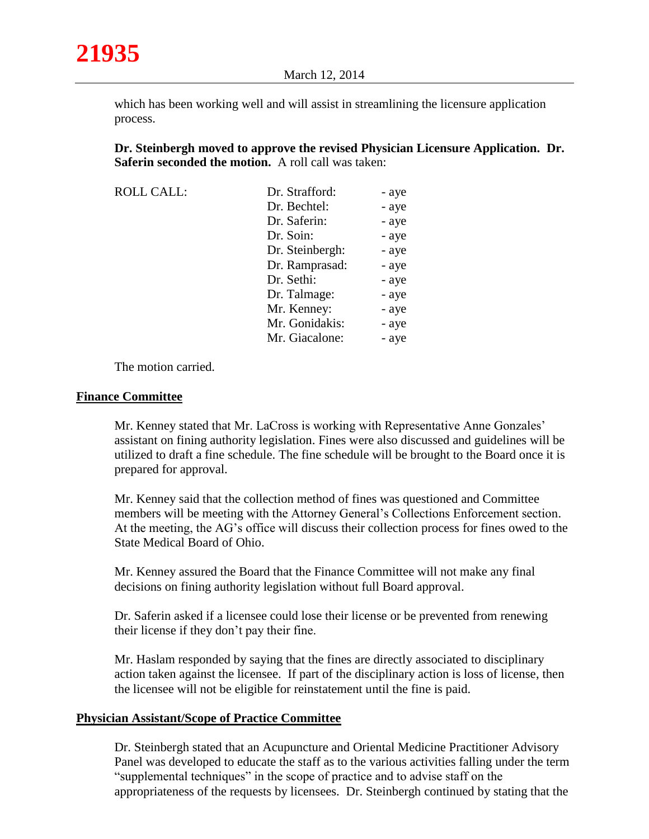which has been working well and will assist in streamlining the licensure application process.

**Dr. Steinbergh moved to approve the revised Physician Licensure Application. Dr. Saferin seconded the motion.** A roll call was taken:

| <b>ROLL CALL:</b> | Dr. Strafford:  | - aye |
|-------------------|-----------------|-------|
|                   | Dr. Bechtel:    | - aye |
|                   | Dr. Saferin:    | - aye |
|                   | Dr. Soin:       | - aye |
|                   | Dr. Steinbergh: | - aye |
|                   | Dr. Ramprasad:  | - aye |
|                   | Dr. Sethi:      | - aye |
|                   | Dr. Talmage:    | - aye |
|                   | Mr. Kenney:     | - aye |
|                   | Mr. Gonidakis:  | - aye |
|                   | Mr. Giacalone:  | - aye |

The motion carried.

#### **Finance Committee**

Mr. Kenney stated that Mr. LaCross is working with Representative Anne Gonzales' assistant on fining authority legislation. Fines were also discussed and guidelines will be utilized to draft a fine schedule. The fine schedule will be brought to the Board once it is prepared for approval.

Mr. Kenney said that the collection method of fines was questioned and Committee members will be meeting with the Attorney General's Collections Enforcement section. At the meeting, the AG's office will discuss their collection process for fines owed to the State Medical Board of Ohio.

Mr. Kenney assured the Board that the Finance Committee will not make any final decisions on fining authority legislation without full Board approval.

Dr. Saferin asked if a licensee could lose their license or be prevented from renewing their license if they don't pay their fine.

Mr. Haslam responded by saying that the fines are directly associated to disciplinary action taken against the licensee. If part of the disciplinary action is loss of license, then the licensee will not be eligible for reinstatement until the fine is paid.

#### **Physician Assistant/Scope of Practice Committee**

Dr. Steinbergh stated that an Acupuncture and Oriental Medicine Practitioner Advisory Panel was developed to educate the staff as to the various activities falling under the term "supplemental techniques" in the scope of practice and to advise staff on the appropriateness of the requests by licensees. Dr. Steinbergh continued by stating that the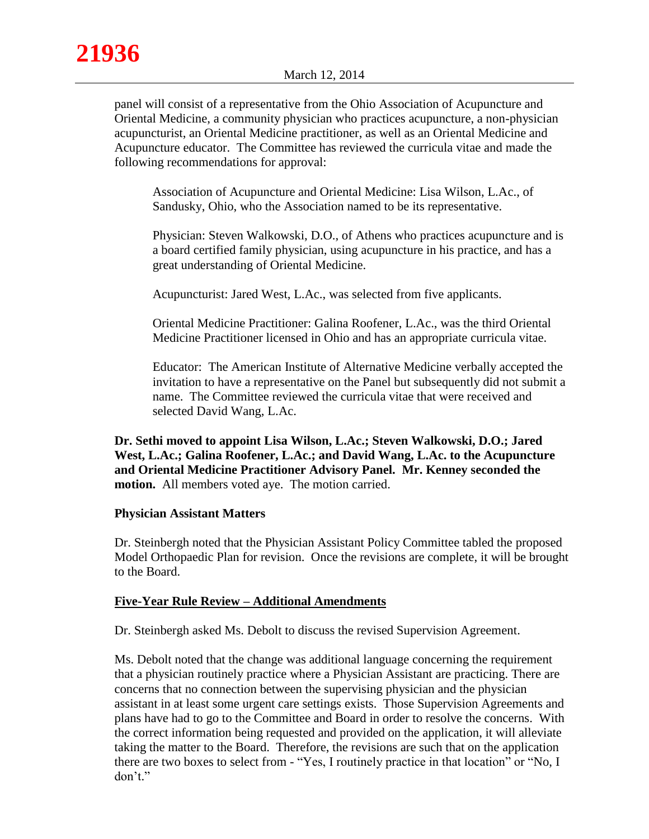panel will consist of a representative from the Ohio Association of Acupuncture and Oriental Medicine, a community physician who practices acupuncture, a non-physician acupuncturist, an Oriental Medicine practitioner, as well as an Oriental Medicine and Acupuncture educator. The Committee has reviewed the curricula vitae and made the following recommendations for approval:

Association of Acupuncture and Oriental Medicine: Lisa Wilson, L.Ac., of Sandusky, Ohio, who the Association named to be its representative.

Physician: Steven Walkowski, D.O., of Athens who practices acupuncture and is a board certified family physician, using acupuncture in his practice, and has a great understanding of Oriental Medicine.

Acupuncturist: Jared West, L.Ac., was selected from five applicants.

Oriental Medicine Practitioner: Galina Roofener, L.Ac., was the third Oriental Medicine Practitioner licensed in Ohio and has an appropriate curricula vitae.

Educator: The American Institute of Alternative Medicine verbally accepted the invitation to have a representative on the Panel but subsequently did not submit a name. The Committee reviewed the curricula vitae that were received and selected David Wang, L.Ac.

**Dr. Sethi moved to appoint Lisa Wilson, L.Ac.; Steven Walkowski, D.O.; Jared West, L.Ac.; Galina Roofener, L.Ac.; and David Wang, L.Ac. to the Acupuncture and Oriental Medicine Practitioner Advisory Panel. Mr. Kenney seconded the motion.** All members voted aye. The motion carried.

## **Physician Assistant Matters**

Dr. Steinbergh noted that the Physician Assistant Policy Committee tabled the proposed Model Orthopaedic Plan for revision. Once the revisions are complete, it will be brought to the Board.

## **Five-Year Rule Review – Additional Amendments**

Dr. Steinbergh asked Ms. Debolt to discuss the revised Supervision Agreement.

Ms. Debolt noted that the change was additional language concerning the requirement that a physician routinely practice where a Physician Assistant are practicing. There are concerns that no connection between the supervising physician and the physician assistant in at least some urgent care settings exists. Those Supervision Agreements and plans have had to go to the Committee and Board in order to resolve the concerns. With the correct information being requested and provided on the application, it will alleviate taking the matter to the Board. Therefore, the revisions are such that on the application there are two boxes to select from - "Yes, I routinely practice in that location" or "No, I don't."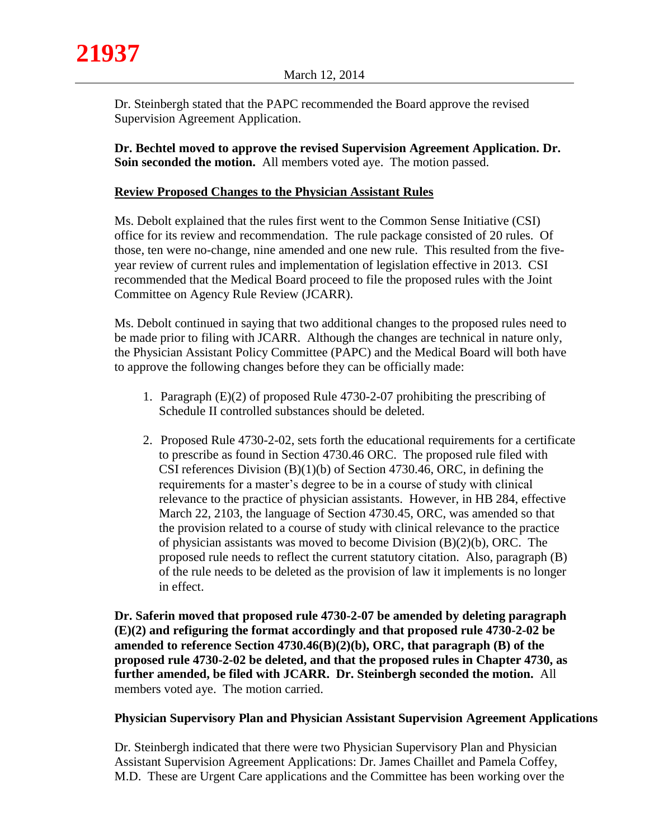Dr. Steinbergh stated that the PAPC recommended the Board approve the revised Supervision Agreement Application.

**Dr. Bechtel moved to approve the revised Supervision Agreement Application. Dr. Soin seconded the motion.** All members voted aye. The motion passed.

# **Review Proposed Changes to the Physician Assistant Rules**

Ms. Debolt explained that the rules first went to the Common Sense Initiative (CSI) office for its review and recommendation. The rule package consisted of 20 rules. Of those, ten were no-change, nine amended and one new rule. This resulted from the fiveyear review of current rules and implementation of legislation effective in 2013. CSI recommended that the Medical Board proceed to file the proposed rules with the Joint Committee on Agency Rule Review (JCARR).

Ms. Debolt continued in saying that two additional changes to the proposed rules need to be made prior to filing with JCARR. Although the changes are technical in nature only, the Physician Assistant Policy Committee (PAPC) and the Medical Board will both have to approve the following changes before they can be officially made:

- 1. Paragraph (E)(2) of proposed Rule 4730-2-07 prohibiting the prescribing of Schedule II controlled substances should be deleted.
- 2. Proposed Rule 4730-2-02, sets forth the educational requirements for a certificate to prescribe as found in Section 4730.46 ORC. The proposed rule filed with CSI references Division (B)(1)(b) of Section 4730.46, ORC, in defining the requirements for a master's degree to be in a course of study with clinical relevance to the practice of physician assistants. However, in HB 284, effective March 22, 2103, the language of Section 4730.45, ORC, was amended so that the provision related to a course of study with clinical relevance to the practice of physician assistants was moved to become Division (B)(2)(b), ORC. The proposed rule needs to reflect the current statutory citation. Also, paragraph (B) of the rule needs to be deleted as the provision of law it implements is no longer in effect.

**Dr. Saferin moved that proposed rule 4730-2-07 be amended by deleting paragraph (E)(2) and refiguring the format accordingly and that proposed rule 4730-2-02 be amended to reference Section 4730.46(B)(2)(b), ORC, that paragraph (B) of the proposed rule 4730-2-02 be deleted, and that the proposed rules in Chapter 4730, as further amended, be filed with JCARR. Dr. Steinbergh seconded the motion.** All members voted aye. The motion carried.

# **Physician Supervisory Plan and Physician Assistant Supervision Agreement Applications**

Dr. Steinbergh indicated that there were two Physician Supervisory Plan and Physician Assistant Supervision Agreement Applications: Dr. James Chaillet and Pamela Coffey, M.D. These are Urgent Care applications and the Committee has been working over the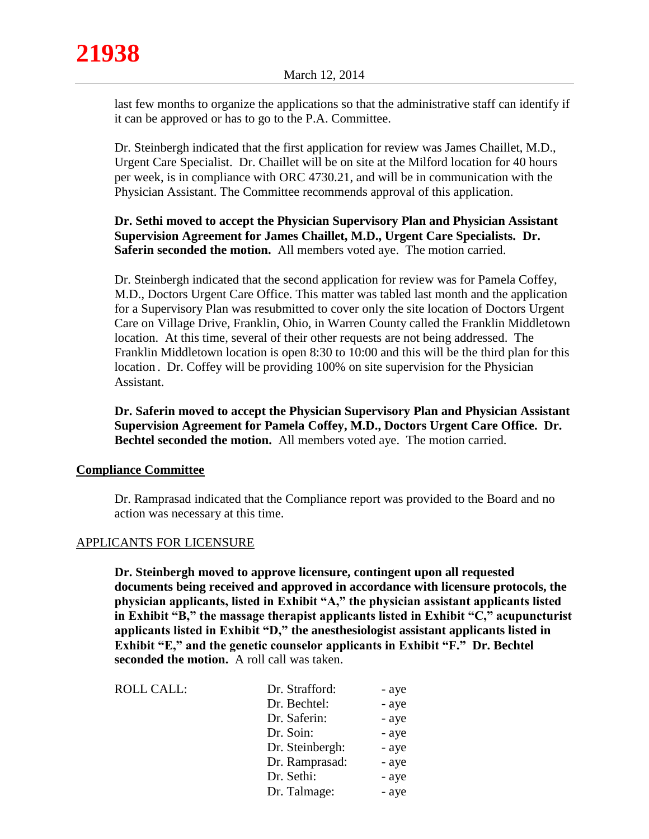last few months to organize the applications so that the administrative staff can identify if it can be approved or has to go to the P.A. Committee.

Dr. Steinbergh indicated that the first application for review was James Chaillet, M.D., Urgent Care Specialist. Dr. Chaillet will be on site at the Milford location for 40 hours per week, is in compliance with ORC 4730.21, and will be in communication with the Physician Assistant. The Committee recommends approval of this application.

# **Dr. Sethi moved to accept the Physician Supervisory Plan and Physician Assistant Supervision Agreement for James Chaillet, M.D., Urgent Care Specialists. Dr. Saferin seconded the motion.** All members voted aye. The motion carried.

Dr. Steinbergh indicated that the second application for review was for Pamela Coffey, M.D., Doctors Urgent Care Office. This matter was tabled last month and the application for a Supervisory Plan was resubmitted to cover only the site location of Doctors Urgent Care on Village Drive, Franklin, Ohio, in Warren County called the Franklin Middletown location. At this time, several of their other requests are not being addressed. The Franklin Middletown location is open 8:30 to 10:00 and this will be the third plan for this location . Dr. Coffey will be providing 100% on site supervision for the Physician Assistant.

**Dr. Saferin moved to accept the Physician Supervisory Plan and Physician Assistant Supervision Agreement for Pamela Coffey, M.D., Doctors Urgent Care Office. Dr. Bechtel seconded the motion.** All members voted aye. The motion carried.

## **Compliance Committee**

Dr. Ramprasad indicated that the Compliance report was provided to the Board and no action was necessary at this time.

## APPLICANTS FOR LICENSURE

**Dr. Steinbergh moved to approve licensure, contingent upon all requested documents being received and approved in accordance with licensure protocols, the physician applicants, listed in Exhibit "A," the physician assistant applicants listed in Exhibit "B," the massage therapist applicants listed in Exhibit "C," acupuncturist applicants listed in Exhibit "D," the anesthesiologist assistant applicants listed in Exhibit "E," and the genetic counselor applicants in Exhibit "F." Dr. Bechtel seconded the motion.** A roll call was taken.

| <b>ROLL CALL:</b> | Dr. Strafford:  | - aye |
|-------------------|-----------------|-------|
|                   | Dr. Bechtel:    | - aye |
|                   | Dr. Saferin:    | - aye |
|                   | Dr. Soin:       | - aye |
|                   | Dr. Steinbergh: | - aye |
|                   | Dr. Ramprasad:  | - aye |
|                   | Dr. Sethi:      | - aye |
|                   | Dr. Talmage:    | - aye |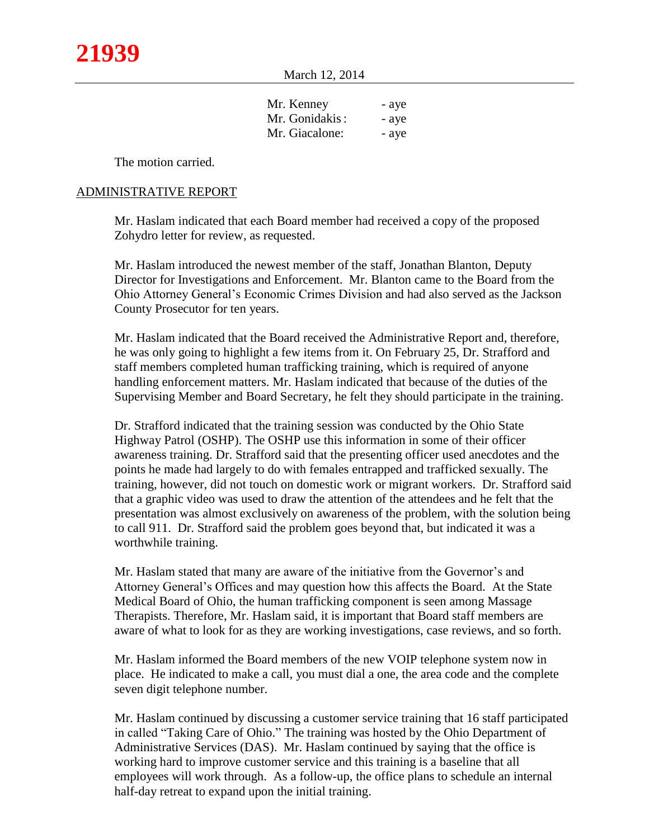March 12, 2014

| Mr. Kenney     | - aye |
|----------------|-------|
| Mr. Gonidakis: | - aye |
| Mr. Giacalone: | - aye |

The motion carried.

### ADMINISTRATIVE REPORT

Mr. Haslam indicated that each Board member had received a copy of the proposed Zohydro letter for review, as requested.

Mr. Haslam introduced the newest member of the staff, Jonathan Blanton, Deputy Director for Investigations and Enforcement. Mr. Blanton came to the Board from the Ohio Attorney General's Economic Crimes Division and had also served as the Jackson County Prosecutor for ten years.

Mr. Haslam indicated that the Board received the Administrative Report and, therefore, he was only going to highlight a few items from it. On February 25, Dr. Strafford and staff members completed human trafficking training, which is required of anyone handling enforcement matters. Mr. Haslam indicated that because of the duties of the Supervising Member and Board Secretary, he felt they should participate in the training.

Dr. Strafford indicated that the training session was conducted by the Ohio State Highway Patrol (OSHP). The OSHP use this information in some of their officer awareness training. Dr. Strafford said that the presenting officer used anecdotes and the points he made had largely to do with females entrapped and trafficked sexually. The training, however, did not touch on domestic work or migrant workers. Dr. Strafford said that a graphic video was used to draw the attention of the attendees and he felt that the presentation was almost exclusively on awareness of the problem, with the solution being to call 911. Dr. Strafford said the problem goes beyond that, but indicated it was a worthwhile training.

Mr. Haslam stated that many are aware of the initiative from the Governor's and Attorney General's Offices and may question how this affects the Board. At the State Medical Board of Ohio, the human trafficking component is seen among Massage Therapists. Therefore, Mr. Haslam said, it is important that Board staff members are aware of what to look for as they are working investigations, case reviews, and so forth.

Mr. Haslam informed the Board members of the new VOIP telephone system now in place. He indicated to make a call, you must dial a one, the area code and the complete seven digit telephone number.

Mr. Haslam continued by discussing a customer service training that 16 staff participated in called "Taking Care of Ohio." The training was hosted by the Ohio Department of Administrative Services (DAS). Mr. Haslam continued by saying that the office is working hard to improve customer service and this training is a baseline that all employees will work through. As a follow-up, the office plans to schedule an internal half-day retreat to expand upon the initial training.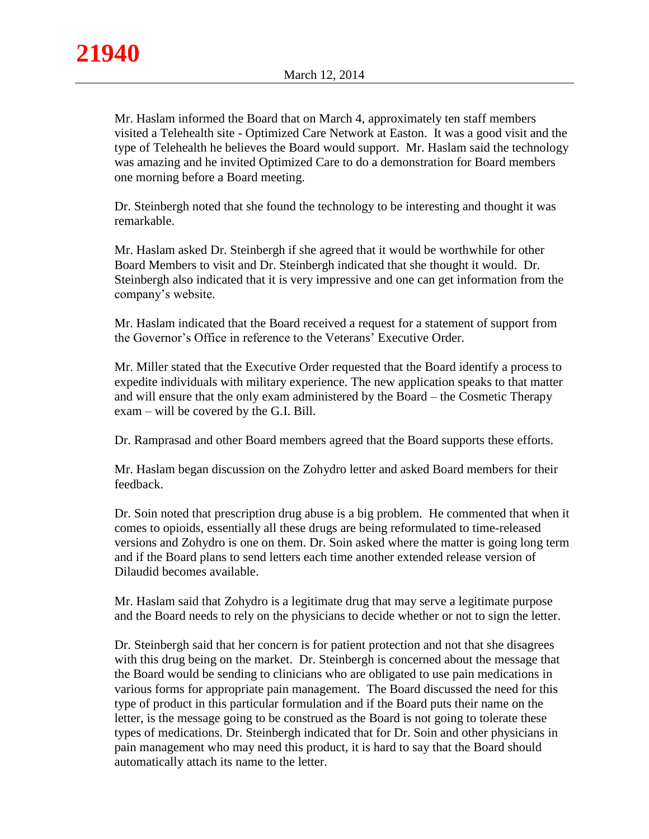Mr. Haslam informed the Board that on March 4, approximately ten staff members visited a Telehealth site - Optimized Care Network at Easton. It was a good visit and the type of Telehealth he believes the Board would support. Mr. Haslam said the technology was amazing and he invited Optimized Care to do a demonstration for Board members one morning before a Board meeting.

Dr. Steinbergh noted that she found the technology to be interesting and thought it was remarkable.

Mr. Haslam asked Dr. Steinbergh if she agreed that it would be worthwhile for other Board Members to visit and Dr. Steinbergh indicated that she thought it would. Dr. Steinbergh also indicated that it is very impressive and one can get information from the company's website.

Mr. Haslam indicated that the Board received a request for a statement of support from the Governor's Office in reference to the Veterans' Executive Order.

Mr. Miller stated that the Executive Order requested that the Board identify a process to expedite individuals with military experience. The new application speaks to that matter and will ensure that the only exam administered by the Board – the Cosmetic Therapy exam – will be covered by the G.I. Bill.

Dr. Ramprasad and other Board members agreed that the Board supports these efforts.

Mr. Haslam began discussion on the Zohydro letter and asked Board members for their feedback.

Dr. Soin noted that prescription drug abuse is a big problem. He commented that when it comes to opioids, essentially all these drugs are being reformulated to time-released versions and Zohydro is one on them. Dr. Soin asked where the matter is going long term and if the Board plans to send letters each time another extended release version of Dilaudid becomes available.

Mr. Haslam said that Zohydro is a legitimate drug that may serve a legitimate purpose and the Board needs to rely on the physicians to decide whether or not to sign the letter.

Dr. Steinbergh said that her concern is for patient protection and not that she disagrees with this drug being on the market. Dr. Steinbergh is concerned about the message that the Board would be sending to clinicians who are obligated to use pain medications in various forms for appropriate pain management. The Board discussed the need for this type of product in this particular formulation and if the Board puts their name on the letter, is the message going to be construed as the Board is not going to tolerate these types of medications. Dr. Steinbergh indicated that for Dr. Soin and other physicians in pain management who may need this product, it is hard to say that the Board should automatically attach its name to the letter.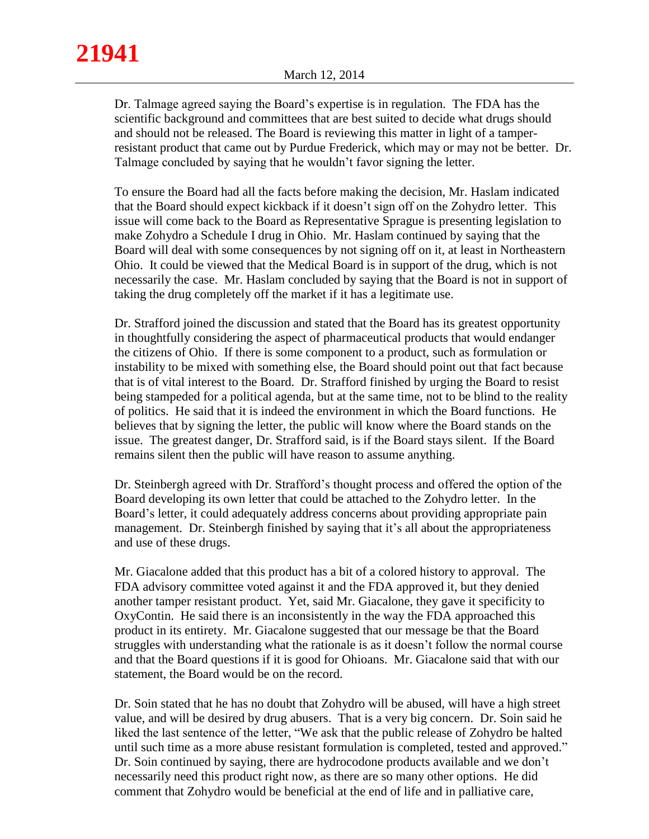**21941**

Dr. Talmage agreed saying the Board's expertise is in regulation. The FDA has the scientific background and committees that are best suited to decide what drugs should and should not be released. The Board is reviewing this matter in light of a tamperresistant product that came out by Purdue Frederick, which may or may not be better. Dr. Talmage concluded by saying that he wouldn't favor signing the letter.

To ensure the Board had all the facts before making the decision, Mr. Haslam indicated that the Board should expect kickback if it doesn't sign off on the Zohydro letter. This issue will come back to the Board as Representative Sprague is presenting legislation to make Zohydro a Schedule I drug in Ohio. Mr. Haslam continued by saying that the Board will deal with some consequences by not signing off on it, at least in Northeastern Ohio. It could be viewed that the Medical Board is in support of the drug, which is not necessarily the case. Mr. Haslam concluded by saying that the Board is not in support of taking the drug completely off the market if it has a legitimate use.

Dr. Strafford joined the discussion and stated that the Board has its greatest opportunity in thoughtfully considering the aspect of pharmaceutical products that would endanger the citizens of Ohio. If there is some component to a product, such as formulation or instability to be mixed with something else, the Board should point out that fact because that is of vital interest to the Board. Dr. Strafford finished by urging the Board to resist being stampeded for a political agenda, but at the same time, not to be blind to the reality of politics. He said that it is indeed the environment in which the Board functions. He believes that by signing the letter, the public will know where the Board stands on the issue. The greatest danger, Dr. Strafford said, is if the Board stays silent. If the Board remains silent then the public will have reason to assume anything.

Dr. Steinbergh agreed with Dr. Strafford's thought process and offered the option of the Board developing its own letter that could be attached to the Zohydro letter. In the Board's letter, it could adequately address concerns about providing appropriate pain management. Dr. Steinbergh finished by saying that it's all about the appropriateness and use of these drugs.

Mr. Giacalone added that this product has a bit of a colored history to approval. The FDA advisory committee voted against it and the FDA approved it, but they denied another tamper resistant product. Yet, said Mr. Giacalone, they gave it specificity to OxyContin. He said there is an inconsistently in the way the FDA approached this product in its entirety. Mr. Giacalone suggested that our message be that the Board struggles with understanding what the rationale is as it doesn't follow the normal course and that the Board questions if it is good for Ohioans. Mr. Giacalone said that with our statement, the Board would be on the record.

Dr. Soin stated that he has no doubt that Zohydro will be abused, will have a high street value, and will be desired by drug abusers. That is a very big concern. Dr. Soin said he liked the last sentence of the letter, "We ask that the public release of Zohydro be halted until such time as a more abuse resistant formulation is completed, tested and approved." Dr. Soin continued by saying, there are hydrocodone products available and we don't necessarily need this product right now, as there are so many other options. He did comment that Zohydro would be beneficial at the end of life and in palliative care,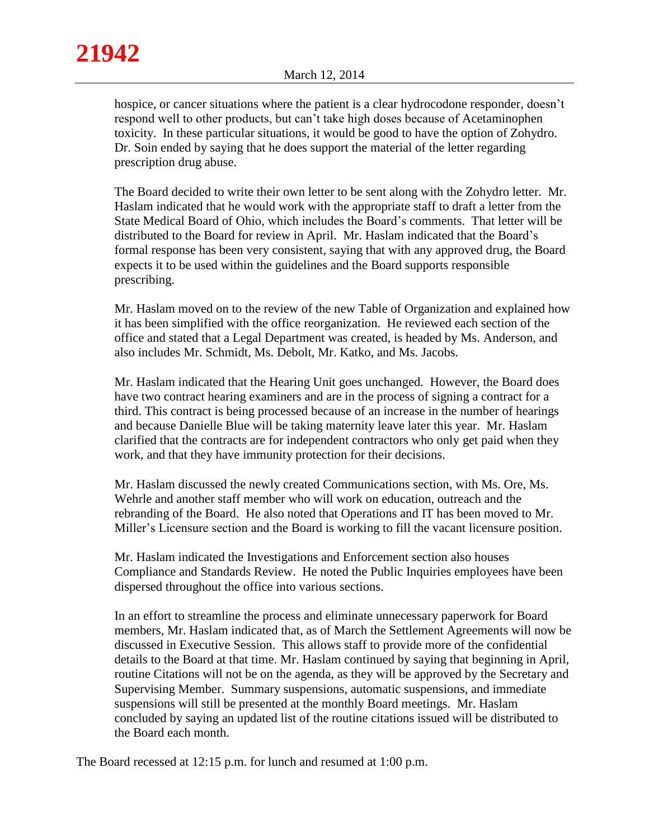hospice, or cancer situations where the patient is a clear hydrocodone responder, doesn't respond well to other products, but can't take high doses because of Acetaminophen toxicity. In these particular situations, it would be good to have the option of Zohydro. Dr. Soin ended by saying that he does support the material of the letter regarding prescription drug abuse.

The Board decided to write their own letter to be sent along with the Zohydro letter. Mr. Haslam indicated that he would work with the appropriate staff to draft a letter from the State Medical Board of Ohio, which includes the Board's comments. That letter will be distributed to the Board for review in April. Mr. Haslam indicated that the Board's formal response has been very consistent, saying that with any approved drug, the Board expects it to be used within the guidelines and the Board supports responsible prescribing.

Mr. Haslam moved on to the review of the new Table of Organization and explained how it has been simplified with the office reorganization. He reviewed each section of the office and stated that a Legal Department was created, is headed by Ms. Anderson, and also includes Mr. Schmidt, Ms. Debolt, Mr. Katko, and Ms. Jacobs.

Mr. Haslam indicated that the Hearing Unit goes unchanged. However, the Board does have two contract hearing examiners and are in the process of signing a contract for a third. This contract is being processed because of an increase in the number of hearings and because Danielle Blue will be taking maternity leave later this year. Mr. Haslam clarified that the contracts are for independent contractors who only get paid when they work, and that they have immunity protection for their decisions.

Mr. Haslam discussed the newly created Communications section, with Ms. Ore, Ms. Wehrle and another staff member who will work on education, outreach and the rebranding of the Board. He also noted that Operations and IT has been moved to Mr. Miller's Licensure section and the Board is working to fill the vacant licensure position.

Mr. Haslam indicated the Investigations and Enforcement section also houses Compliance and Standards Review. He noted the Public Inquiries employees have been dispersed throughout the office into various sections.

In an effort to streamline the process and eliminate unnecessary paperwork for Board members, Mr. Haslam indicated that, as of March the Settlement Agreements will now be discussed in Executive Session. This allows staff to provide more of the confidential details to the Board at that time. Mr. Haslam continued by saying that beginning in April, routine Citations will not be on the agenda, as they will be approved by the Secretary and Supervising Member. Summary suspensions, automatic suspensions, and immediate suspensions will still be presented at the monthly Board meetings. Mr. Haslam concluded by saying an updated list of the routine citations issued will be distributed to the Board each month.

The Board recessed at 12:15 p.m. for lunch and resumed at 1:00 p.m.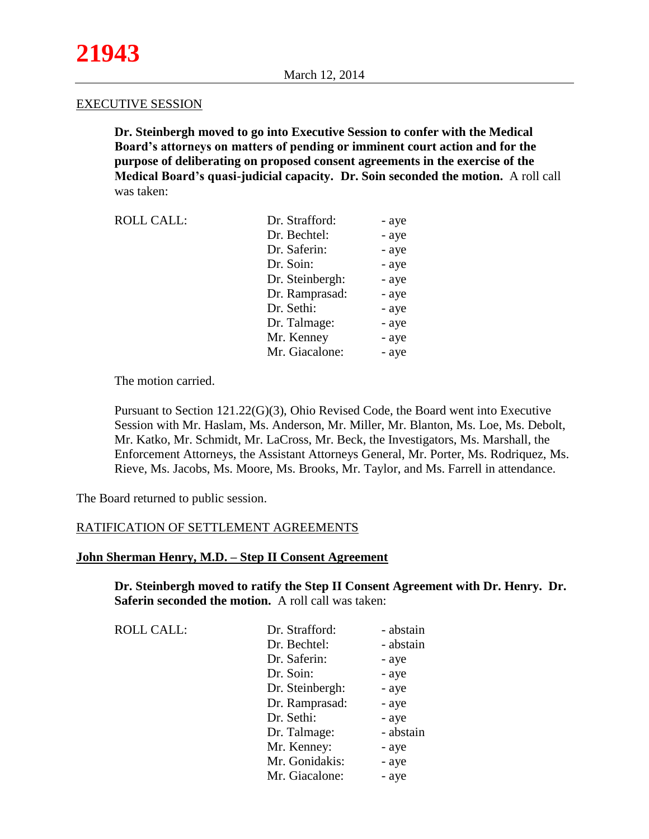#### EXECUTIVE SESSION

**Dr. Steinbergh moved to go into Executive Session to confer with the Medical Board's attorneys on matters of pending or imminent court action and for the purpose of deliberating on proposed consent agreements in the exercise of the Medical Board's quasi-judicial capacity. Dr. Soin seconded the motion.** A roll call was taken:

| <b>ROLL CALL:</b> | Dr. Strafford:  | - aye |
|-------------------|-----------------|-------|
|                   | Dr. Bechtel:    | - aye |
|                   | Dr. Saferin:    | - aye |
|                   | Dr. Soin:       | - aye |
|                   | Dr. Steinbergh: | - aye |
|                   | Dr. Ramprasad:  | - aye |
|                   | Dr. Sethi:      | - aye |
|                   | Dr. Talmage:    | - aye |
|                   | Mr. Kenney      | - aye |
|                   | Mr. Giacalone:  | - aye |

The motion carried.

Pursuant to Section 121.22(G)(3), Ohio Revised Code, the Board went into Executive Session with Mr. Haslam, Ms. Anderson, Mr. Miller, Mr. Blanton, Ms. Loe, Ms. Debolt, Mr. Katko, Mr. Schmidt, Mr. LaCross, Mr. Beck, the Investigators, Ms. Marshall, the Enforcement Attorneys, the Assistant Attorneys General, Mr. Porter, Ms. Rodriquez, Ms. Rieve, Ms. Jacobs, Ms. Moore, Ms. Brooks, Mr. Taylor, and Ms. Farrell in attendance.

The Board returned to public session.

## RATIFICATION OF SETTLEMENT AGREEMENTS

## **John Sherman Henry, M.D. – Step II Consent Agreement**

**Dr. Steinbergh moved to ratify the Step II Consent Agreement with Dr. Henry. Dr. Saferin seconded the motion.** A roll call was taken:

| <b>ROLL CALL:</b> | Dr. Strafford:  | - abstain |
|-------------------|-----------------|-----------|
|                   | Dr. Bechtel:    | - abstain |
|                   | Dr. Saferin:    | - aye     |
|                   | Dr. Soin:       | - aye     |
|                   | Dr. Steinbergh: | - aye     |
|                   | Dr. Ramprasad:  | - aye     |
|                   | Dr. Sethi:      | - aye     |
|                   | Dr. Talmage:    | - abstain |
|                   | Mr. Kenney:     | - aye     |
|                   | Mr. Gonidakis:  | - aye     |
|                   | Mr. Giacalone:  | - aye     |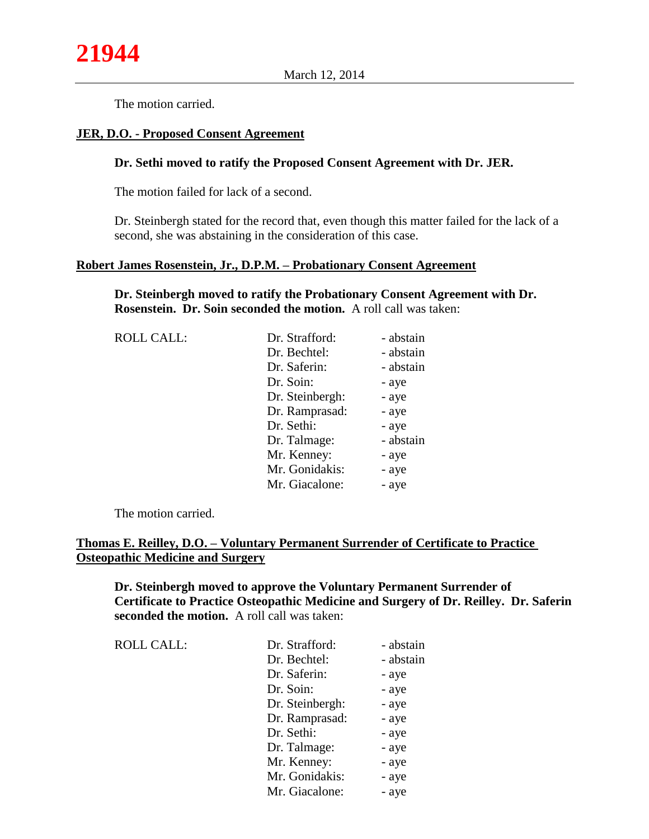The motion carried.

### **JER, D.O. - Proposed Consent Agreement**

### **Dr. Sethi moved to ratify the Proposed Consent Agreement with Dr. JER.**

The motion failed for lack of a second.

Dr. Steinbergh stated for the record that, even though this matter failed for the lack of a second, she was abstaining in the consideration of this case.

## **Robert James Rosenstein, Jr., D.P.M. – Probationary Consent Agreement**

**Dr. Steinbergh moved to ratify the Probationary Consent Agreement with Dr. Rosenstein. Dr. Soin seconded the motion.** A roll call was taken:

| Dr. Strafford:  | - abstain |
|-----------------|-----------|
| Dr. Bechtel:    | - abstain |
| Dr. Saferin:    | - abstain |
| Dr. Soin:       | - aye     |
| Dr. Steinbergh: | - aye     |
| Dr. Ramprasad:  | - aye     |
| Dr. Sethi:      | - aye     |
| Dr. Talmage:    | - abstain |
| Mr. Kenney:     | - aye     |
| Mr. Gonidakis:  | - aye     |
| Mr. Giacalone:  | - aye     |
|                 |           |

The motion carried.

## **Thomas E. Reilley, D.O. – Voluntary Permanent Surrender of Certificate to Practice Osteopathic Medicine and Surgery**

**Dr. Steinbergh moved to approve the Voluntary Permanent Surrender of Certificate to Practice Osteopathic Medicine and Surgery of Dr. Reilley. Dr. Saferin seconded the motion.** A roll call was taken:

| <b>ROLL CALL:</b> | Dr. Strafford:  | - abstain |
|-------------------|-----------------|-----------|
|                   | Dr. Bechtel:    | - abstain |
|                   | Dr. Saferin:    | - aye     |
|                   | Dr. Soin:       | - aye     |
|                   | Dr. Steinbergh: | - aye     |
|                   | Dr. Ramprasad:  | - aye     |
|                   | Dr. Sethi:      | - aye     |
|                   | Dr. Talmage:    | - aye     |
|                   | Mr. Kenney:     | - aye     |
|                   | Mr. Gonidakis:  | - aye     |
|                   | Mr. Giacalone:  | - aye     |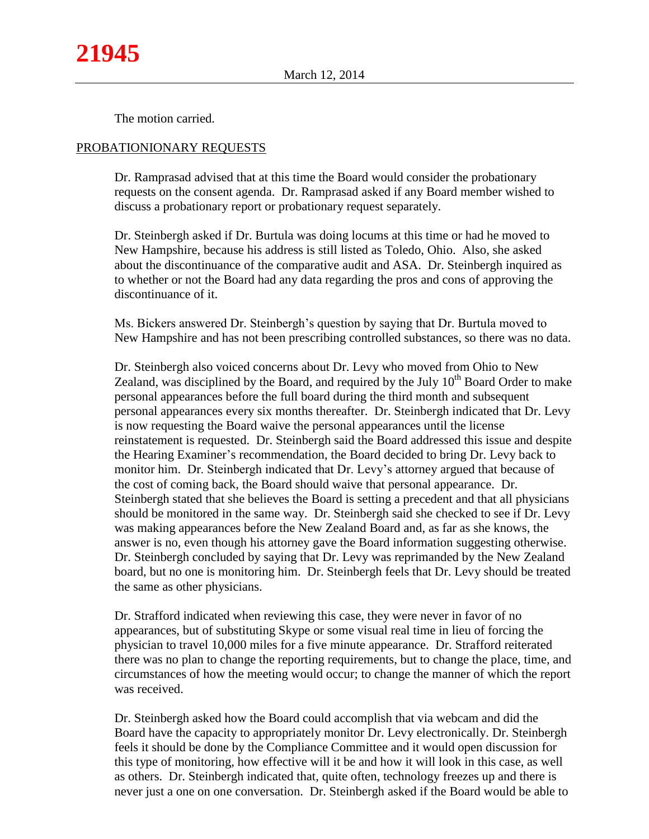The motion carried.

#### PROBATIONIONARY REQUESTS

Dr. Ramprasad advised that at this time the Board would consider the probationary requests on the consent agenda. Dr. Ramprasad asked if any Board member wished to discuss a probationary report or probationary request separately.

Dr. Steinbergh asked if Dr. Burtula was doing locums at this time or had he moved to New Hampshire, because his address is still listed as Toledo, Ohio. Also, she asked about the discontinuance of the comparative audit and ASA. Dr. Steinbergh inquired as to whether or not the Board had any data regarding the pros and cons of approving the discontinuance of it.

Ms. Bickers answered Dr. Steinbergh's question by saying that Dr. Burtula moved to New Hampshire and has not been prescribing controlled substances, so there was no data.

Dr. Steinbergh also voiced concerns about Dr. Levy who moved from Ohio to New Zealand, was disciplined by the Board, and required by the July  $10<sup>th</sup>$  Board Order to make personal appearances before the full board during the third month and subsequent personal appearances every six months thereafter. Dr. Steinbergh indicated that Dr. Levy is now requesting the Board waive the personal appearances until the license reinstatement is requested. Dr. Steinbergh said the Board addressed this issue and despite the Hearing Examiner's recommendation, the Board decided to bring Dr. Levy back to monitor him. Dr. Steinbergh indicated that Dr. Levy's attorney argued that because of the cost of coming back, the Board should waive that personal appearance. Dr. Steinbergh stated that she believes the Board is setting a precedent and that all physicians should be monitored in the same way. Dr. Steinbergh said she checked to see if Dr. Levy was making appearances before the New Zealand Board and, as far as she knows, the answer is no, even though his attorney gave the Board information suggesting otherwise. Dr. Steinbergh concluded by saying that Dr. Levy was reprimanded by the New Zealand board, but no one is monitoring him. Dr. Steinbergh feels that Dr. Levy should be treated the same as other physicians.

Dr. Strafford indicated when reviewing this case, they were never in favor of no appearances, but of substituting Skype or some visual real time in lieu of forcing the physician to travel 10,000 miles for a five minute appearance. Dr. Strafford reiterated there was no plan to change the reporting requirements, but to change the place, time, and circumstances of how the meeting would occur; to change the manner of which the report was received.

Dr. Steinbergh asked how the Board could accomplish that via webcam and did the Board have the capacity to appropriately monitor Dr. Levy electronically. Dr. Steinbergh feels it should be done by the Compliance Committee and it would open discussion for this type of monitoring, how effective will it be and how it will look in this case, as well as others. Dr. Steinbergh indicated that, quite often, technology freezes up and there is never just a one on one conversation. Dr. Steinbergh asked if the Board would be able to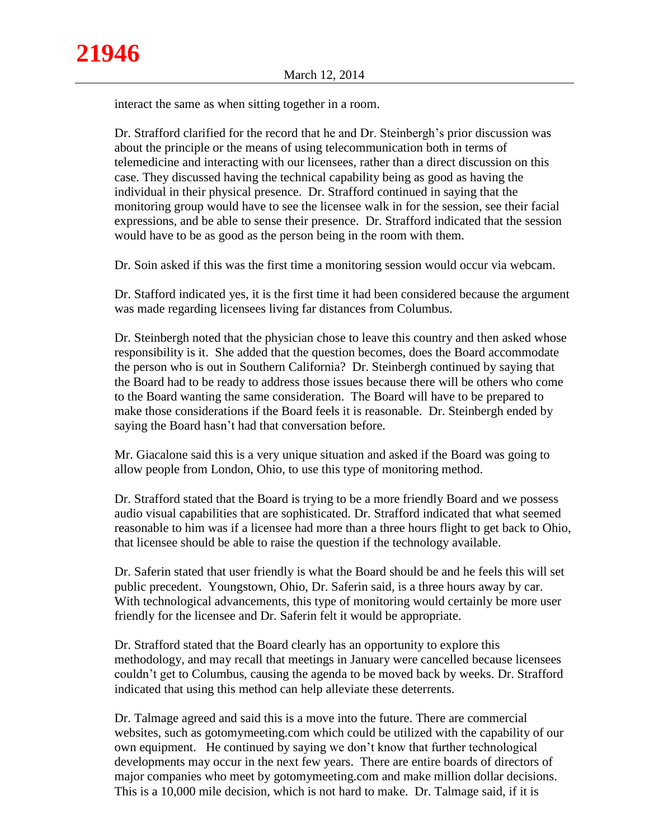interact the same as when sitting together in a room.

Dr. Strafford clarified for the record that he and Dr. Steinbergh's prior discussion was about the principle or the means of using telecommunication both in terms of telemedicine and interacting with our licensees, rather than a direct discussion on this case. They discussed having the technical capability being as good as having the individual in their physical presence. Dr. Strafford continued in saying that the monitoring group would have to see the licensee walk in for the session, see their facial expressions, and be able to sense their presence. Dr. Strafford indicated that the session would have to be as good as the person being in the room with them.

Dr. Soin asked if this was the first time a monitoring session would occur via webcam.

Dr. Stafford indicated yes, it is the first time it had been considered because the argument was made regarding licensees living far distances from Columbus.

Dr. Steinbergh noted that the physician chose to leave this country and then asked whose responsibility is it. She added that the question becomes, does the Board accommodate the person who is out in Southern California? Dr. Steinbergh continued by saying that the Board had to be ready to address those issues because there will be others who come to the Board wanting the same consideration. The Board will have to be prepared to make those considerations if the Board feels it is reasonable. Dr. Steinbergh ended by saying the Board hasn't had that conversation before.

Mr. Giacalone said this is a very unique situation and asked if the Board was going to allow people from London, Ohio, to use this type of monitoring method.

Dr. Strafford stated that the Board is trying to be a more friendly Board and we possess audio visual capabilities that are sophisticated. Dr. Strafford indicated that what seemed reasonable to him was if a licensee had more than a three hours flight to get back to Ohio, that licensee should be able to raise the question if the technology available.

Dr. Saferin stated that user friendly is what the Board should be and he feels this will set public precedent. Youngstown, Ohio, Dr. Saferin said, is a three hours away by car. With technological advancements, this type of monitoring would certainly be more user friendly for the licensee and Dr. Saferin felt it would be appropriate.

Dr. Strafford stated that the Board clearly has an opportunity to explore this methodology, and may recall that meetings in January were cancelled because licensees couldn't get to Columbus, causing the agenda to be moved back by weeks. Dr. Strafford indicated that using this method can help alleviate these deterrents.

Dr. Talmage agreed and said this is a move into the future. There are commercial websites, such as gotomymeeting.com which could be utilized with the capability of our own equipment. He continued by saying we don't know that further technological developments may occur in the next few years. There are entire boards of directors of major companies who meet by gotomymeeting.com and make million dollar decisions. This is a 10,000 mile decision, which is not hard to make. Dr. Talmage said, if it is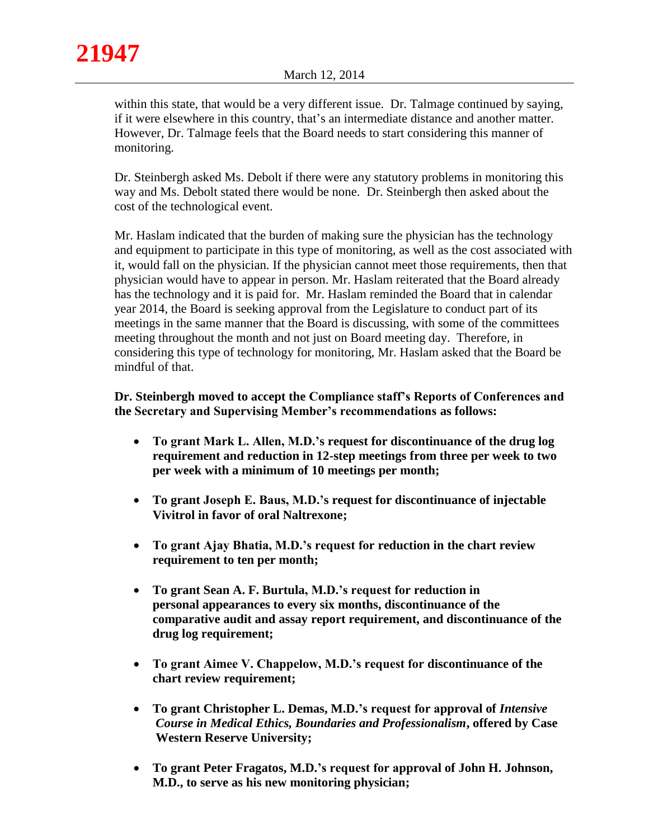within this state, that would be a very different issue. Dr. Talmage continued by saying, if it were elsewhere in this country, that's an intermediate distance and another matter. However, Dr. Talmage feels that the Board needs to start considering this manner of monitoring.

Dr. Steinbergh asked Ms. Debolt if there were any statutory problems in monitoring this way and Ms. Debolt stated there would be none. Dr. Steinbergh then asked about the cost of the technological event.

Mr. Haslam indicated that the burden of making sure the physician has the technology and equipment to participate in this type of monitoring, as well as the cost associated with it, would fall on the physician. If the physician cannot meet those requirements, then that physician would have to appear in person. Mr. Haslam reiterated that the Board already has the technology and it is paid for. Mr. Haslam reminded the Board that in calendar year 2014, the Board is seeking approval from the Legislature to conduct part of its meetings in the same manner that the Board is discussing, with some of the committees meeting throughout the month and not just on Board meeting day. Therefore, in considering this type of technology for monitoring, Mr. Haslam asked that the Board be mindful of that.

# **Dr. Steinbergh moved to accept the Compliance staff's Reports of Conferences and the Secretary and Supervising Member's recommendations as follows:**

- **To grant Mark L. Allen, M.D.'s request for discontinuance of the drug log requirement and reduction in 12-step meetings from three per week to two per week with a minimum of 10 meetings per month;**
- **To grant Joseph E. Baus, M.D.'s request for discontinuance of injectable Vivitrol in favor of oral Naltrexone;**
- **To grant Ajay Bhatia, M.D.'s request for reduction in the chart review requirement to ten per month;**
- **To grant Sean A. F. Burtula, M.D.'s request for reduction in personal appearances to every six months, discontinuance of the comparative audit and assay report requirement, and discontinuance of the drug log requirement;**
- **To grant Aimee V. Chappelow, M.D.'s request for discontinuance of the chart review requirement;**
- **To grant Christopher L. Demas, M.D.'s request for approval of** *Intensive*  *Course in Medical Ethics, Boundaries and Professionalism***, offered by Case**  **Western Reserve University;**
- **To grant Peter Fragatos, M.D.'s request for approval of John H. Johnson, M.D., to serve as his new monitoring physician;**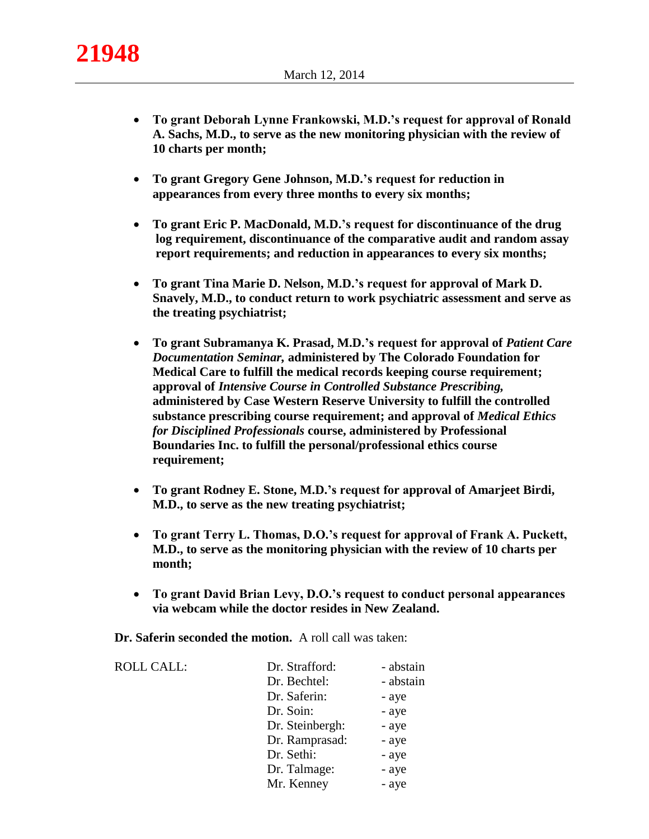

- **To grant Deborah Lynne Frankowski, M.D.'s request for approval of Ronald A. Sachs, M.D., to serve as the new monitoring physician with the review of 10 charts per month;**
- **To grant Gregory Gene Johnson, M.D.'s request for reduction in appearances from every three months to every six months;**
- **To grant Eric P. MacDonald, M.D.'s request for discontinuance of the drug log requirement, discontinuance of the comparative audit and random assay report requirements; and reduction in appearances to every six months;**
- **To grant Tina Marie D. Nelson, M.D.'s request for approval of Mark D. Snavely, M.D., to conduct return to work psychiatric assessment and serve as the treating psychiatrist;**
- **To grant Subramanya K. Prasad, M.D.'s request for approval of** *Patient Care*  *Documentation Seminar,* **administered by The Colorado Foundation for**  **Medical Care to fulfill the medical records keeping course requirement; approval of** *Intensive Course in Controlled Substance Prescribing,*  **administered by Case Western Reserve University to fulfill the controlled substance prescribing course requirement; and approval of** *Medical Ethics for Disciplined Professionals* **course, administered by Professional Boundaries Inc. to fulfill the personal/professional ethics course requirement;**
- **To grant Rodney E. Stone, M.D.'s request for approval of Amarjeet Birdi, M.D., to serve as the new treating psychiatrist;**
- **To grant Terry L. Thomas, D.O.'s request for approval of Frank A. Puckett, M.D., to serve as the monitoring physician with the review of 10 charts per month;**
- **To grant David Brian Levy, D.O.'s request to conduct personal appearances via webcam while the doctor resides in New Zealand.**

**Dr. Saferin seconded the motion.** A roll call was taken:

| Dr. Strafford:  | - abstain |
|-----------------|-----------|
| Dr. Bechtel:    | - abstain |
| Dr. Saferin:    | - aye     |
| Dr. Soin:       | - aye     |
| Dr. Steinbergh: | - aye     |
| Dr. Ramprasad:  | - aye     |
| Dr. Sethi:      | - aye     |
| Dr. Talmage:    | - aye     |
| Mr. Kenney      | - aye     |
|                 |           |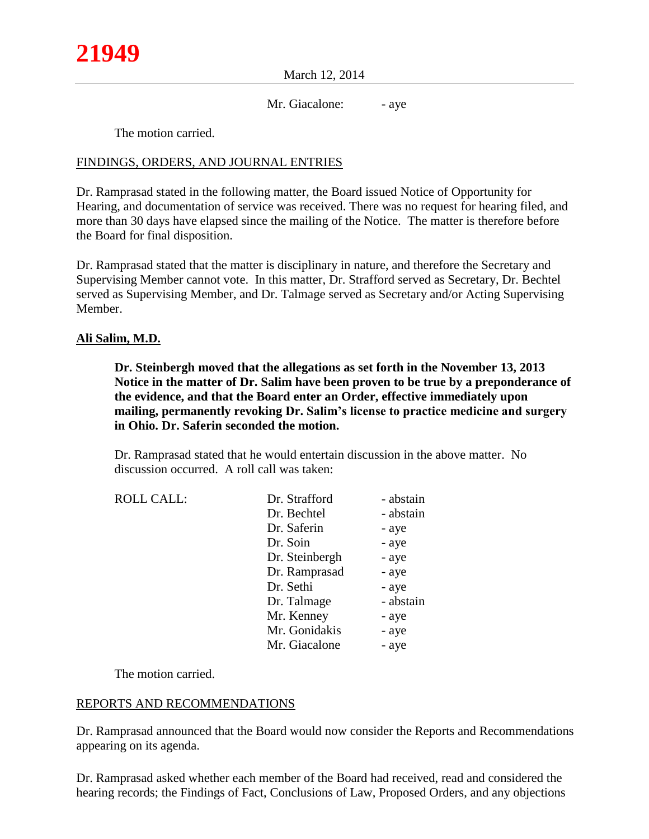March 12, 2014

Mr. Giacalone: - aye

The motion carried.

## FINDINGS, ORDERS, AND JOURNAL ENTRIES

Dr. Ramprasad stated in the following matter, the Board issued Notice of Opportunity for Hearing, and documentation of service was received. There was no request for hearing filed, and more than 30 days have elapsed since the mailing of the Notice. The matter is therefore before the Board for final disposition.

Dr. Ramprasad stated that the matter is disciplinary in nature, and therefore the Secretary and Supervising Member cannot vote. In this matter, Dr. Strafford served as Secretary, Dr. Bechtel served as Supervising Member, and Dr. Talmage served as Secretary and/or Acting Supervising Member.

## **Ali Salim, M.D.**

**Dr. Steinbergh moved that the allegations as set forth in the November 13, 2013 Notice in the matter of Dr. Salim have been proven to be true by a preponderance of the evidence, and that the Board enter an Order, effective immediately upon mailing, permanently revoking Dr. Salim's license to practice medicine and surgery in Ohio. Dr. Saferin seconded the motion.**

Dr. Ramprasad stated that he would entertain discussion in the above matter. No discussion occurred. A roll call was taken:

| Dr. Strafford  | - abstain |
|----------------|-----------|
| Dr. Bechtel    | - abstain |
| Dr. Saferin    | - aye     |
| Dr. Soin       | - aye     |
| Dr. Steinbergh | - aye     |
| Dr. Ramprasad  | - aye     |
| Dr. Sethi      | - aye     |
| Dr. Talmage    | - abstain |
| Mr. Kenney     | - aye     |
| Mr. Gonidakis  | - aye     |
| Mr. Giacalone  | - aye     |
|                |           |

The motion carried.

## REPORTS AND RECOMMENDATIONS

Dr. Ramprasad announced that the Board would now consider the Reports and Recommendations appearing on its agenda.

Dr. Ramprasad asked whether each member of the Board had received, read and considered the hearing records; the Findings of Fact, Conclusions of Law, Proposed Orders, and any objections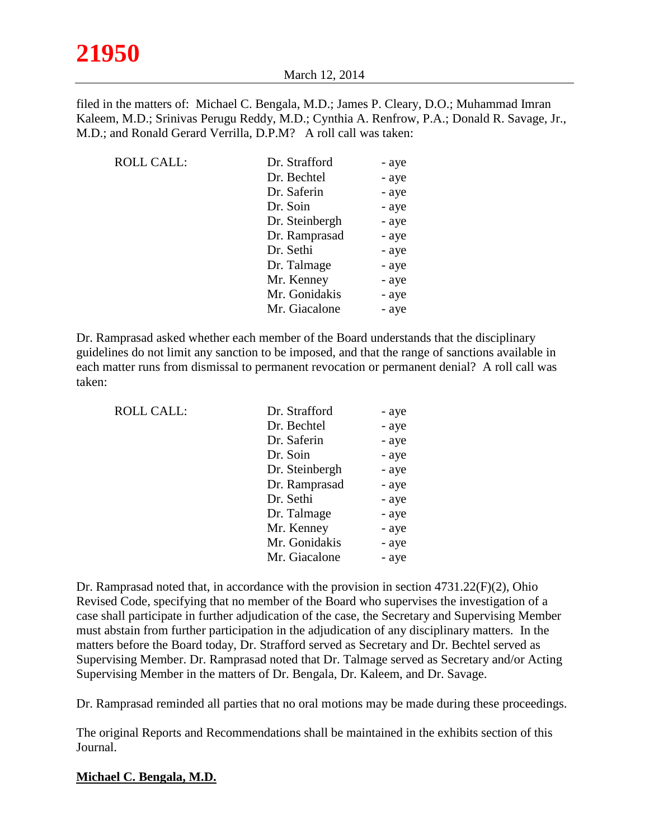filed in the matters of: Michael C. Bengala, M.D.; James P. Cleary, D.O.; Muhammad Imran Kaleem, M.D.; Srinivas Perugu Reddy, M.D.; Cynthia A. Renfrow, P.A.; Donald R. Savage, Jr., M.D.; and Ronald Gerard Verrilla, D.P.M? A roll call was taken:

| Dr. Strafford  | - aye |
|----------------|-------|
| Dr. Bechtel    | - aye |
| Dr. Saferin    | - aye |
| Dr. Soin       | - aye |
| Dr. Steinbergh | - aye |
| Dr. Ramprasad  | - aye |
| Dr. Sethi      | - aye |
| Dr. Talmage    | - aye |
| Mr. Kenney     | - aye |
| Mr. Gonidakis  | - aye |
| Mr. Giacalone  | - aye |
|                |       |

Dr. Ramprasad asked whether each member of the Board understands that the disciplinary guidelines do not limit any sanction to be imposed, and that the range of sanctions available in each matter runs from dismissal to permanent revocation or permanent denial? A roll call was taken:

| <b>ROLL CALL:</b> | Dr. Strafford  | - aye |
|-------------------|----------------|-------|
|                   | Dr. Bechtel    | - aye |
|                   | Dr. Saferin    | - aye |
|                   | Dr. Soin       | - aye |
|                   | Dr. Steinbergh | - aye |
|                   | Dr. Ramprasad  | - aye |
|                   | Dr. Sethi      | - aye |
|                   | Dr. Talmage    | - aye |
|                   | Mr. Kenney     | - aye |
|                   | Mr. Gonidakis  | - aye |
|                   | Mr. Giacalone  | - aye |
|                   |                |       |

Dr. Ramprasad noted that, in accordance with the provision in section 4731.22(F)(2), Ohio Revised Code, specifying that no member of the Board who supervises the investigation of a case shall participate in further adjudication of the case, the Secretary and Supervising Member must abstain from further participation in the adjudication of any disciplinary matters. In the matters before the Board today, Dr. Strafford served as Secretary and Dr. Bechtel served as Supervising Member. Dr. Ramprasad noted that Dr. Talmage served as Secretary and/or Acting Supervising Member in the matters of Dr. Bengala, Dr. Kaleem, and Dr. Savage.

Dr. Ramprasad reminded all parties that no oral motions may be made during these proceedings.

The original Reports and Recommendations shall be maintained in the exhibits section of this Journal.

## **Michael C. Bengala, M.D.**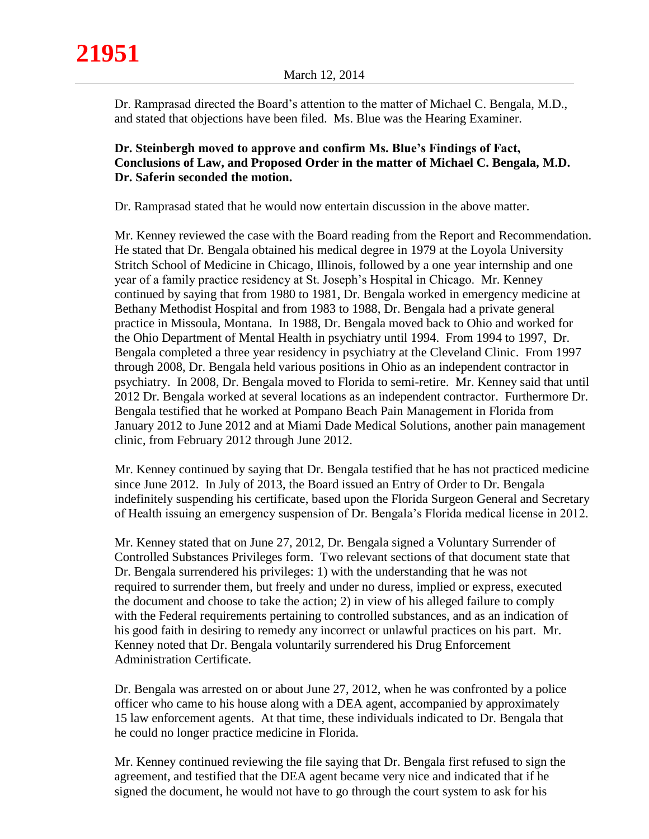Dr. Ramprasad directed the Board's attention to the matter of Michael C. Bengala, M.D., and stated that objections have been filed. Ms. Blue was the Hearing Examiner.

# **Dr. Steinbergh moved to approve and confirm Ms. Blue's Findings of Fact, Conclusions of Law, and Proposed Order in the matter of Michael C. Bengala, M.D. Dr. Saferin seconded the motion.**

Dr. Ramprasad stated that he would now entertain discussion in the above matter.

Mr. Kenney reviewed the case with the Board reading from the Report and Recommendation. He stated that Dr. Bengala obtained his medical degree in 1979 at the Loyola University Stritch School of Medicine in Chicago, Illinois, followed by a one year internship and one year of a family practice residency at St. Joseph's Hospital in Chicago. Mr. Kenney continued by saying that from 1980 to 1981, Dr. Bengala worked in emergency medicine at Bethany Methodist Hospital and from 1983 to 1988, Dr. Bengala had a private general practice in Missoula, Montana. In 1988, Dr. Bengala moved back to Ohio and worked for the Ohio Department of Mental Health in psychiatry until 1994. From 1994 to 1997, Dr. Bengala completed a three year residency in psychiatry at the Cleveland Clinic. From 1997 through 2008, Dr. Bengala held various positions in Ohio as an independent contractor in psychiatry. In 2008, Dr. Bengala moved to Florida to semi-retire. Mr. Kenney said that until 2012 Dr. Bengala worked at several locations as an independent contractor. Furthermore Dr. Bengala testified that he worked at Pompano Beach Pain Management in Florida from January 2012 to June 2012 and at Miami Dade Medical Solutions, another pain management clinic, from February 2012 through June 2012.

Mr. Kenney continued by saying that Dr. Bengala testified that he has not practiced medicine since June 2012. In July of 2013, the Board issued an Entry of Order to Dr. Bengala indefinitely suspending his certificate, based upon the Florida Surgeon General and Secretary of Health issuing an emergency suspension of Dr. Bengala's Florida medical license in 2012.

Mr. Kenney stated that on June 27, 2012, Dr. Bengala signed a Voluntary Surrender of Controlled Substances Privileges form. Two relevant sections of that document state that Dr. Bengala surrendered his privileges: 1) with the understanding that he was not required to surrender them, but freely and under no duress, implied or express, executed the document and choose to take the action; 2) in view of his alleged failure to comply with the Federal requirements pertaining to controlled substances, and as an indication of his good faith in desiring to remedy any incorrect or unlawful practices on his part. Mr. Kenney noted that Dr. Bengala voluntarily surrendered his Drug Enforcement Administration Certificate.

Dr. Bengala was arrested on or about June 27, 2012, when he was confronted by a police officer who came to his house along with a DEA agent, accompanied by approximately 15 law enforcement agents. At that time, these individuals indicated to Dr. Bengala that he could no longer practice medicine in Florida.

Mr. Kenney continued reviewing the file saying that Dr. Bengala first refused to sign the agreement, and testified that the DEA agent became very nice and indicated that if he signed the document, he would not have to go through the court system to ask for his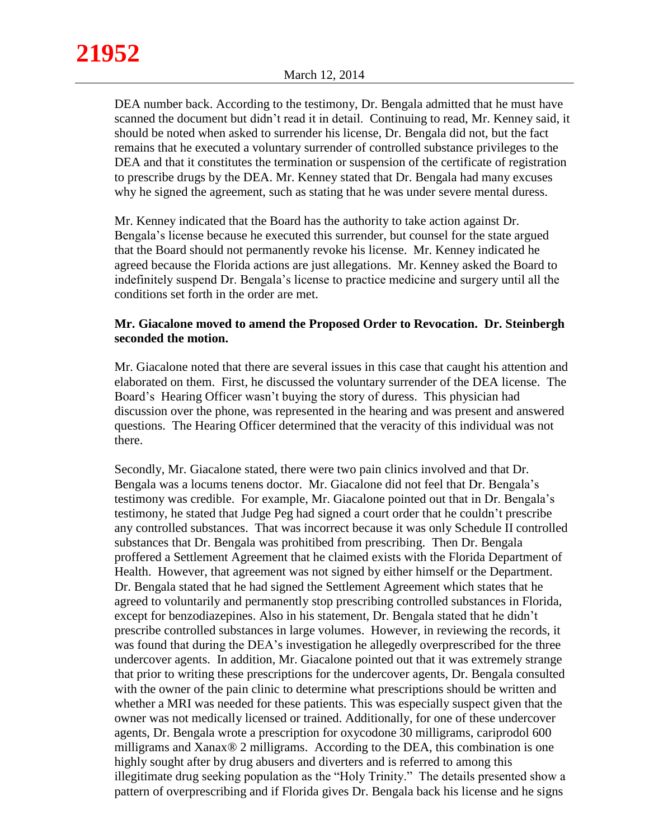DEA number back. According to the testimony, Dr. Bengala admitted that he must have scanned the document but didn't read it in detail. Continuing to read, Mr. Kenney said, it should be noted when asked to surrender his license, Dr. Bengala did not, but the fact remains that he executed a voluntary surrender of controlled substance privileges to the DEA and that it constitutes the termination or suspension of the certificate of registration to prescribe drugs by the DEA. Mr. Kenney stated that Dr. Bengala had many excuses why he signed the agreement, such as stating that he was under severe mental duress.

Mr. Kenney indicated that the Board has the authority to take action against Dr. Bengala's license because he executed this surrender, but counsel for the state argued that the Board should not permanently revoke his license. Mr. Kenney indicated he agreed because the Florida actions are just allegations. Mr. Kenney asked the Board to indefinitely suspend Dr. Bengala's license to practice medicine and surgery until all the conditions set forth in the order are met.

# **Mr. Giacalone moved to amend the Proposed Order to Revocation. Dr. Steinbergh seconded the motion.**

Mr. Giacalone noted that there are several issues in this case that caught his attention and elaborated on them. First, he discussed the voluntary surrender of the DEA license. The Board's Hearing Officer wasn't buying the story of duress. This physician had discussion over the phone, was represented in the hearing and was present and answered questions. The Hearing Officer determined that the veracity of this individual was not there.

Secondly, Mr. Giacalone stated, there were two pain clinics involved and that Dr. Bengala was a locums tenens doctor. Mr. Giacalone did not feel that Dr. Bengala's testimony was credible. For example, Mr. Giacalone pointed out that in Dr. Bengala's testimony, he stated that Judge Peg had signed a court order that he couldn't prescribe any controlled substances. That was incorrect because it was only Schedule II controlled substances that Dr. Bengala was prohitibed from prescribing. Then Dr. Bengala proffered a Settlement Agreement that he claimed exists with the Florida Department of Health. However, that agreement was not signed by either himself or the Department. Dr. Bengala stated that he had signed the Settlement Agreement which states that he agreed to voluntarily and permanently stop prescribing controlled substances in Florida, except for benzodiazepines. Also in his statement, Dr. Bengala stated that he didn't prescribe controlled substances in large volumes. However, in reviewing the records, it was found that during the DEA's investigation he allegedly overprescribed for the three undercover agents. In addition, Mr. Giacalone pointed out that it was extremely strange that prior to writing these prescriptions for the undercover agents, Dr. Bengala consulted with the owner of the pain clinic to determine what prescriptions should be written and whether a MRI was needed for these patients. This was especially suspect given that the owner was not medically licensed or trained. Additionally, for one of these undercover agents, Dr. Bengala wrote a prescription for oxycodone 30 milligrams, cariprodol 600 milligrams and Xanax® 2 milligrams. According to the DEA, this combination is one highly sought after by drug abusers and diverters and is referred to among this illegitimate drug seeking population as the "Holy Trinity." The details presented show a pattern of overprescribing and if Florida gives Dr. Bengala back his license and he signs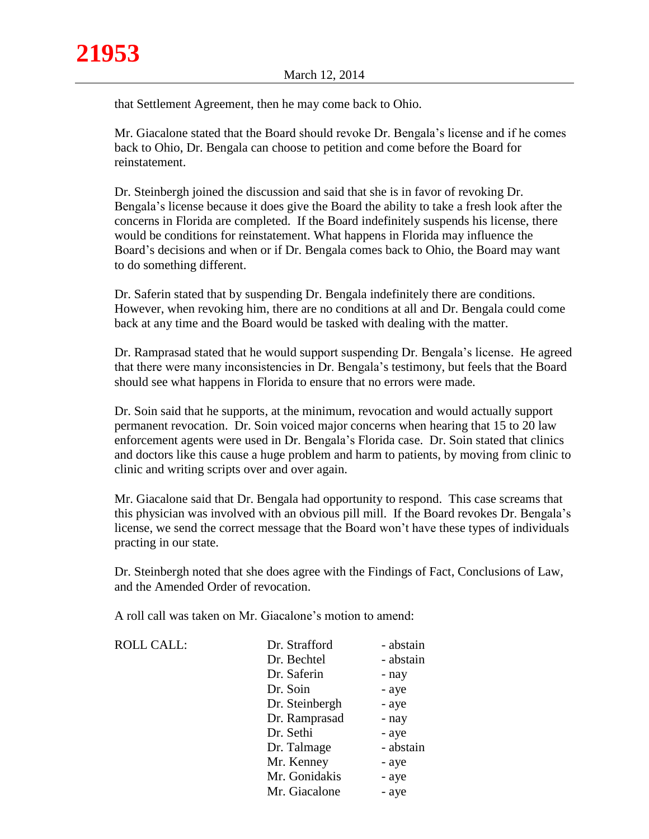that Settlement Agreement, then he may come back to Ohio.

Mr. Giacalone stated that the Board should revoke Dr. Bengala's license and if he comes back to Ohio, Dr. Bengala can choose to petition and come before the Board for reinstatement.

Dr. Steinbergh joined the discussion and said that she is in favor of revoking Dr. Bengala's license because it does give the Board the ability to take a fresh look after the concerns in Florida are completed. If the Board indefinitely suspends his license, there would be conditions for reinstatement. What happens in Florida may influence the Board's decisions and when or if Dr. Bengala comes back to Ohio, the Board may want to do something different.

Dr. Saferin stated that by suspending Dr. Bengala indefinitely there are conditions. However, when revoking him, there are no conditions at all and Dr. Bengala could come back at any time and the Board would be tasked with dealing with the matter.

Dr. Ramprasad stated that he would support suspending Dr. Bengala's license. He agreed that there were many inconsistencies in Dr. Bengala's testimony, but feels that the Board should see what happens in Florida to ensure that no errors were made.

Dr. Soin said that he supports, at the minimum, revocation and would actually support permanent revocation. Dr. Soin voiced major concerns when hearing that 15 to 20 law enforcement agents were used in Dr. Bengala's Florida case. Dr. Soin stated that clinics and doctors like this cause a huge problem and harm to patients, by moving from clinic to clinic and writing scripts over and over again.

Mr. Giacalone said that Dr. Bengala had opportunity to respond. This case screams that this physician was involved with an obvious pill mill. If the Board revokes Dr. Bengala's license, we send the correct message that the Board won't have these types of individuals practing in our state.

Dr. Steinbergh noted that she does agree with the Findings of Fact, Conclusions of Law, and the Amended Order of revocation.

A roll call was taken on Mr. Giacalone's motion to amend:

ROLL CALL:

| Dr. Strafford  | - abstain |
|----------------|-----------|
| Dr. Bechtel    | - abstain |
| Dr. Saferin    | - nay     |
| Dr. Soin       | - aye     |
| Dr. Steinbergh | - aye     |
| Dr. Ramprasad  | - nay     |
| Dr. Sethi      | - aye     |
| Dr. Talmage    | - abstain |
| Mr. Kenney     | - aye     |
| Mr. Gonidakis  | - aye     |
| Mr. Giacalone  | - aye     |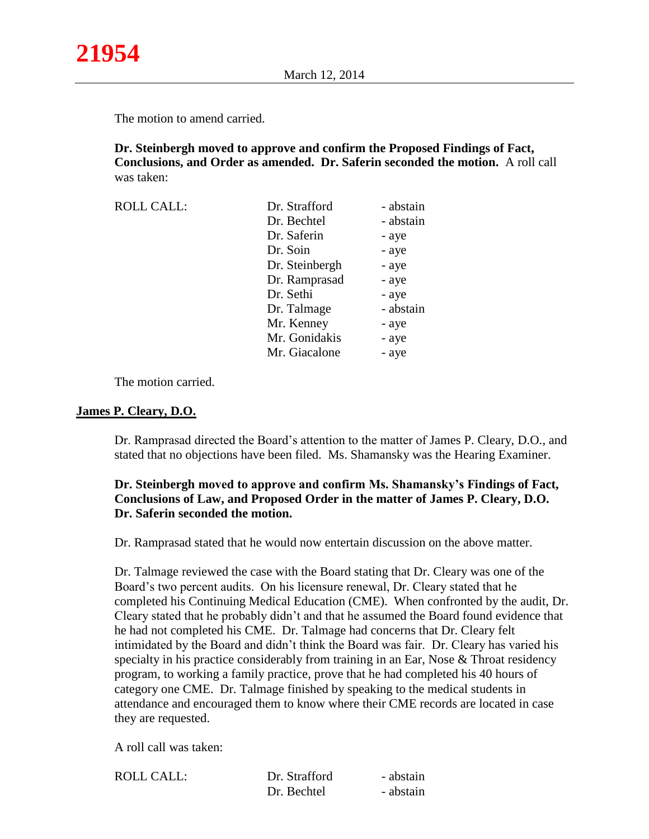The motion to amend carried.

**Dr. Steinbergh moved to approve and confirm the Proposed Findings of Fact, Conclusions, and Order as amended. Dr. Saferin seconded the motion.** A roll call was taken:

| <b>ROLL CALL:</b> | Dr. Strafford  | - abstain |
|-------------------|----------------|-----------|
|                   | Dr. Bechtel    | - abstain |
|                   | Dr. Saferin    | - aye     |
|                   | Dr. Soin       | - aye     |
|                   | Dr. Steinbergh | - aye     |
|                   | Dr. Ramprasad  | - aye     |
|                   | Dr. Sethi      | - aye     |
|                   | Dr. Talmage    | - abstain |
|                   | Mr. Kenney     | - aye     |
|                   | Mr. Gonidakis  | - aye     |
|                   | Mr. Giacalone  | - aye     |

The motion carried.

### **James P. Cleary, D.O.**

Dr. Ramprasad directed the Board's attention to the matter of James P. Cleary, D.O., and stated that no objections have been filed. Ms. Shamansky was the Hearing Examiner.

# **Dr. Steinbergh moved to approve and confirm Ms. Shamansky's Findings of Fact, Conclusions of Law, and Proposed Order in the matter of James P. Cleary, D.O. Dr. Saferin seconded the motion.**

Dr. Ramprasad stated that he would now entertain discussion on the above matter.

Dr. Talmage reviewed the case with the Board stating that Dr. Cleary was one of the Board's two percent audits. On his licensure renewal, Dr. Cleary stated that he completed his Continuing Medical Education (CME). When confronted by the audit, Dr. Cleary stated that he probably didn't and that he assumed the Board found evidence that he had not completed his CME. Dr. Talmage had concerns that Dr. Cleary felt intimidated by the Board and didn't think the Board was fair. Dr. Cleary has varied his specialty in his practice considerably from training in an Ear, Nose & Throat residency program, to working a family practice, prove that he had completed his 40 hours of category one CME. Dr. Talmage finished by speaking to the medical students in attendance and encouraged them to know where their CME records are located in case they are requested.

A roll call was taken:

| ROLL CALL: | Dr. Strafford | - abstain |
|------------|---------------|-----------|
|            | Dr. Bechtel   | - abstain |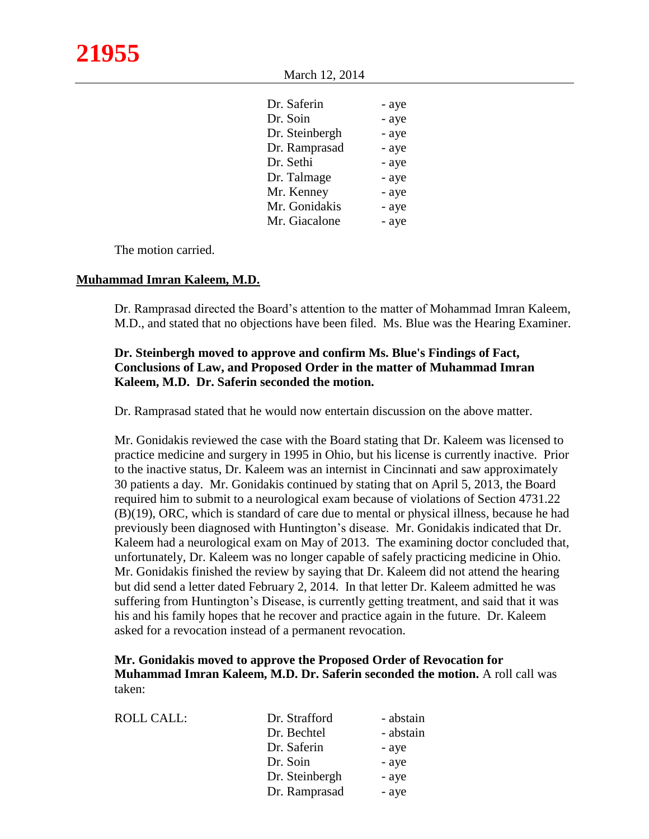March 12, 2014

| Dr. Saferin    | - aye |
|----------------|-------|
| Dr. Soin       | - aye |
| Dr. Steinbergh | - aye |
| Dr. Ramprasad  | - aye |
| Dr. Sethi      | - aye |
| Dr. Talmage    | - aye |
| Mr. Kenney     | - aye |
| Mr. Gonidakis  | - aye |
| Mr. Giacalone  | - aye |
|                |       |

The motion carried.

#### **Muhammad Imran Kaleem, M.D.**

Dr. Ramprasad directed the Board's attention to the matter of Mohammad Imran Kaleem, M.D., and stated that no objections have been filed. Ms. Blue was the Hearing Examiner.

## **Dr. Steinbergh moved to approve and confirm Ms. Blue's Findings of Fact, Conclusions of Law, and Proposed Order in the matter of Muhammad Imran Kaleem, M.D. Dr. Saferin seconded the motion.**

Dr. Ramprasad stated that he would now entertain discussion on the above matter.

Mr. Gonidakis reviewed the case with the Board stating that Dr. Kaleem was licensed to practice medicine and surgery in 1995 in Ohio, but his license is currently inactive. Prior to the inactive status, Dr. Kaleem was an internist in Cincinnati and saw approximately 30 patients a day. Mr. Gonidakis continued by stating that on April 5, 2013, the Board required him to submit to a neurological exam because of violations of Section 4731.22 (B)(19), ORC, which is standard of care due to mental or physical illness, because he had previously been diagnosed with Huntington's disease. Mr. Gonidakis indicated that Dr. Kaleem had a neurological exam on May of 2013. The examining doctor concluded that, unfortunately, Dr. Kaleem was no longer capable of safely practicing medicine in Ohio. Mr. Gonidakis finished the review by saying that Dr. Kaleem did not attend the hearing but did send a letter dated February 2, 2014. In that letter Dr. Kaleem admitted he was suffering from Huntington's Disease, is currently getting treatment, and said that it was his and his family hopes that he recover and practice again in the future. Dr. Kaleem asked for a revocation instead of a permanent revocation.

## **Mr. Gonidakis moved to approve the Proposed Order of Revocation for Muhammad Imran Kaleem, M.D. Dr. Saferin seconded the motion.** A roll call was taken:

| ROLL CALL: | Dr. Strafford  | - abstain |
|------------|----------------|-----------|
|            | Dr. Bechtel    | - abstain |
|            | Dr. Saferin    | - aye     |
|            | Dr. Soin       | - aye     |
|            | Dr. Steinbergh | - aye     |
|            | Dr. Ramprasad  | - aye     |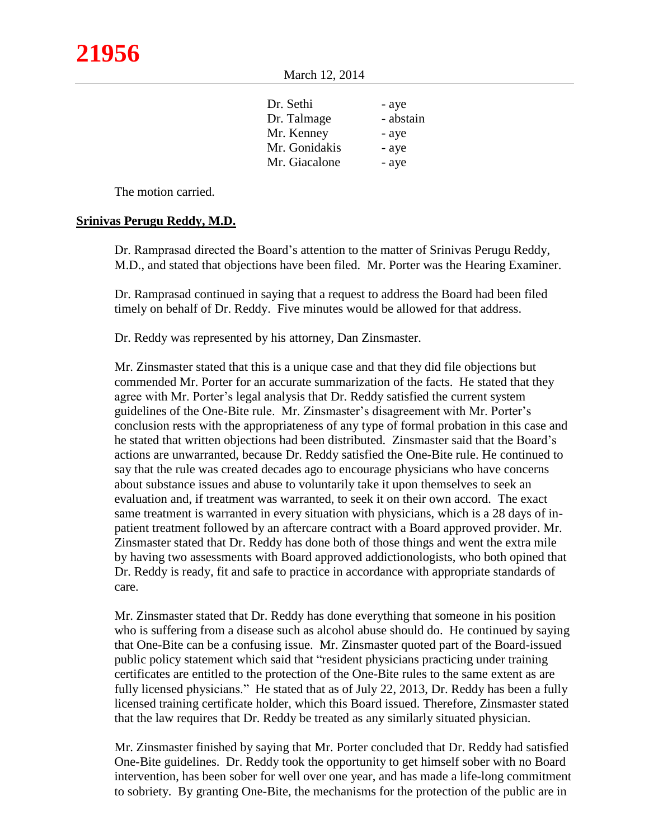March 12, 2014

| Dr. Sethi     | - aye     |
|---------------|-----------|
| Dr. Talmage   | - abstain |
| Mr. Kenney    | - aye     |
| Mr. Gonidakis | - aye     |
| Mr. Giacalone | - aye     |
|               |           |

The motion carried.

## **Srinivas Perugu Reddy, M.D.**

Dr. Ramprasad directed the Board's attention to the matter of Srinivas Perugu Reddy, M.D., and stated that objections have been filed. Mr. Porter was the Hearing Examiner.

Dr. Ramprasad continued in saying that a request to address the Board had been filed timely on behalf of Dr. Reddy. Five minutes would be allowed for that address.

Dr. Reddy was represented by his attorney, Dan Zinsmaster.

Mr. Zinsmaster stated that this is a unique case and that they did file objections but commended Mr. Porter for an accurate summarization of the facts. He stated that they agree with Mr. Porter's legal analysis that Dr. Reddy satisfied the current system guidelines of the One-Bite rule. Mr. Zinsmaster's disagreement with Mr. Porter's conclusion rests with the appropriateness of any type of formal probation in this case and he stated that written objections had been distributed. Zinsmaster said that the Board's actions are unwarranted, because Dr. Reddy satisfied the One-Bite rule. He continued to say that the rule was created decades ago to encourage physicians who have concerns about substance issues and abuse to voluntarily take it upon themselves to seek an evaluation and, if treatment was warranted, to seek it on their own accord. The exact same treatment is warranted in every situation with physicians, which is a 28 days of inpatient treatment followed by an aftercare contract with a Board approved provider. Mr. Zinsmaster stated that Dr. Reddy has done both of those things and went the extra mile by having two assessments with Board approved addictionologists, who both opined that Dr. Reddy is ready, fit and safe to practice in accordance with appropriate standards of care.

Mr. Zinsmaster stated that Dr. Reddy has done everything that someone in his position who is suffering from a disease such as alcohol abuse should do. He continued by saying that One-Bite can be a confusing issue. Mr. Zinsmaster quoted part of the Board-issued public policy statement which said that "resident physicians practicing under training certificates are entitled to the protection of the One-Bite rules to the same extent as are fully licensed physicians." He stated that as of July 22, 2013, Dr. Reddy has been a fully licensed training certificate holder, which this Board issued. Therefore, Zinsmaster stated that the law requires that Dr. Reddy be treated as any similarly situated physician.

Mr. Zinsmaster finished by saying that Mr. Porter concluded that Dr. Reddy had satisfied One-Bite guidelines. Dr. Reddy took the opportunity to get himself sober with no Board intervention, has been sober for well over one year, and has made a life-long commitment to sobriety. By granting One-Bite, the mechanisms for the protection of the public are in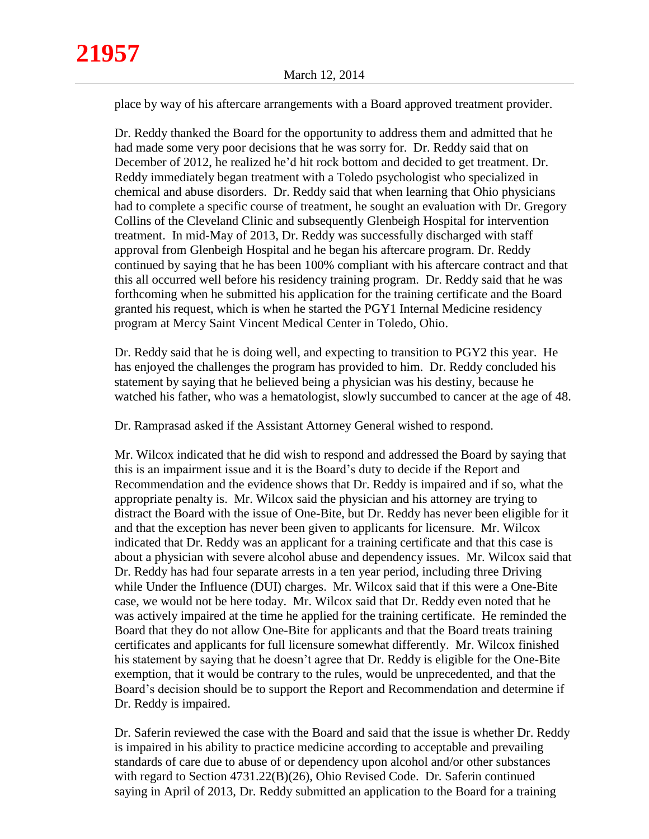place by way of his aftercare arrangements with a Board approved treatment provider.

Dr. Reddy thanked the Board for the opportunity to address them and admitted that he had made some very poor decisions that he was sorry for. Dr. Reddy said that on December of 2012, he realized he'd hit rock bottom and decided to get treatment. Dr. Reddy immediately began treatment with a Toledo psychologist who specialized in chemical and abuse disorders. Dr. Reddy said that when learning that Ohio physicians had to complete a specific course of treatment, he sought an evaluation with Dr. Gregory Collins of the Cleveland Clinic and subsequently Glenbeigh Hospital for intervention treatment. In mid-May of 2013, Dr. Reddy was successfully discharged with staff approval from Glenbeigh Hospital and he began his aftercare program. Dr. Reddy continued by saying that he has been 100% compliant with his aftercare contract and that this all occurred well before his residency training program. Dr. Reddy said that he was forthcoming when he submitted his application for the training certificate and the Board granted his request, which is when he started the PGY1 Internal Medicine residency program at Mercy Saint Vincent Medical Center in Toledo, Ohio.

Dr. Reddy said that he is doing well, and expecting to transition to PGY2 this year. He has enjoyed the challenges the program has provided to him. Dr. Reddy concluded his statement by saying that he believed being a physician was his destiny, because he watched his father, who was a hematologist, slowly succumbed to cancer at the age of 48.

Dr. Ramprasad asked if the Assistant Attorney General wished to respond.

Mr. Wilcox indicated that he did wish to respond and addressed the Board by saying that this is an impairment issue and it is the Board's duty to decide if the Report and Recommendation and the evidence shows that Dr. Reddy is impaired and if so, what the appropriate penalty is. Mr. Wilcox said the physician and his attorney are trying to distract the Board with the issue of One-Bite, but Dr. Reddy has never been eligible for it and that the exception has never been given to applicants for licensure. Mr. Wilcox indicated that Dr. Reddy was an applicant for a training certificate and that this case is about a physician with severe alcohol abuse and dependency issues. Mr. Wilcox said that Dr. Reddy has had four separate arrests in a ten year period, including three Driving while Under the Influence (DUI) charges. Mr. Wilcox said that if this were a One-Bite case, we would not be here today. Mr. Wilcox said that Dr. Reddy even noted that he was actively impaired at the time he applied for the training certificate. He reminded the Board that they do not allow One-Bite for applicants and that the Board treats training certificates and applicants for full licensure somewhat differently. Mr. Wilcox finished his statement by saying that he doesn't agree that Dr. Reddy is eligible for the One-Bite exemption, that it would be contrary to the rules, would be unprecedented, and that the Board's decision should be to support the Report and Recommendation and determine if Dr. Reddy is impaired.

Dr. Saferin reviewed the case with the Board and said that the issue is whether Dr. Reddy is impaired in his ability to practice medicine according to acceptable and prevailing standards of care due to abuse of or dependency upon alcohol and/or other substances with regard to Section 4731.22(B)(26), Ohio Revised Code. Dr. Saferin continued saying in April of 2013, Dr. Reddy submitted an application to the Board for a training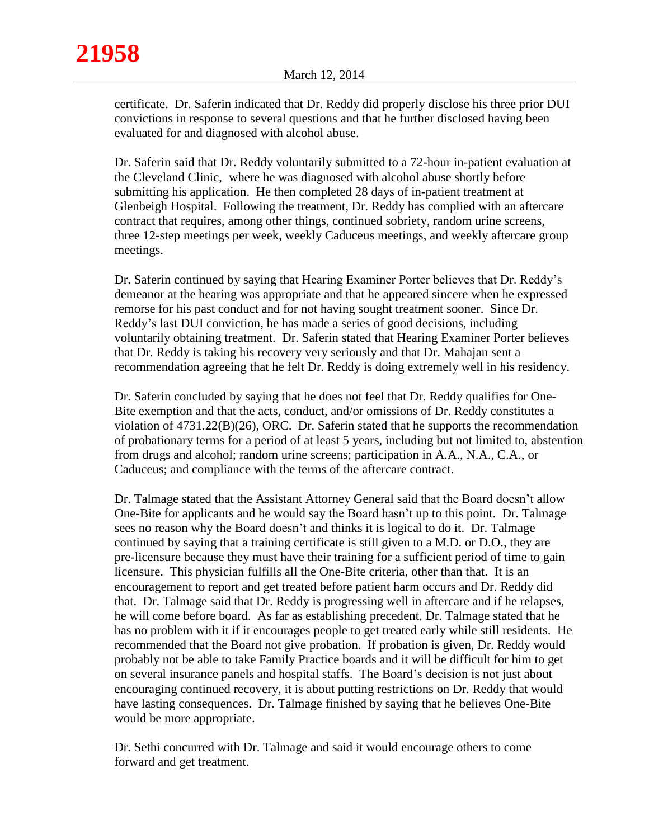certificate. Dr. Saferin indicated that Dr. Reddy did properly disclose his three prior DUI convictions in response to several questions and that he further disclosed having been evaluated for and diagnosed with alcohol abuse.

Dr. Saferin said that Dr. Reddy voluntarily submitted to a 72-hour in-patient evaluation at the Cleveland Clinic, where he was diagnosed with alcohol abuse shortly before submitting his application. He then completed 28 days of in-patient treatment at Glenbeigh Hospital. Following the treatment, Dr. Reddy has complied with an aftercare contract that requires, among other things, continued sobriety, random urine screens, three 12-step meetings per week, weekly Caduceus meetings, and weekly aftercare group meetings.

Dr. Saferin continued by saying that Hearing Examiner Porter believes that Dr. Reddy's demeanor at the hearing was appropriate and that he appeared sincere when he expressed remorse for his past conduct and for not having sought treatment sooner. Since Dr. Reddy's last DUI conviction, he has made a series of good decisions, including voluntarily obtaining treatment. Dr. Saferin stated that Hearing Examiner Porter believes that Dr. Reddy is taking his recovery very seriously and that Dr. Mahajan sent a recommendation agreeing that he felt Dr. Reddy is doing extremely well in his residency.

Dr. Saferin concluded by saying that he does not feel that Dr. Reddy qualifies for One-Bite exemption and that the acts, conduct, and/or omissions of Dr. Reddy constitutes a violation of 4731.22(B)(26), ORC. Dr. Saferin stated that he supports the recommendation of probationary terms for a period of at least 5 years, including but not limited to, abstention from drugs and alcohol; random urine screens; participation in A.A., N.A., C.A., or Caduceus; and compliance with the terms of the aftercare contract.

Dr. Talmage stated that the Assistant Attorney General said that the Board doesn't allow One-Bite for applicants and he would say the Board hasn't up to this point. Dr. Talmage sees no reason why the Board doesn't and thinks it is logical to do it. Dr. Talmage continued by saying that a training certificate is still given to a M.D. or D.O., they are pre-licensure because they must have their training for a sufficient period of time to gain licensure. This physician fulfills all the One-Bite criteria, other than that. It is an encouragement to report and get treated before patient harm occurs and Dr. Reddy did that. Dr. Talmage said that Dr. Reddy is progressing well in aftercare and if he relapses, he will come before board. As far as establishing precedent, Dr. Talmage stated that he has no problem with it if it encourages people to get treated early while still residents. He recommended that the Board not give probation. If probation is given, Dr. Reddy would probably not be able to take Family Practice boards and it will be difficult for him to get on several insurance panels and hospital staffs. The Board's decision is not just about encouraging continued recovery, it is about putting restrictions on Dr. Reddy that would have lasting consequences. Dr. Talmage finished by saying that he believes One-Bite would be more appropriate.

Dr. Sethi concurred with Dr. Talmage and said it would encourage others to come forward and get treatment.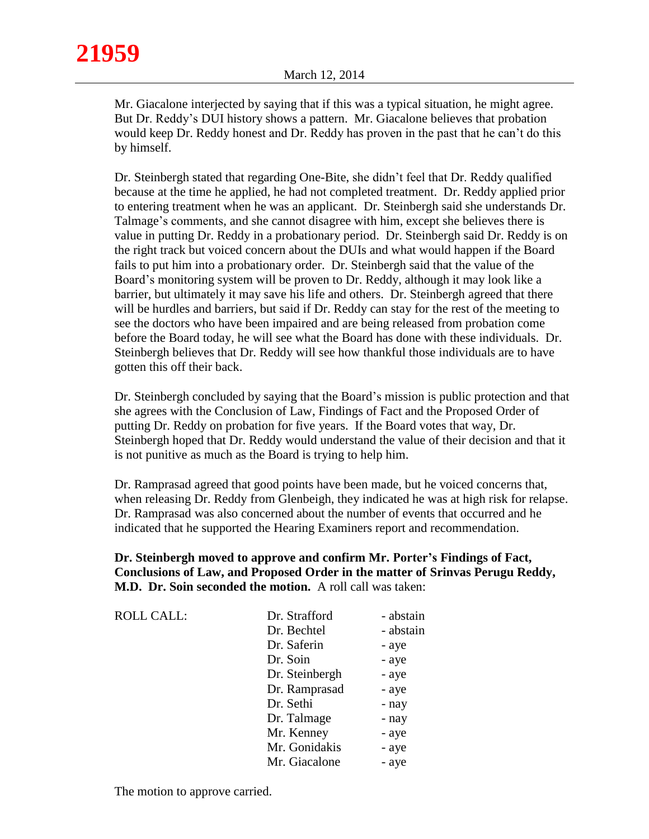Mr. Giacalone interjected by saying that if this was a typical situation, he might agree. But Dr. Reddy's DUI history shows a pattern. Mr. Giacalone believes that probation would keep Dr. Reddy honest and Dr. Reddy has proven in the past that he can't do this by himself.

Dr. Steinbergh stated that regarding One-Bite, she didn't feel that Dr. Reddy qualified because at the time he applied, he had not completed treatment. Dr. Reddy applied prior to entering treatment when he was an applicant. Dr. Steinbergh said she understands Dr. Talmage's comments, and she cannot disagree with him, except she believes there is value in putting Dr. Reddy in a probationary period. Dr. Steinbergh said Dr. Reddy is on the right track but voiced concern about the DUIs and what would happen if the Board fails to put him into a probationary order. Dr. Steinbergh said that the value of the Board's monitoring system will be proven to Dr. Reddy, although it may look like a barrier, but ultimately it may save his life and others. Dr. Steinbergh agreed that there will be hurdles and barriers, but said if Dr. Reddy can stay for the rest of the meeting to see the doctors who have been impaired and are being released from probation come before the Board today, he will see what the Board has done with these individuals. Dr. Steinbergh believes that Dr. Reddy will see how thankful those individuals are to have gotten this off their back.

Dr. Steinbergh concluded by saying that the Board's mission is public protection and that she agrees with the Conclusion of Law, Findings of Fact and the Proposed Order of putting Dr. Reddy on probation for five years. If the Board votes that way, Dr. Steinbergh hoped that Dr. Reddy would understand the value of their decision and that it is not punitive as much as the Board is trying to help him.

Dr. Ramprasad agreed that good points have been made, but he voiced concerns that, when releasing Dr. Reddy from Glenbeigh, they indicated he was at high risk for relapse. Dr. Ramprasad was also concerned about the number of events that occurred and he indicated that he supported the Hearing Examiners report and recommendation.

# **Dr. Steinbergh moved to approve and confirm Mr. Porter's Findings of Fact, Conclusions of Law, and Proposed Order in the matter of Srinvas Perugu Reddy, M.D. Dr. Soin seconded the motion.** A roll call was taken:

| <b>ROLL CALL:</b> | Dr. Strafford  | - abstain |
|-------------------|----------------|-----------|
|                   | Dr. Bechtel    | - abstain |
|                   | Dr. Saferin    | - aye     |
|                   | Dr. Soin       | - aye     |
|                   | Dr. Steinbergh | - aye     |
|                   | Dr. Ramprasad  | - aye     |
|                   | Dr. Sethi      | - nay     |
|                   | Dr. Talmage    | - nay     |
|                   | Mr. Kenney     | - aye     |
|                   | Mr. Gonidakis  | - aye     |
|                   | Mr. Giacalone  | - aye     |

The motion to approve carried.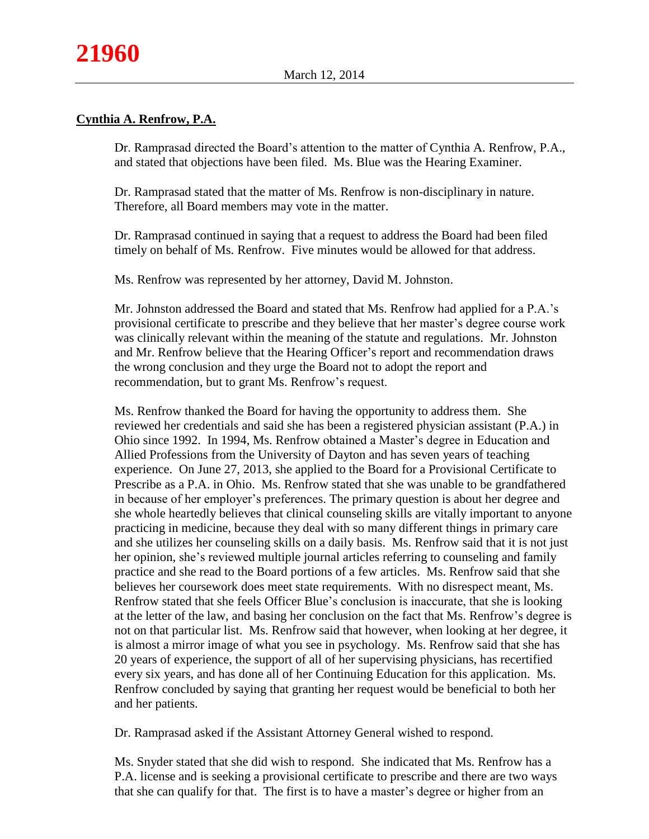# **Cynthia A. Renfrow, P.A.**

Dr. Ramprasad directed the Board's attention to the matter of Cynthia A. Renfrow, P.A., and stated that objections have been filed. Ms. Blue was the Hearing Examiner.

Dr. Ramprasad stated that the matter of Ms. Renfrow is non-disciplinary in nature. Therefore, all Board members may vote in the matter.

Dr. Ramprasad continued in saying that a request to address the Board had been filed timely on behalf of Ms. Renfrow. Five minutes would be allowed for that address.

Ms. Renfrow was represented by her attorney, David M. Johnston.

Mr. Johnston addressed the Board and stated that Ms. Renfrow had applied for a P.A.'s provisional certificate to prescribe and they believe that her master's degree course work was clinically relevant within the meaning of the statute and regulations. Mr. Johnston and Mr. Renfrow believe that the Hearing Officer's report and recommendation draws the wrong conclusion and they urge the Board not to adopt the report and recommendation, but to grant Ms. Renfrow's request.

Ms. Renfrow thanked the Board for having the opportunity to address them. She reviewed her credentials and said she has been a registered physician assistant (P.A.) in Ohio since 1992. In 1994, Ms. Renfrow obtained a Master's degree in Education and Allied Professions from the University of Dayton and has seven years of teaching experience. On June 27, 2013, she applied to the Board for a Provisional Certificate to Prescribe as a P.A. in Ohio. Ms. Renfrow stated that she was unable to be grandfathered in because of her employer's preferences. The primary question is about her degree and she whole heartedly believes that clinical counseling skills are vitally important to anyone practicing in medicine, because they deal with so many different things in primary care and she utilizes her counseling skills on a daily basis. Ms. Renfrow said that it is not just her opinion, she's reviewed multiple journal articles referring to counseling and family practice and she read to the Board portions of a few articles. Ms. Renfrow said that she believes her coursework does meet state requirements. With no disrespect meant, Ms. Renfrow stated that she feels Officer Blue's conclusion is inaccurate, that she is looking at the letter of the law, and basing her conclusion on the fact that Ms. Renfrow's degree is not on that particular list. Ms. Renfrow said that however, when looking at her degree, it is almost a mirror image of what you see in psychology. Ms. Renfrow said that she has 20 years of experience, the support of all of her supervising physicians, has recertified every six years, and has done all of her Continuing Education for this application. Ms. Renfrow concluded by saying that granting her request would be beneficial to both her and her patients.

Dr. Ramprasad asked if the Assistant Attorney General wished to respond.

Ms. Snyder stated that she did wish to respond. She indicated that Ms. Renfrow has a P.A. license and is seeking a provisional certificate to prescribe and there are two ways that she can qualify for that. The first is to have a master's degree or higher from an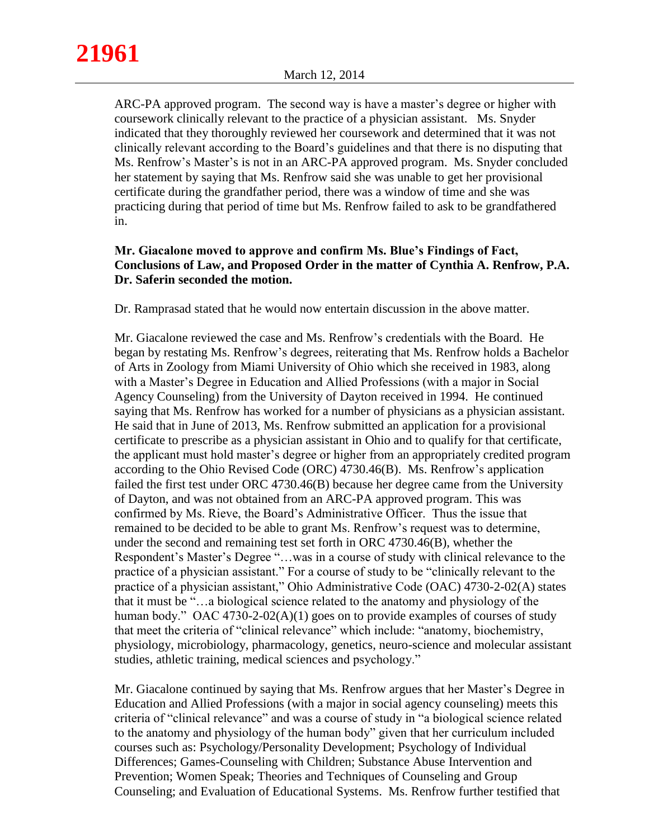ARC-PA approved program. The second way is have a master's degree or higher with coursework clinically relevant to the practice of a physician assistant. Ms. Snyder indicated that they thoroughly reviewed her coursework and determined that it was not clinically relevant according to the Board's guidelines and that there is no disputing that Ms. Renfrow's Master's is not in an ARC-PA approved program. Ms. Snyder concluded her statement by saying that Ms. Renfrow said she was unable to get her provisional certificate during the grandfather period, there was a window of time and she was practicing during that period of time but Ms. Renfrow failed to ask to be grandfathered in.

# **Mr. Giacalone moved to approve and confirm Ms. Blue's Findings of Fact, Conclusions of Law, and Proposed Order in the matter of Cynthia A. Renfrow, P.A. Dr. Saferin seconded the motion.**

Dr. Ramprasad stated that he would now entertain discussion in the above matter.

Mr. Giacalone reviewed the case and Ms. Renfrow's credentials with the Board. He began by restating Ms. Renfrow's degrees, reiterating that Ms. Renfrow holds a Bachelor of Arts in Zoology from Miami University of Ohio which she received in 1983, along with a Master's Degree in Education and Allied Professions (with a major in Social Agency Counseling) from the University of Dayton received in 1994. He continued saying that Ms. Renfrow has worked for a number of physicians as a physician assistant. He said that in June of 2013, Ms. Renfrow submitted an application for a provisional certificate to prescribe as a physician assistant in Ohio and to qualify for that certificate, the applicant must hold master's degree or higher from an appropriately credited program according to the Ohio Revised Code (ORC) 4730.46(B). Ms. Renfrow's application failed the first test under ORC 4730.46(B) because her degree came from the University of Dayton, and was not obtained from an ARC-PA approved program. This was confirmed by Ms. Rieve, the Board's Administrative Officer. Thus the issue that remained to be decided to be able to grant Ms. Renfrow's request was to determine, under the second and remaining test set forth in ORC 4730.46(B), whether the Respondent's Master's Degree "…was in a course of study with clinical relevance to the practice of a physician assistant." For a course of study to be "clinically relevant to the practice of a physician assistant," Ohio Administrative Code (OAC) 4730-2-02(A) states that it must be "…a biological science related to the anatomy and physiology of the human body." OAC 4730-2-02(A)(1) goes on to provide examples of courses of study that meet the criteria of "clinical relevance" which include: "anatomy, biochemistry, physiology, microbiology, pharmacology, genetics, neuro-science and molecular assistant studies, athletic training, medical sciences and psychology."

Mr. Giacalone continued by saying that Ms. Renfrow argues that her Master's Degree in Education and Allied Professions (with a major in social agency counseling) meets this criteria of "clinical relevance" and was a course of study in "a biological science related to the anatomy and physiology of the human body" given that her curriculum included courses such as: Psychology/Personality Development; Psychology of Individual Differences; Games-Counseling with Children; Substance Abuse Intervention and Prevention; Women Speak; Theories and Techniques of Counseling and Group Counseling; and Evaluation of Educational Systems. Ms. Renfrow further testified that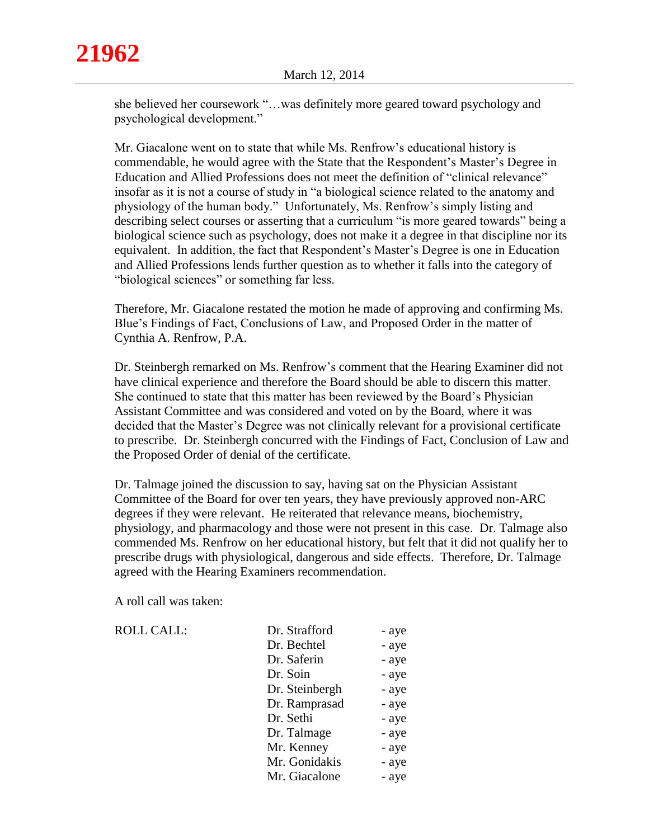she believed her coursework "…was definitely more geared toward psychology and psychological development."

Mr. Giacalone went on to state that while Ms. Renfrow's educational history is commendable, he would agree with the State that the Respondent's Master's Degree in Education and Allied Professions does not meet the definition of "clinical relevance" insofar as it is not a course of study in "a biological science related to the anatomy and physiology of the human body." Unfortunately, Ms. Renfrow's simply listing and describing select courses or asserting that a curriculum "is more geared towards" being a biological science such as psychology, does not make it a degree in that discipline nor its equivalent. In addition, the fact that Respondent's Master's Degree is one in Education and Allied Professions lends further question as to whether it falls into the category of "biological sciences" or something far less.

Therefore, Mr. Giacalone restated the motion he made of approving and confirming Ms. Blue's Findings of Fact, Conclusions of Law, and Proposed Order in the matter of Cynthia A. Renfrow, P.A.

Dr. Steinbergh remarked on Ms. Renfrow's comment that the Hearing Examiner did not have clinical experience and therefore the Board should be able to discern this matter. She continued to state that this matter has been reviewed by the Board's Physician Assistant Committee and was considered and voted on by the Board, where it was decided that the Master's Degree was not clinically relevant for a provisional certificate to prescribe. Dr. Steinbergh concurred with the Findings of Fact, Conclusion of Law and the Proposed Order of denial of the certificate.

Dr. Talmage joined the discussion to say, having sat on the Physician Assistant Committee of the Board for over ten years, they have previously approved non-ARC degrees if they were relevant. He reiterated that relevance means, biochemistry, physiology, and pharmacology and those were not present in this case. Dr. Talmage also commended Ms. Renfrow on her educational history, but felt that it did not qualify her to prescribe drugs with physiological, dangerous and side effects. Therefore, Dr. Talmage agreed with the Hearing Examiners recommendation.

A roll call was taken:

ROLL CALL:

| Dr. Strafford  | - aye |
|----------------|-------|
| Dr. Bechtel    | - aye |
| Dr. Saferin    | - aye |
| Dr. Soin       | - aye |
| Dr. Steinbergh | - aye |
| Dr. Ramprasad  | - aye |
| Dr. Sethi      | - aye |
| Dr. Talmage    | - aye |
| Mr. Kenney     | - aye |
| Mr. Gonidakis  | - aye |
| Mr. Giacalone  | - aye |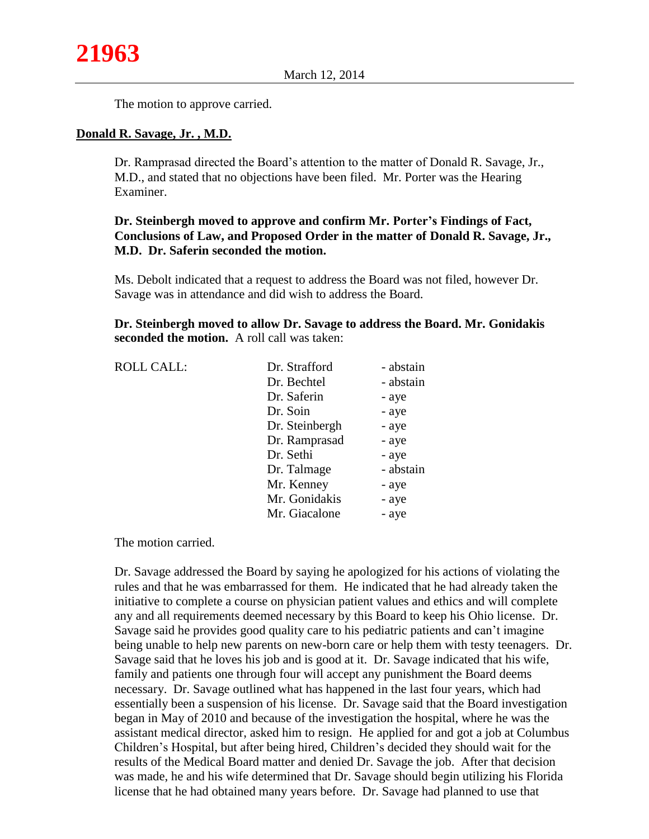The motion to approve carried.

### **Donald R. Savage, Jr. , M.D.**

Dr. Ramprasad directed the Board's attention to the matter of Donald R. Savage, Jr., M.D., and stated that no objections have been filed. Mr. Porter was the Hearing Examiner.

# **Dr. Steinbergh moved to approve and confirm Mr. Porter's Findings of Fact, Conclusions of Law, and Proposed Order in the matter of Donald R. Savage, Jr., M.D. Dr. Saferin seconded the motion.**

Ms. Debolt indicated that a request to address the Board was not filed, however Dr. Savage was in attendance and did wish to address the Board.

**Dr. Steinbergh moved to allow Dr. Savage to address the Board. Mr. Gonidakis seconded the motion.** A roll call was taken:

| <b>ROLL CALL:</b> | Dr. Strafford  | - abstain |
|-------------------|----------------|-----------|
|                   | Dr. Bechtel    | - abstain |
|                   | Dr. Saferin    | - aye     |
|                   | Dr. Soin       | - aye     |
|                   | Dr. Steinbergh | - aye     |
|                   | Dr. Ramprasad  | - aye     |
|                   | Dr. Sethi      | - aye     |
|                   | Dr. Talmage    | - abstain |
|                   | Mr. Kenney     | - aye     |
|                   | Mr. Gonidakis  | - aye     |
|                   | Mr. Giacalone  | - aye     |
|                   |                |           |

The motion carried.

Dr. Savage addressed the Board by saying he apologized for his actions of violating the rules and that he was embarrassed for them. He indicated that he had already taken the initiative to complete a course on physician patient values and ethics and will complete any and all requirements deemed necessary by this Board to keep his Ohio license. Dr. Savage said he provides good quality care to his pediatric patients and can't imagine being unable to help new parents on new-born care or help them with testy teenagers. Dr. Savage said that he loves his job and is good at it. Dr. Savage indicated that his wife, family and patients one through four will accept any punishment the Board deems necessary. Dr. Savage outlined what has happened in the last four years, which had essentially been a suspension of his license. Dr. Savage said that the Board investigation began in May of 2010 and because of the investigation the hospital, where he was the assistant medical director, asked him to resign. He applied for and got a job at Columbus Children's Hospital, but after being hired, Children's decided they should wait for the results of the Medical Board matter and denied Dr. Savage the job. After that decision was made, he and his wife determined that Dr. Savage should begin utilizing his Florida license that he had obtained many years before. Dr. Savage had planned to use that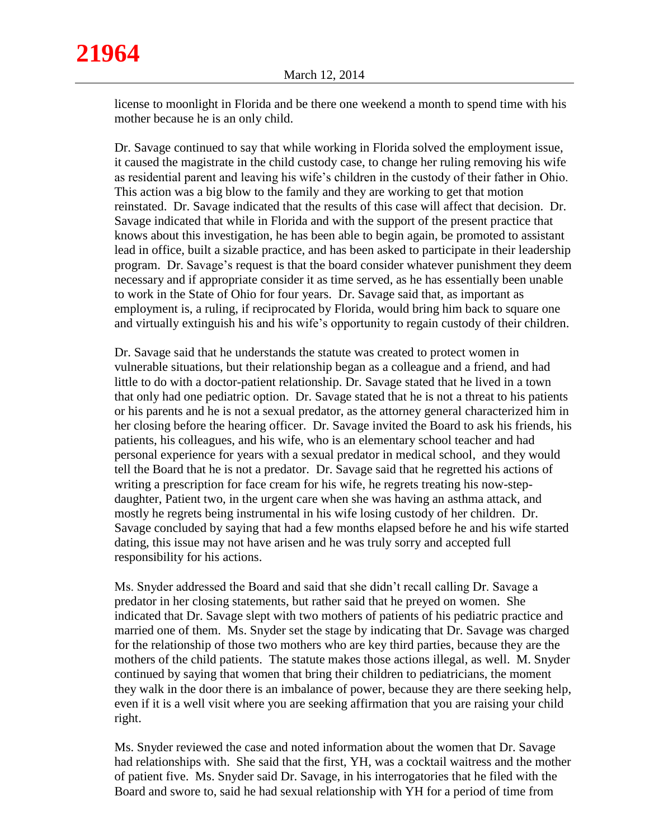**21964**

license to moonlight in Florida and be there one weekend a month to spend time with his mother because he is an only child.

Dr. Savage continued to say that while working in Florida solved the employment issue, it caused the magistrate in the child custody case, to change her ruling removing his wife as residential parent and leaving his wife's children in the custody of their father in Ohio. This action was a big blow to the family and they are working to get that motion reinstated. Dr. Savage indicated that the results of this case will affect that decision. Dr. Savage indicated that while in Florida and with the support of the present practice that knows about this investigation, he has been able to begin again, be promoted to assistant lead in office, built a sizable practice, and has been asked to participate in their leadership program. Dr. Savage's request is that the board consider whatever punishment they deem necessary and if appropriate consider it as time served, as he has essentially been unable to work in the State of Ohio for four years. Dr. Savage said that, as important as employment is, a ruling, if reciprocated by Florida, would bring him back to square one and virtually extinguish his and his wife's opportunity to regain custody of their children.

Dr. Savage said that he understands the statute was created to protect women in vulnerable situations, but their relationship began as a colleague and a friend, and had little to do with a doctor-patient relationship. Dr. Savage stated that he lived in a town that only had one pediatric option. Dr. Savage stated that he is not a threat to his patients or his parents and he is not a sexual predator, as the attorney general characterized him in her closing before the hearing officer. Dr. Savage invited the Board to ask his friends, his patients, his colleagues, and his wife, who is an elementary school teacher and had personal experience for years with a sexual predator in medical school, and they would tell the Board that he is not a predator. Dr. Savage said that he regretted his actions of writing a prescription for face cream for his wife, he regrets treating his now-stepdaughter, Patient two, in the urgent care when she was having an asthma attack, and mostly he regrets being instrumental in his wife losing custody of her children. Dr. Savage concluded by saying that had a few months elapsed before he and his wife started dating, this issue may not have arisen and he was truly sorry and accepted full responsibility for his actions.

Ms. Snyder addressed the Board and said that she didn't recall calling Dr. Savage a predator in her closing statements, but rather said that he preyed on women. She indicated that Dr. Savage slept with two mothers of patients of his pediatric practice and married one of them. Ms. Snyder set the stage by indicating that Dr. Savage was charged for the relationship of those two mothers who are key third parties, because they are the mothers of the child patients. The statute makes those actions illegal, as well. M. Snyder continued by saying that women that bring their children to pediatricians, the moment they walk in the door there is an imbalance of power, because they are there seeking help, even if it is a well visit where you are seeking affirmation that you are raising your child right.

Ms. Snyder reviewed the case and noted information about the women that Dr. Savage had relationships with. She said that the first, YH, was a cocktail waitress and the mother of patient five. Ms. Snyder said Dr. Savage, in his interrogatories that he filed with the Board and swore to, said he had sexual relationship with YH for a period of time from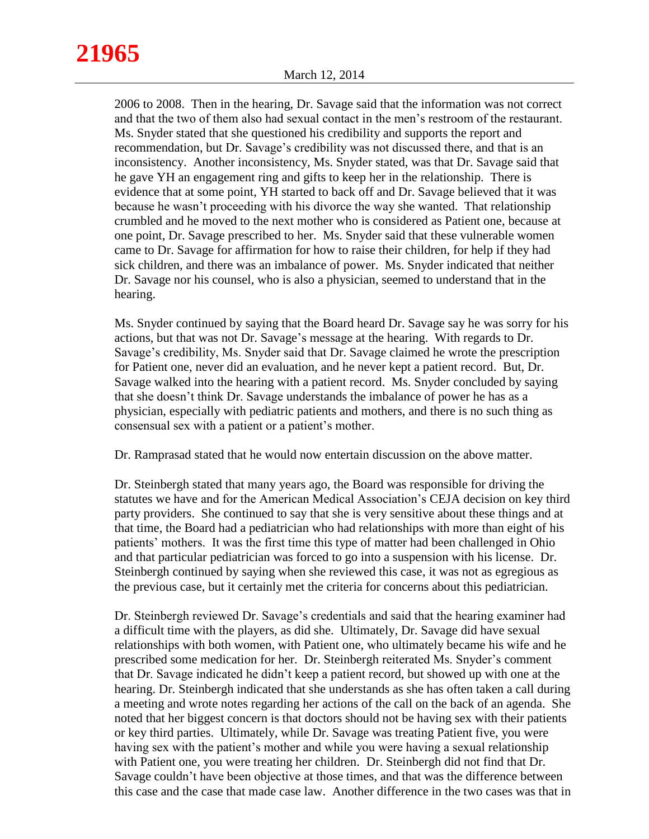# **21965**

2006 to 2008. Then in the hearing, Dr. Savage said that the information was not correct and that the two of them also had sexual contact in the men's restroom of the restaurant. Ms. Snyder stated that she questioned his credibility and supports the report and recommendation, but Dr. Savage's credibility was not discussed there, and that is an inconsistency. Another inconsistency, Ms. Snyder stated, was that Dr. Savage said that he gave YH an engagement ring and gifts to keep her in the relationship. There is evidence that at some point, YH started to back off and Dr. Savage believed that it was because he wasn't proceeding with his divorce the way she wanted. That relationship crumbled and he moved to the next mother who is considered as Patient one, because at one point, Dr. Savage prescribed to her. Ms. Snyder said that these vulnerable women came to Dr. Savage for affirmation for how to raise their children, for help if they had sick children, and there was an imbalance of power. Ms. Snyder indicated that neither Dr. Savage nor his counsel, who is also a physician, seemed to understand that in the hearing.

Ms. Snyder continued by saying that the Board heard Dr. Savage say he was sorry for his actions, but that was not Dr. Savage's message at the hearing. With regards to Dr. Savage's credibility, Ms. Snyder said that Dr. Savage claimed he wrote the prescription for Patient one, never did an evaluation, and he never kept a patient record. But, Dr. Savage walked into the hearing with a patient record. Ms. Snyder concluded by saying that she doesn't think Dr. Savage understands the imbalance of power he has as a physician, especially with pediatric patients and mothers, and there is no such thing as consensual sex with a patient or a patient's mother.

Dr. Ramprasad stated that he would now entertain discussion on the above matter.

Dr. Steinbergh stated that many years ago, the Board was responsible for driving the statutes we have and for the American Medical Association's CEJA decision on key third party providers. She continued to say that she is very sensitive about these things and at that time, the Board had a pediatrician who had relationships with more than eight of his patients' mothers. It was the first time this type of matter had been challenged in Ohio and that particular pediatrician was forced to go into a suspension with his license. Dr. Steinbergh continued by saying when she reviewed this case, it was not as egregious as the previous case, but it certainly met the criteria for concerns about this pediatrician.

Dr. Steinbergh reviewed Dr. Savage's credentials and said that the hearing examiner had a difficult time with the players, as did she. Ultimately, Dr. Savage did have sexual relationships with both women, with Patient one, who ultimately became his wife and he prescribed some medication for her. Dr. Steinbergh reiterated Ms. Snyder's comment that Dr. Savage indicated he didn't keep a patient record, but showed up with one at the hearing. Dr. Steinbergh indicated that she understands as she has often taken a call during a meeting and wrote notes regarding her actions of the call on the back of an agenda. She noted that her biggest concern is that doctors should not be having sex with their patients or key third parties. Ultimately, while Dr. Savage was treating Patient five, you were having sex with the patient's mother and while you were having a sexual relationship with Patient one, you were treating her children. Dr. Steinbergh did not find that Dr. Savage couldn't have been objective at those times, and that was the difference between this case and the case that made case law. Another difference in the two cases was that in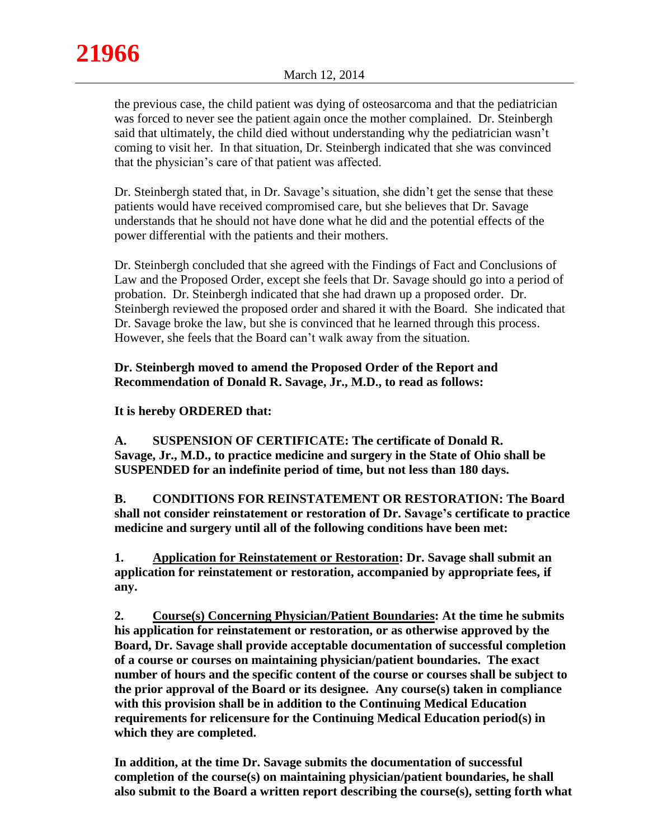the previous case, the child patient was dying of osteosarcoma and that the pediatrician was forced to never see the patient again once the mother complained. Dr. Steinbergh said that ultimately, the child died without understanding why the pediatrician wasn't coming to visit her. In that situation, Dr. Steinbergh indicated that she was convinced that the physician's care of that patient was affected.

Dr. Steinbergh stated that, in Dr. Savage's situation, she didn't get the sense that these patients would have received compromised care, but she believes that Dr. Savage understands that he should not have done what he did and the potential effects of the power differential with the patients and their mothers.

Dr. Steinbergh concluded that she agreed with the Findings of Fact and Conclusions of Law and the Proposed Order, except she feels that Dr. Savage should go into a period of probation. Dr. Steinbergh indicated that she had drawn up a proposed order. Dr. Steinbergh reviewed the proposed order and shared it with the Board. She indicated that Dr. Savage broke the law, but she is convinced that he learned through this process. However, she feels that the Board can't walk away from the situation.

# **Dr. Steinbergh moved to amend the Proposed Order of the Report and Recommendation of Donald R. Savage, Jr., M.D., to read as follows:**

# **It is hereby ORDERED that:**

**A. SUSPENSION OF CERTIFICATE: The certificate of Donald R. Savage, Jr., M.D., to practice medicine and surgery in the State of Ohio shall be SUSPENDED for an indefinite period of time, but not less than 180 days.**

**B. CONDITIONS FOR REINSTATEMENT OR RESTORATION: The Board shall not consider reinstatement or restoration of Dr. Savage's certificate to practice medicine and surgery until all of the following conditions have been met:**

**1. Application for Reinstatement or Restoration: Dr. Savage shall submit an application for reinstatement or restoration, accompanied by appropriate fees, if any.** 

**2. Course(s) Concerning Physician/Patient Boundaries: At the time he submits his application for reinstatement or restoration, or as otherwise approved by the Board, Dr. Savage shall provide acceptable documentation of successful completion of a course or courses on maintaining physician/patient boundaries. The exact number of hours and the specific content of the course or courses shall be subject to the prior approval of the Board or its designee. Any course(s) taken in compliance with this provision shall be in addition to the Continuing Medical Education requirements for relicensure for the Continuing Medical Education period(s) in which they are completed.** 

**In addition, at the time Dr. Savage submits the documentation of successful completion of the course(s) on maintaining physician/patient boundaries, he shall also submit to the Board a written report describing the course(s), setting forth what**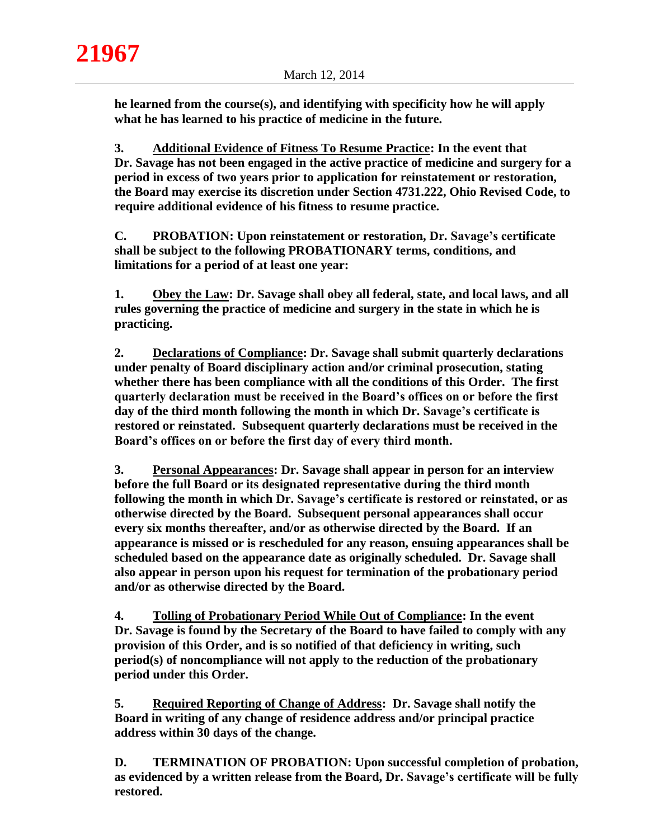**he learned from the course(s), and identifying with specificity how he will apply what he has learned to his practice of medicine in the future.**

**3. Additional Evidence of Fitness To Resume Practice: In the event that Dr. Savage has not been engaged in the active practice of medicine and surgery for a period in excess of two years prior to application for reinstatement or restoration, the Board may exercise its discretion under Section 4731.222, Ohio Revised Code, to require additional evidence of his fitness to resume practice.**

**C. PROBATION: Upon reinstatement or restoration, Dr. Savage's certificate shall be subject to the following PROBATIONARY terms, conditions, and limitations for a period of at least one year:**

**1. Obey the Law: Dr. Savage shall obey all federal, state, and local laws, and all rules governing the practice of medicine and surgery in the state in which he is practicing.** 

**2. Declarations of Compliance: Dr. Savage shall submit quarterly declarations under penalty of Board disciplinary action and/or criminal prosecution, stating whether there has been compliance with all the conditions of this Order. The first quarterly declaration must be received in the Board's offices on or before the first day of the third month following the month in which Dr. Savage's certificate is restored or reinstated. Subsequent quarterly declarations must be received in the Board's offices on or before the first day of every third month.**

**3. Personal Appearances: Dr. Savage shall appear in person for an interview before the full Board or its designated representative during the third month following the month in which Dr. Savage's certificate is restored or reinstated, or as otherwise directed by the Board. Subsequent personal appearances shall occur every six months thereafter, and/or as otherwise directed by the Board. If an appearance is missed or is rescheduled for any reason, ensuing appearances shall be scheduled based on the appearance date as originally scheduled. Dr. Savage shall also appear in person upon his request for termination of the probationary period and/or as otherwise directed by the Board.** 

**4. Tolling of Probationary Period While Out of Compliance: In the event Dr. Savage is found by the Secretary of the Board to have failed to comply with any provision of this Order, and is so notified of that deficiency in writing, such period(s) of noncompliance will not apply to the reduction of the probationary period under this Order.**

**5. Required Reporting of Change of Address: Dr. Savage shall notify the Board in writing of any change of residence address and/or principal practice address within 30 days of the change.**

**D. TERMINATION OF PROBATION: Upon successful completion of probation, as evidenced by a written release from the Board, Dr. Savage's certificate will be fully restored.**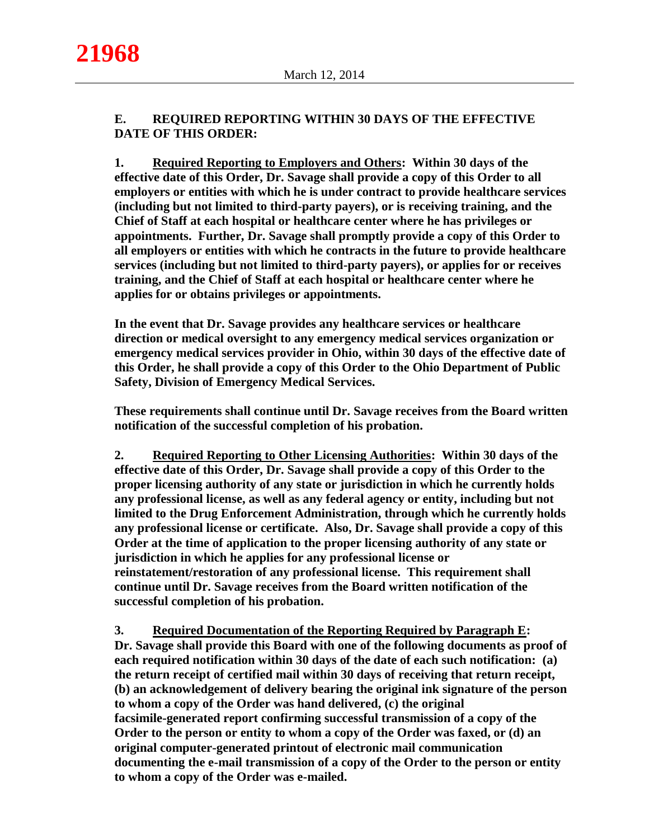# **E. REQUIRED REPORTING WITHIN 30 DAYS OF THE EFFECTIVE DATE OF THIS ORDER:**

**1. Required Reporting to Employers and Others: Within 30 days of the effective date of this Order, Dr. Savage shall provide a copy of this Order to all employers or entities with which he is under contract to provide healthcare services (including but not limited to third-party payers), or is receiving training, and the Chief of Staff at each hospital or healthcare center where he has privileges or appointments. Further, Dr. Savage shall promptly provide a copy of this Order to all employers or entities with which he contracts in the future to provide healthcare services (including but not limited to third-party payers), or applies for or receives training, and the Chief of Staff at each hospital or healthcare center where he applies for or obtains privileges or appointments.**

**In the event that Dr. Savage provides any healthcare services or healthcare direction or medical oversight to any emergency medical services organization or emergency medical services provider in Ohio, within 30 days of the effective date of this Order, he shall provide a copy of this Order to the Ohio Department of Public Safety, Division of Emergency Medical Services.** 

**These requirements shall continue until Dr. Savage receives from the Board written notification of the successful completion of his probation.**

**2. Required Reporting to Other Licensing Authorities: Within 30 days of the effective date of this Order, Dr. Savage shall provide a copy of this Order to the proper licensing authority of any state or jurisdiction in which he currently holds any professional license, as well as any federal agency or entity, including but not limited to the Drug Enforcement Administration, through which he currently holds any professional license or certificate. Also, Dr. Savage shall provide a copy of this Order at the time of application to the proper licensing authority of any state or jurisdiction in which he applies for any professional license or reinstatement/restoration of any professional license. This requirement shall continue until Dr. Savage receives from the Board written notification of the successful completion of his probation.**

**3. Required Documentation of the Reporting Required by Paragraph E: Dr. Savage shall provide this Board with one of the following documents as proof of each required notification within 30 days of the date of each such notification: (a) the return receipt of certified mail within 30 days of receiving that return receipt, (b) an acknowledgement of delivery bearing the original ink signature of the person to whom a copy of the Order was hand delivered, (c) the original facsimile-generated report confirming successful transmission of a copy of the Order to the person or entity to whom a copy of the Order was faxed, or (d) an original computer-generated printout of electronic mail communication documenting the e-mail transmission of a copy of the Order to the person or entity to whom a copy of the Order was e-mailed.**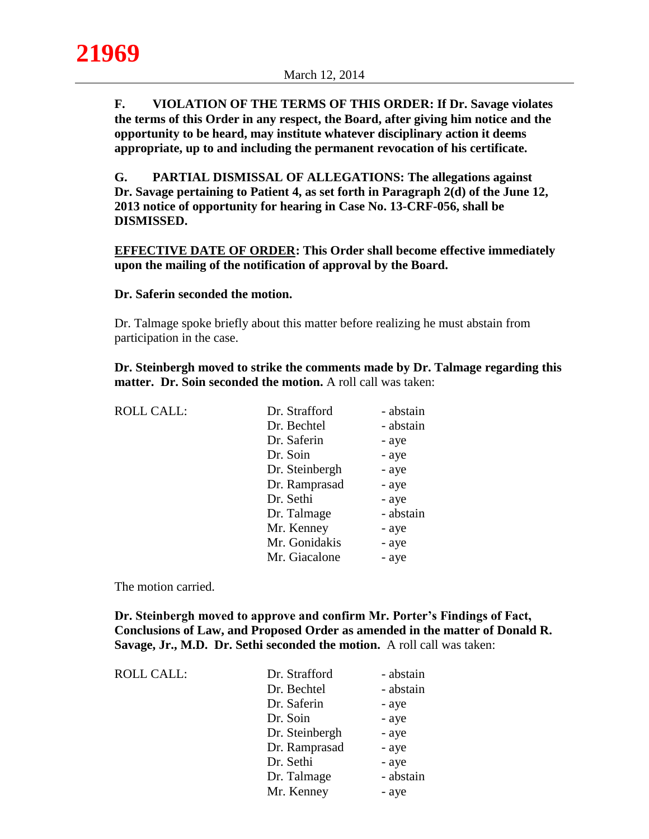**F. VIOLATION OF THE TERMS OF THIS ORDER: If Dr. Savage violates the terms of this Order in any respect, the Board, after giving him notice and the opportunity to be heard, may institute whatever disciplinary action it deems appropriate, up to and including the permanent revocation of his certificate.**

**G. PARTIAL DISMISSAL OF ALLEGATIONS: The allegations against Dr. Savage pertaining to Patient 4, as set forth in Paragraph 2(d) of the June 12, 2013 notice of opportunity for hearing in Case No. 13-CRF-056, shall be DISMISSED.**

**EFFECTIVE DATE OF ORDER: This Order shall become effective immediately upon the mailing of the notification of approval by the Board.**

#### **Dr. Saferin seconded the motion.**

Dr. Talmage spoke briefly about this matter before realizing he must abstain from participation in the case.

**Dr. Steinbergh moved to strike the comments made by Dr. Talmage regarding this matter. Dr. Soin seconded the motion.** A roll call was taken:

| <b>ROLL CALL:</b> | Dr. Strafford  | - abstain |
|-------------------|----------------|-----------|
|                   | Dr. Bechtel    | - abstain |
|                   | Dr. Saferin    | - aye     |
|                   | Dr. Soin       | - aye     |
|                   | Dr. Steinbergh | - aye     |
|                   | Dr. Ramprasad  | - aye     |
|                   | Dr. Sethi      | - aye     |
|                   | Dr. Talmage    | - abstain |
|                   | Mr. Kenney     | - aye     |
|                   | Mr. Gonidakis  | - aye     |
|                   | Mr. Giacalone  | - aye     |
|                   |                |           |

The motion carried.

**Dr. Steinbergh moved to approve and confirm Mr. Porter's Findings of Fact, Conclusions of Law, and Proposed Order as amended in the matter of Donald R. Savage, Jr., M.D. Dr. Sethi seconded the motion.** A roll call was taken:

| <b>ROLL CALL:</b> | Dr. Strafford  | - abstain |
|-------------------|----------------|-----------|
|                   | Dr. Bechtel    | - abstain |
|                   | Dr. Saferin    | - aye     |
|                   | Dr. Soin       | - aye     |
|                   | Dr. Steinbergh | - aye     |
|                   | Dr. Ramprasad  | - aye     |
|                   | Dr. Sethi      | - aye     |
|                   | Dr. Talmage    | - abstain |
|                   | Mr. Kenney     | - aye     |
|                   |                |           |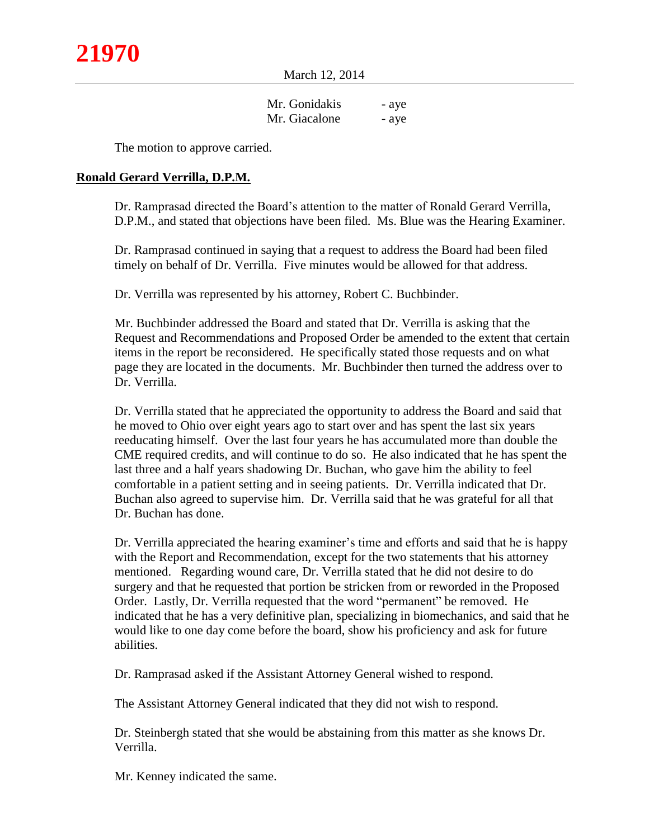March 12, 2014

| Mr. Gonidakis | - aye |
|---------------|-------|
| Mr. Giacalone | - aye |

The motion to approve carried.

## **Ronald Gerard Verrilla, D.P.M.**

Dr. Ramprasad directed the Board's attention to the matter of Ronald Gerard Verrilla, D.P.M., and stated that objections have been filed. Ms. Blue was the Hearing Examiner.

Dr. Ramprasad continued in saying that a request to address the Board had been filed timely on behalf of Dr. Verrilla. Five minutes would be allowed for that address.

Dr. Verrilla was represented by his attorney, Robert C. Buchbinder.

Mr. Buchbinder addressed the Board and stated that Dr. Verrilla is asking that the Request and Recommendations and Proposed Order be amended to the extent that certain items in the report be reconsidered. He specifically stated those requests and on what page they are located in the documents. Mr. Buchbinder then turned the address over to Dr. Verrilla.

Dr. Verrilla stated that he appreciated the opportunity to address the Board and said that he moved to Ohio over eight years ago to start over and has spent the last six years reeducating himself. Over the last four years he has accumulated more than double the CME required credits, and will continue to do so. He also indicated that he has spent the last three and a half years shadowing Dr. Buchan, who gave him the ability to feel comfortable in a patient setting and in seeing patients. Dr. Verrilla indicated that Dr. Buchan also agreed to supervise him. Dr. Verrilla said that he was grateful for all that Dr. Buchan has done.

Dr. Verrilla appreciated the hearing examiner's time and efforts and said that he is happy with the Report and Recommendation, except for the two statements that his attorney mentioned. Regarding wound care, Dr. Verrilla stated that he did not desire to do surgery and that he requested that portion be stricken from or reworded in the Proposed Order. Lastly, Dr. Verrilla requested that the word "permanent" be removed. He indicated that he has a very definitive plan, specializing in biomechanics, and said that he would like to one day come before the board, show his proficiency and ask for future abilities.

Dr. Ramprasad asked if the Assistant Attorney General wished to respond.

The Assistant Attorney General indicated that they did not wish to respond.

Dr. Steinbergh stated that she would be abstaining from this matter as she knows Dr. Verrilla.

Mr. Kenney indicated the same.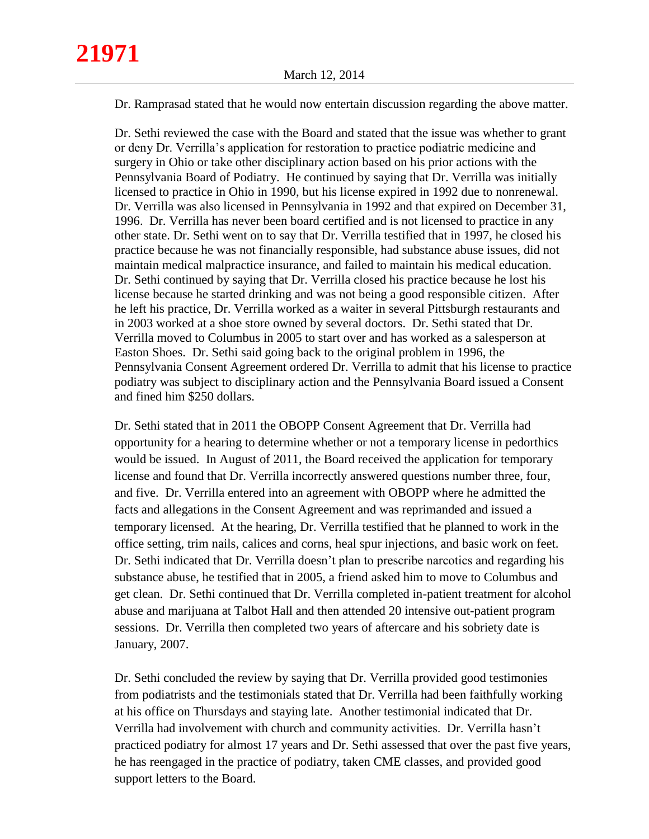Dr. Ramprasad stated that he would now entertain discussion regarding the above matter.

Dr. Sethi reviewed the case with the Board and stated that the issue was whether to grant or deny Dr. Verrilla's application for restoration to practice podiatric medicine and surgery in Ohio or take other disciplinary action based on his prior actions with the Pennsylvania Board of Podiatry. He continued by saying that Dr. Verrilla was initially licensed to practice in Ohio in 1990, but his license expired in 1992 due to nonrenewal. Dr. Verrilla was also licensed in Pennsylvania in 1992 and that expired on December 31, 1996. Dr. Verrilla has never been board certified and is not licensed to practice in any other state. Dr. Sethi went on to say that Dr. Verrilla testified that in 1997, he closed his practice because he was not financially responsible, had substance abuse issues, did not maintain medical malpractice insurance, and failed to maintain his medical education. Dr. Sethi continued by saying that Dr. Verrilla closed his practice because he lost his license because he started drinking and was not being a good responsible citizen. After he left his practice, Dr. Verrilla worked as a waiter in several Pittsburgh restaurants and in 2003 worked at a shoe store owned by several doctors. Dr. Sethi stated that Dr. Verrilla moved to Columbus in 2005 to start over and has worked as a salesperson at Easton Shoes. Dr. Sethi said going back to the original problem in 1996, the Pennsylvania Consent Agreement ordered Dr. Verrilla to admit that his license to practice podiatry was subject to disciplinary action and the Pennsylvania Board issued a Consent and fined him \$250 dollars.

Dr. Sethi stated that in 2011 the OBOPP Consent Agreement that Dr. Verrilla had opportunity for a hearing to determine whether or not a temporary license in pedorthics would be issued. In August of 2011, the Board received the application for temporary license and found that Dr. Verrilla incorrectly answered questions number three, four, and five. Dr. Verrilla entered into an agreement with OBOPP where he admitted the facts and allegations in the Consent Agreement and was reprimanded and issued a temporary licensed. At the hearing, Dr. Verrilla testified that he planned to work in the office setting, trim nails, calices and corns, heal spur injections, and basic work on feet. Dr. Sethi indicated that Dr. Verrilla doesn't plan to prescribe narcotics and regarding his substance abuse, he testified that in 2005, a friend asked him to move to Columbus and get clean. Dr. Sethi continued that Dr. Verrilla completed in-patient treatment for alcohol abuse and marijuana at Talbot Hall and then attended 20 intensive out-patient program sessions. Dr. Verrilla then completed two years of aftercare and his sobriety date is January, 2007.

Dr. Sethi concluded the review by saying that Dr. Verrilla provided good testimonies from podiatrists and the testimonials stated that Dr. Verrilla had been faithfully working at his office on Thursdays and staying late. Another testimonial indicated that Dr. Verrilla had involvement with church and community activities. Dr. Verrilla hasn't practiced podiatry for almost 17 years and Dr. Sethi assessed that over the past five years, he has reengaged in the practice of podiatry, taken CME classes, and provided good support letters to the Board.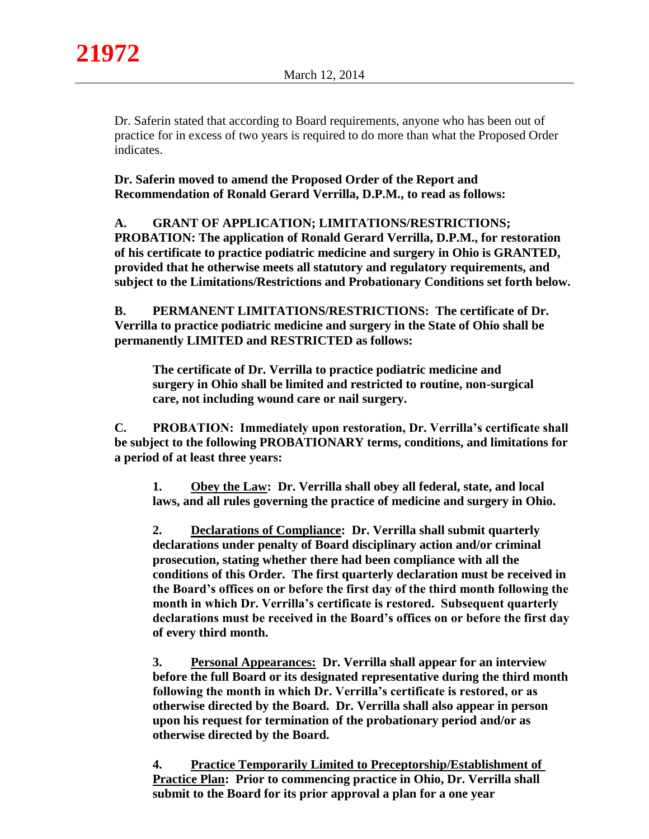Dr. Saferin stated that according to Board requirements, anyone who has been out of practice for in excess of two years is required to do more than what the Proposed Order indicates.

**Dr. Saferin moved to amend the Proposed Order of the Report and Recommendation of Ronald Gerard Verrilla, D.P.M., to read as follows:**

**A. GRANT OF APPLICATION; LIMITATIONS/RESTRICTIONS; PROBATION: The application of Ronald Gerard Verrilla, D.P.M., for restoration of his certificate to practice podiatric medicine and surgery in Ohio is GRANTED, provided that he otherwise meets all statutory and regulatory requirements, and subject to the Limitations/Restrictions and Probationary Conditions set forth below.**

**B. PERMANENT LIMITATIONS/RESTRICTIONS: The certificate of Dr. Verrilla to practice podiatric medicine and surgery in the State of Ohio shall be permanently LIMITED and RESTRICTED as follows:**

**The certificate of Dr. Verrilla to practice podiatric medicine and surgery in Ohio shall be limited and restricted to routine, non-surgical care, not including wound care or nail surgery.**

**C. PROBATION: Immediately upon restoration, Dr. Verrilla's certificate shall be subject to the following PROBATIONARY terms, conditions, and limitations for a period of at least three years:**

**1. Obey the Law: Dr. Verrilla shall obey all federal, state, and local laws, and all rules governing the practice of medicine and surgery in Ohio.**

**2. Declarations of Compliance: Dr. Verrilla shall submit quarterly declarations under penalty of Board disciplinary action and/or criminal prosecution, stating whether there had been compliance with all the conditions of this Order. The first quarterly declaration must be received in the Board's offices on or before the first day of the third month following the month in which Dr. Verrilla's certificate is restored. Subsequent quarterly declarations must be received in the Board's offices on or before the first day of every third month.**

**3. Personal Appearances: Dr. Verrilla shall appear for an interview before the full Board or its designated representative during the third month following the month in which Dr. Verrilla's certificate is restored, or as otherwise directed by the Board. Dr. Verrilla shall also appear in person upon his request for termination of the probationary period and/or as otherwise directed by the Board.**

**4. Practice Temporarily Limited to Preceptorship/Establishment of Practice Plan: Prior to commencing practice in Ohio, Dr. Verrilla shall submit to the Board for its prior approval a plan for a one year**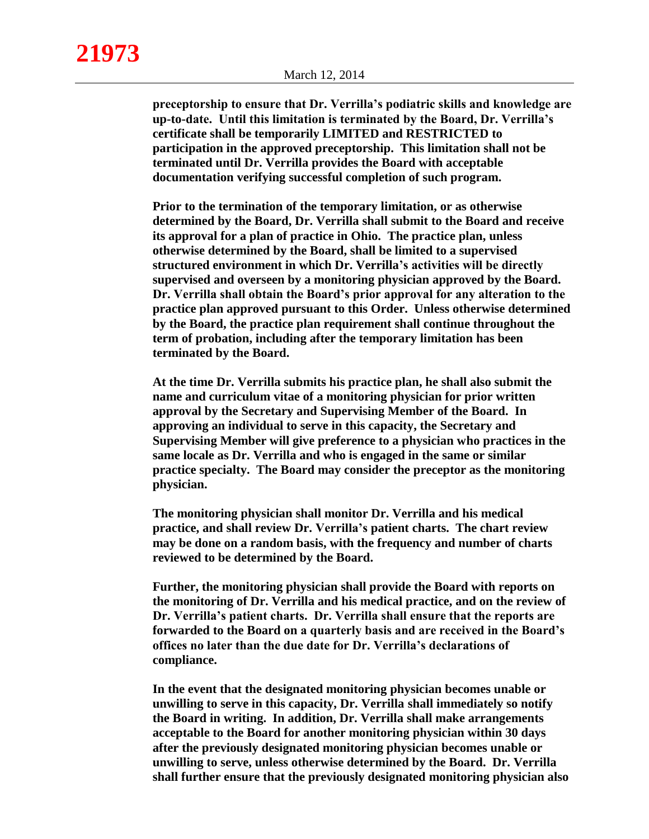**21973**

**preceptorship to ensure that Dr. Verrilla's podiatric skills and knowledge are up-to-date. Until this limitation is terminated by the Board, Dr. Verrilla's certificate shall be temporarily LIMITED and RESTRICTED to participation in the approved preceptorship. This limitation shall not be terminated until Dr. Verrilla provides the Board with acceptable documentation verifying successful completion of such program.**

**Prior to the termination of the temporary limitation, or as otherwise determined by the Board, Dr. Verrilla shall submit to the Board and receive its approval for a plan of practice in Ohio. The practice plan, unless otherwise determined by the Board, shall be limited to a supervised structured environment in which Dr. Verrilla's activities will be directly supervised and overseen by a monitoring physician approved by the Board. Dr. Verrilla shall obtain the Board's prior approval for any alteration to the practice plan approved pursuant to this Order. Unless otherwise determined by the Board, the practice plan requirement shall continue throughout the term of probation, including after the temporary limitation has been terminated by the Board.**

**At the time Dr. Verrilla submits his practice plan, he shall also submit the name and curriculum vitae of a monitoring physician for prior written approval by the Secretary and Supervising Member of the Board. In approving an individual to serve in this capacity, the Secretary and Supervising Member will give preference to a physician who practices in the same locale as Dr. Verrilla and who is engaged in the same or similar practice specialty. The Board may consider the preceptor as the monitoring physician.**

**The monitoring physician shall monitor Dr. Verrilla and his medical practice, and shall review Dr. Verrilla's patient charts. The chart review may be done on a random basis, with the frequency and number of charts reviewed to be determined by the Board.**

**Further, the monitoring physician shall provide the Board with reports on the monitoring of Dr. Verrilla and his medical practice, and on the review of Dr. Verrilla's patient charts. Dr. Verrilla shall ensure that the reports are forwarded to the Board on a quarterly basis and are received in the Board's offices no later than the due date for Dr. Verrilla's declarations of compliance.**

**In the event that the designated monitoring physician becomes unable or unwilling to serve in this capacity, Dr. Verrilla shall immediately so notify the Board in writing. In addition, Dr. Verrilla shall make arrangements acceptable to the Board for another monitoring physician within 30 days after the previously designated monitoring physician becomes unable or unwilling to serve, unless otherwise determined by the Board. Dr. Verrilla shall further ensure that the previously designated monitoring physician also**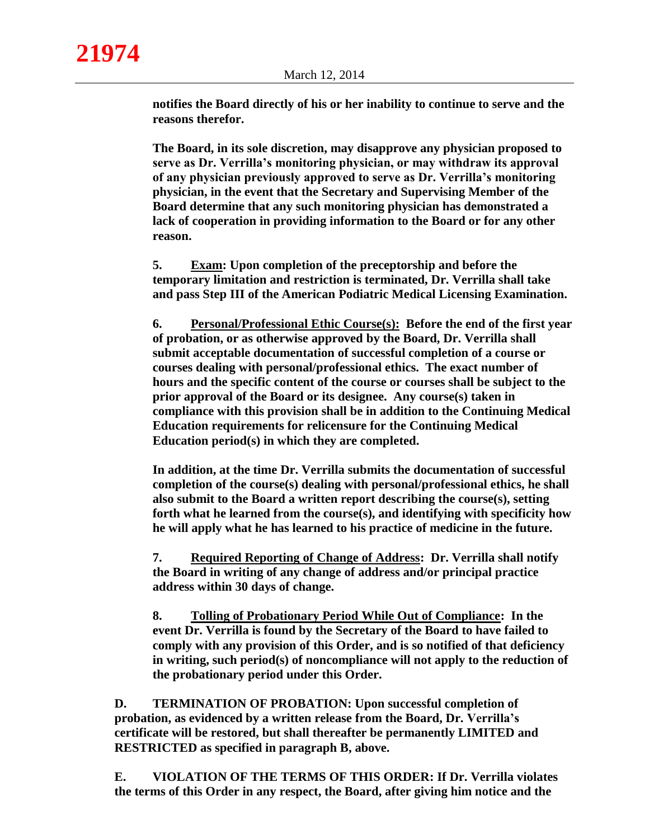**notifies the Board directly of his or her inability to continue to serve and the reasons therefor.**

**The Board, in its sole discretion, may disapprove any physician proposed to serve as Dr. Verrilla's monitoring physician, or may withdraw its approval of any physician previously approved to serve as Dr. Verrilla's monitoring physician, in the event that the Secretary and Supervising Member of the Board determine that any such monitoring physician has demonstrated a lack of cooperation in providing information to the Board or for any other reason.**

**5. Exam: Upon completion of the preceptorship and before the temporary limitation and restriction is terminated, Dr. Verrilla shall take and pass Step III of the American Podiatric Medical Licensing Examination.** 

**6. Personal/Professional Ethic Course(s): Before the end of the first year of probation, or as otherwise approved by the Board, Dr. Verrilla shall submit acceptable documentation of successful completion of a course or courses dealing with personal/professional ethics. The exact number of hours and the specific content of the course or courses shall be subject to the prior approval of the Board or its designee. Any course(s) taken in compliance with this provision shall be in addition to the Continuing Medical Education requirements for relicensure for the Continuing Medical Education period(s) in which they are completed.**

**In addition, at the time Dr. Verrilla submits the documentation of successful completion of the course(s) dealing with personal/professional ethics, he shall also submit to the Board a written report describing the course(s), setting forth what he learned from the course(s), and identifying with specificity how he will apply what he has learned to his practice of medicine in the future.**

**7. Required Reporting of Change of Address: Dr. Verrilla shall notify the Board in writing of any change of address and/or principal practice address within 30 days of change.**

**8. Tolling of Probationary Period While Out of Compliance: In the event Dr. Verrilla is found by the Secretary of the Board to have failed to comply with any provision of this Order, and is so notified of that deficiency in writing, such period(s) of noncompliance will not apply to the reduction of the probationary period under this Order.**

**D. TERMINATION OF PROBATION: Upon successful completion of probation, as evidenced by a written release from the Board, Dr. Verrilla's certificate will be restored, but shall thereafter be permanently LIMITED and RESTRICTED as specified in paragraph B, above.** 

**E. VIOLATION OF THE TERMS OF THIS ORDER: If Dr. Verrilla violates the terms of this Order in any respect, the Board, after giving him notice and the**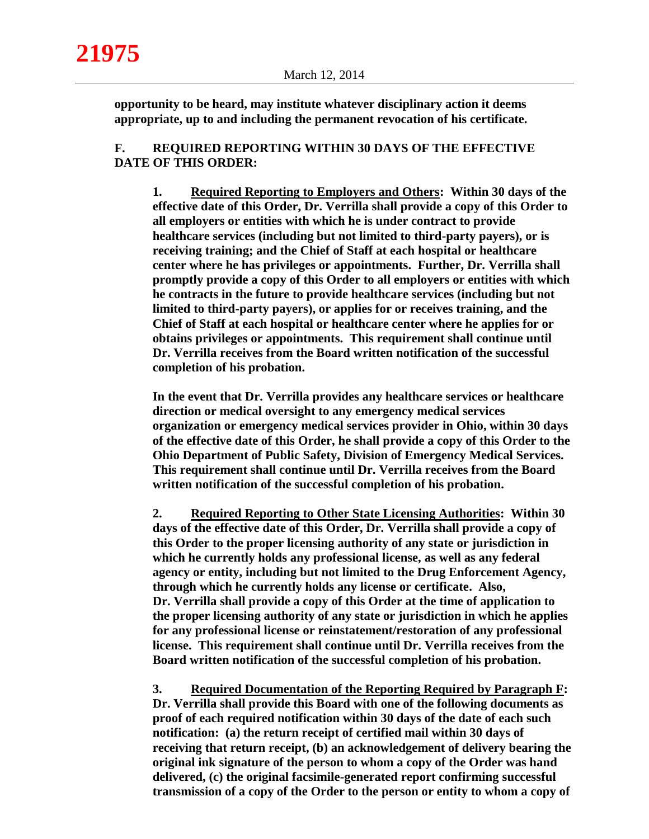**opportunity to be heard, may institute whatever disciplinary action it deems appropriate, up to and including the permanent revocation of his certificate.**

## **F. REQUIRED REPORTING WITHIN 30 DAYS OF THE EFFECTIVE DATE OF THIS ORDER:**

**1. Required Reporting to Employers and Others: Within 30 days of the effective date of this Order, Dr. Verrilla shall provide a copy of this Order to all employers or entities with which he is under contract to provide healthcare services (including but not limited to third-party payers), or is receiving training; and the Chief of Staff at each hospital or healthcare center where he has privileges or appointments. Further, Dr. Verrilla shall promptly provide a copy of this Order to all employers or entities with which he contracts in the future to provide healthcare services (including but not limited to third-party payers), or applies for or receives training, and the Chief of Staff at each hospital or healthcare center where he applies for or obtains privileges or appointments. This requirement shall continue until Dr. Verrilla receives from the Board written notification of the successful completion of his probation.**

**In the event that Dr. Verrilla provides any healthcare services or healthcare direction or medical oversight to any emergency medical services organization or emergency medical services provider in Ohio, within 30 days of the effective date of this Order, he shall provide a copy of this Order to the Ohio Department of Public Safety, Division of Emergency Medical Services. This requirement shall continue until Dr. Verrilla receives from the Board written notification of the successful completion of his probation.**

**2. Required Reporting to Other State Licensing Authorities: Within 30 days of the effective date of this Order, Dr. Verrilla shall provide a copy of this Order to the proper licensing authority of any state or jurisdiction in which he currently holds any professional license, as well as any federal agency or entity, including but not limited to the Drug Enforcement Agency, through which he currently holds any license or certificate. Also, Dr. Verrilla shall provide a copy of this Order at the time of application to the proper licensing authority of any state or jurisdiction in which he applies for any professional license or reinstatement/restoration of any professional license. This requirement shall continue until Dr. Verrilla receives from the Board written notification of the successful completion of his probation.**

**3. Required Documentation of the Reporting Required by Paragraph F: Dr. Verrilla shall provide this Board with one of the following documents as proof of each required notification within 30 days of the date of each such notification: (a) the return receipt of certified mail within 30 days of receiving that return receipt, (b) an acknowledgement of delivery bearing the original ink signature of the person to whom a copy of the Order was hand delivered, (c) the original facsimile-generated report confirming successful transmission of a copy of the Order to the person or entity to whom a copy of**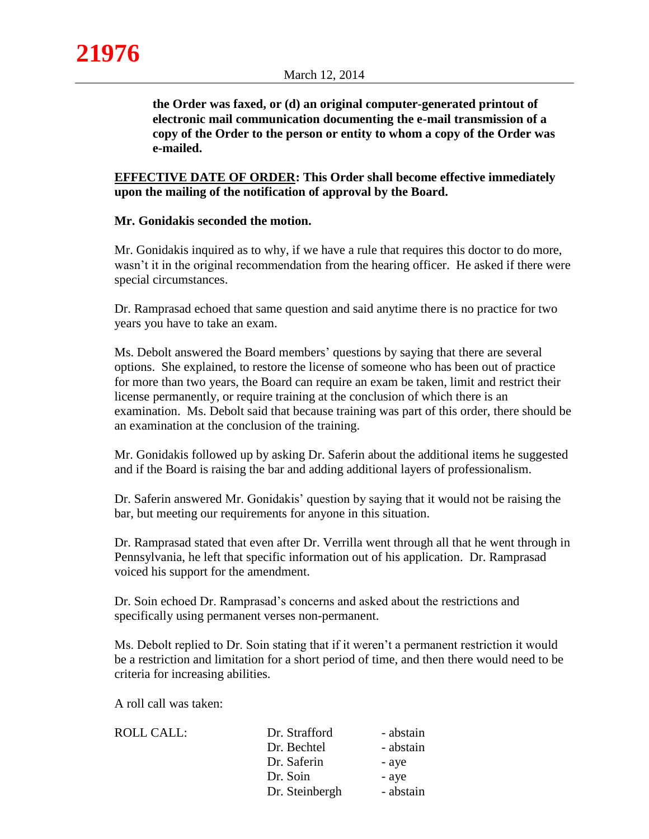**the Order was faxed, or (d) an original computer-generated printout of electronic mail communication documenting the e-mail transmission of a copy of the Order to the person or entity to whom a copy of the Order was e-mailed.**

# **EFFECTIVE DATE OF ORDER: This Order shall become effective immediately upon the mailing of the notification of approval by the Board.**

## **Mr. Gonidakis seconded the motion.**

Mr. Gonidakis inquired as to why, if we have a rule that requires this doctor to do more, wasn't it in the original recommendation from the hearing officer. He asked if there were special circumstances.

Dr. Ramprasad echoed that same question and said anytime there is no practice for two years you have to take an exam.

Ms. Debolt answered the Board members' questions by saying that there are several options. She explained, to restore the license of someone who has been out of practice for more than two years, the Board can require an exam be taken, limit and restrict their license permanently, or require training at the conclusion of which there is an examination. Ms. Debolt said that because training was part of this order, there should be an examination at the conclusion of the training.

Mr. Gonidakis followed up by asking Dr. Saferin about the additional items he suggested and if the Board is raising the bar and adding additional layers of professionalism.

Dr. Saferin answered Mr. Gonidakis' question by saying that it would not be raising the bar, but meeting our requirements for anyone in this situation.

Dr. Ramprasad stated that even after Dr. Verrilla went through all that he went through in Pennsylvania, he left that specific information out of his application. Dr. Ramprasad voiced his support for the amendment.

Dr. Soin echoed Dr. Ramprasad's concerns and asked about the restrictions and specifically using permanent verses non-permanent.

Ms. Debolt replied to Dr. Soin stating that if it weren't a permanent restriction it would be a restriction and limitation for a short period of time, and then there would need to be criteria for increasing abilities.

A roll call was taken:

ROLL CALL: Dr.

| Dr. Strafford  | - abstain |
|----------------|-----------|
| Dr. Bechtel    | - abstain |
| Dr. Saferin    | - aye     |
| Dr. Soin       | - aye     |
| Dr. Steinbergh | - abstain |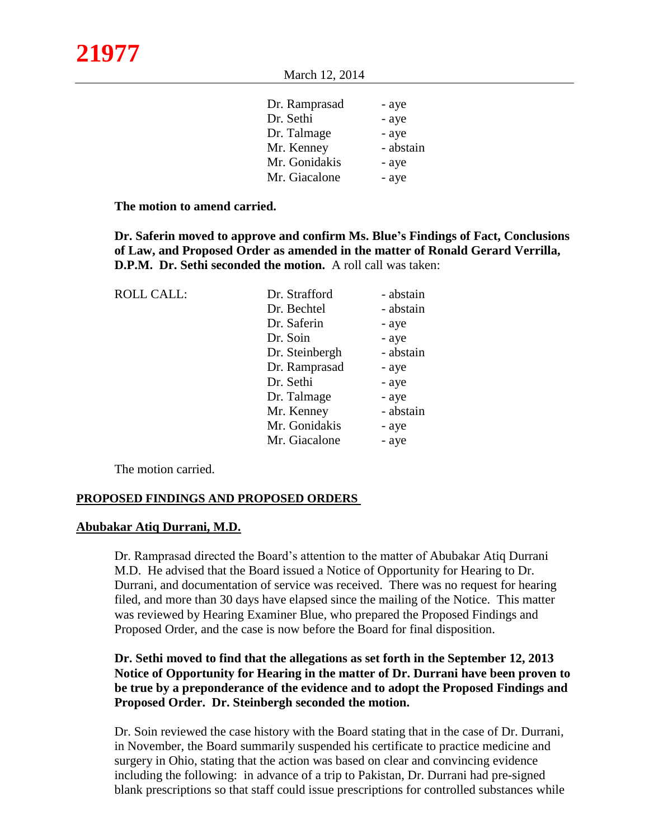| Dr. Ramprasad | - aye     |
|---------------|-----------|
| Dr. Sethi     | - aye     |
| Dr. Talmage   | - aye     |
| Mr. Kenney    | - abstain |
| Mr. Gonidakis | - aye     |
| Mr. Giacalone | - aye     |

**The motion to amend carried.**

**Dr. Saferin moved to approve and confirm Ms. Blue's Findings of Fact, Conclusions of Law, and Proposed Order as amended in the matter of Ronald Gerard Verrilla, D.P.M. Dr. Sethi seconded the motion.** A roll call was taken:

| <b>ROLL CALL:</b> | Dr. Strafford  | - abstain |
|-------------------|----------------|-----------|
|                   | Dr. Bechtel    | - abstain |
|                   | Dr. Saferin    | - aye     |
|                   | Dr. Soin       | - aye     |
|                   | Dr. Steinbergh | - abstain |
|                   | Dr. Ramprasad  | - aye     |
|                   | Dr. Sethi      | - aye     |
|                   | Dr. Talmage    | - aye     |
|                   | Mr. Kenney     | - abstain |
|                   | Mr. Gonidakis  | - aye     |
|                   | Mr. Giacalone  | - aye     |

The motion carried.

## **PROPOSED FINDINGS AND PROPOSED ORDERS**

#### **Abubakar Atiq Durrani, M.D.**

Dr. Ramprasad directed the Board's attention to the matter of Abubakar Atiq Durrani M.D. He advised that the Board issued a Notice of Opportunity for Hearing to Dr. Durrani, and documentation of service was received. There was no request for hearing filed, and more than 30 days have elapsed since the mailing of the Notice. This matter was reviewed by Hearing Examiner Blue, who prepared the Proposed Findings and Proposed Order, and the case is now before the Board for final disposition.

# **Dr. Sethi moved to find that the allegations as set forth in the September 12, 2013 Notice of Opportunity for Hearing in the matter of Dr. Durrani have been proven to be true by a preponderance of the evidence and to adopt the Proposed Findings and Proposed Order. Dr. Steinbergh seconded the motion.**

Dr. Soin reviewed the case history with the Board stating that in the case of Dr. Durrani, in November, the Board summarily suspended his certificate to practice medicine and surgery in Ohio, stating that the action was based on clear and convincing evidence including the following: in advance of a trip to Pakistan, Dr. Durrani had pre-signed blank prescriptions so that staff could issue prescriptions for controlled substances while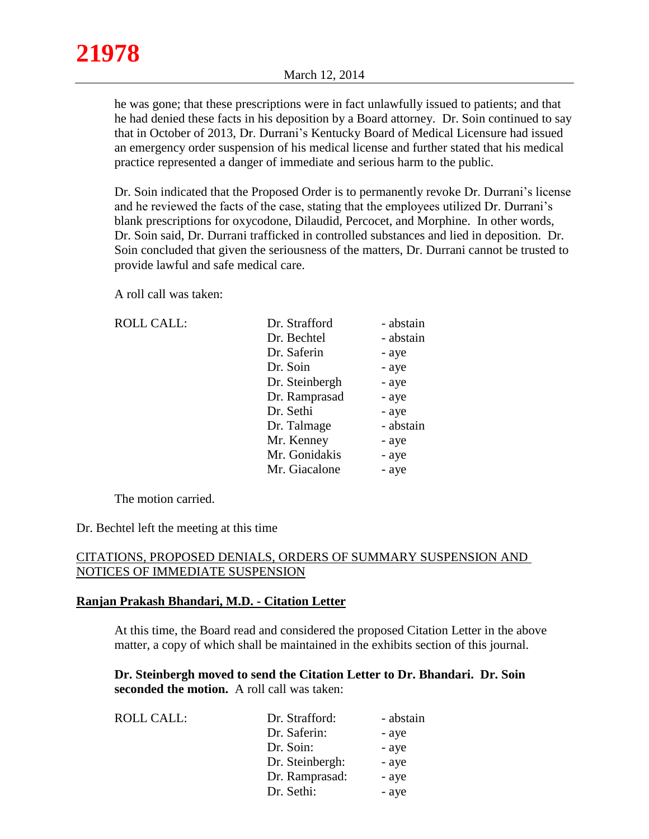he was gone; that these prescriptions were in fact unlawfully issued to patients; and that he had denied these facts in his deposition by a Board attorney. Dr. Soin continued to say that in October of 2013, Dr. Durrani's Kentucky Board of Medical Licensure had issued an emergency order suspension of his medical license and further stated that his medical practice represented a danger of immediate and serious harm to the public.

Dr. Soin indicated that the Proposed Order is to permanently revoke Dr. Durrani's license and he reviewed the facts of the case, stating that the employees utilized Dr. Durrani's blank prescriptions for oxycodone, Dilaudid, Percocet, and Morphine. In other words, Dr. Soin said, Dr. Durrani trafficked in controlled substances and lied in deposition. Dr. Soin concluded that given the seriousness of the matters, Dr. Durrani cannot be trusted to provide lawful and safe medical care.

A roll call was taken:

ROLL CALL:

| Dr. Strafford  | - abstain |
|----------------|-----------|
| Dr. Bechtel    | - abstain |
| Dr. Saferin    | - aye     |
| Dr. Soin       | - aye     |
| Dr. Steinbergh | - aye     |
| Dr. Ramprasad  | - aye     |
| Dr. Sethi      | - aye     |
| Dr. Talmage    | - abstain |
| Mr. Kenney     | - aye     |
| Mr. Gonidakis  | - aye     |
| Mr. Giacalone  | - aye     |

The motion carried.

Dr. Bechtel left the meeting at this time

# CITATIONS, PROPOSED DENIALS, ORDERS OF SUMMARY SUSPENSION AND NOTICES OF IMMEDIATE SUSPENSION

## **Ranjan Prakash Bhandari, M.D. - Citation Letter**

At this time, the Board read and considered the proposed Citation Letter in the above matter, a copy of which shall be maintained in the exhibits section of this journal.

**Dr. Steinbergh moved to send the Citation Letter to Dr. Bhandari. Dr. Soin seconded the motion.** A roll call was taken:

| <b>ROLL CALL:</b> | Dr. Strafford:  | - abstain |
|-------------------|-----------------|-----------|
|                   | Dr. Saferin:    | - aye     |
|                   | Dr. Soin:       | - aye     |
|                   | Dr. Steinbergh: | - aye     |
|                   | Dr. Ramprasad:  | - aye     |
|                   | Dr. Sethi:      | - aye     |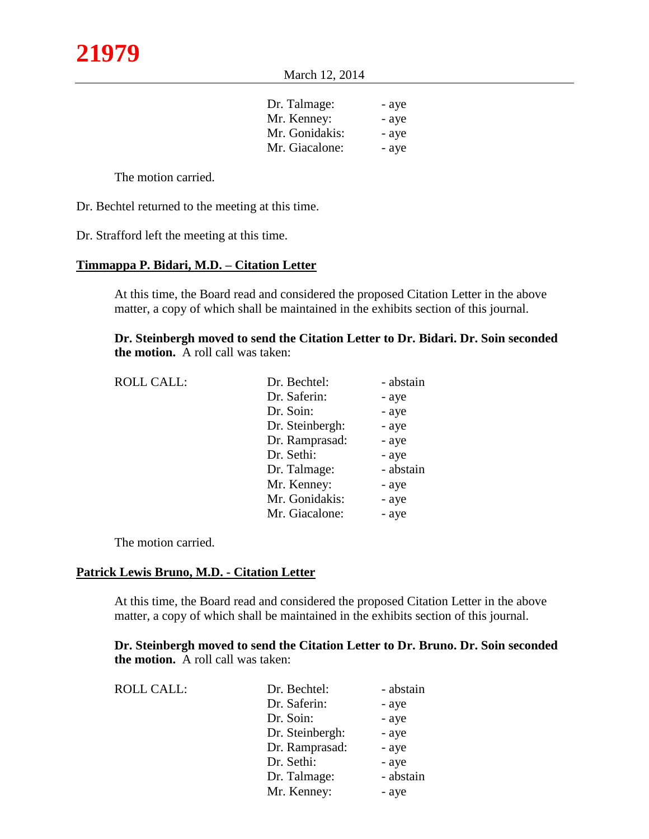| Dr. Talmage:   | - ave |
|----------------|-------|
| Mr. Kenney:    | - aye |
| Mr. Gonidakis: | - ave |
| Mr. Giacalone: | - ave |
|                |       |

The motion carried.

Dr. Bechtel returned to the meeting at this time.

Dr. Strafford left the meeting at this time.

# **Timmappa P. Bidari, M.D. – Citation Letter**

At this time, the Board read and considered the proposed Citation Letter in the above matter, a copy of which shall be maintained in the exhibits section of this journal.

**Dr. Steinbergh moved to send the Citation Letter to Dr. Bidari. Dr. Soin seconded the motion.** A roll call was taken:

| <b>ROLL CALL:</b> | Dr. Bechtel:    | - abstain |
|-------------------|-----------------|-----------|
|                   | Dr. Saferin:    | - aye     |
|                   | Dr. Soin:       | - aye     |
|                   | Dr. Steinbergh: | - aye     |
|                   | Dr. Ramprasad:  | - aye     |
|                   | Dr. Sethi:      | - aye     |
|                   | Dr. Talmage:    | - abstain |
|                   | Mr. Kenney:     | - aye     |
|                   | Mr. Gonidakis:  | - aye     |
|                   | Mr. Giacalone:  | - aye     |

The motion carried.

## **Patrick Lewis Bruno, M.D. - Citation Letter**

At this time, the Board read and considered the proposed Citation Letter in the above matter, a copy of which shall be maintained in the exhibits section of this journal.

**Dr. Steinbergh moved to send the Citation Letter to Dr. Bruno. Dr. Soin seconded the motion.** A roll call was taken:

| <b>ROLL CALL:</b> | Dr. Bechtel:    | - abstain |
|-------------------|-----------------|-----------|
|                   | Dr. Saferin:    | - aye     |
|                   | Dr. Soin:       | - aye     |
|                   | Dr. Steinbergh: | - aye     |
|                   | Dr. Ramprasad:  | - aye     |
|                   | Dr. Sethi:      | - aye     |
|                   | Dr. Talmage:    | - abstain |
|                   | Mr. Kenney:     | - aye     |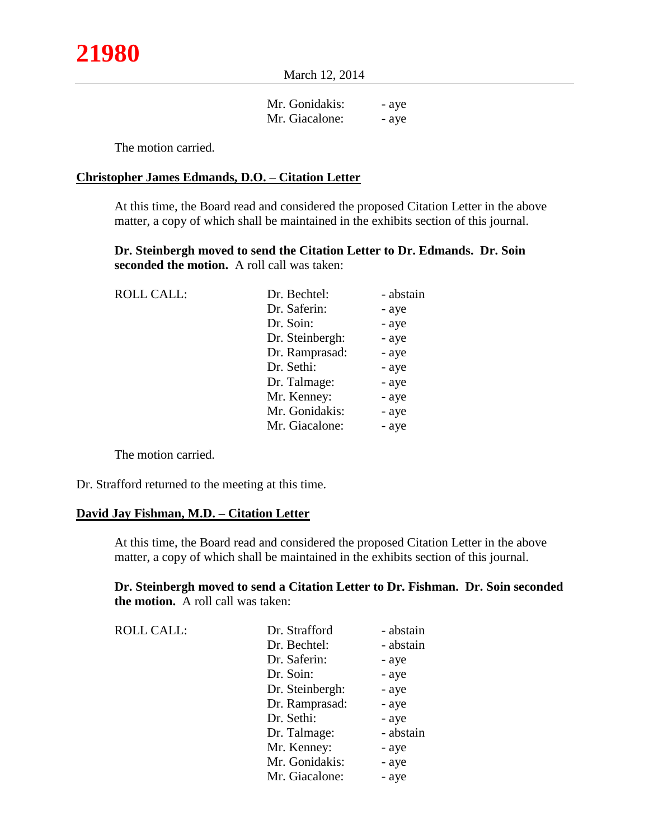March 12, 2014

| Mr. Gonidakis: | - aye |
|----------------|-------|
| Mr. Giacalone: | - ave |

The motion carried.

### **Christopher James Edmands, D.O. – Citation Letter**

At this time, the Board read and considered the proposed Citation Letter in the above matter, a copy of which shall be maintained in the exhibits section of this journal.

**Dr. Steinbergh moved to send the Citation Letter to Dr. Edmands. Dr. Soin seconded the motion.** A roll call was taken:

| <b>ROLL CALL:</b> | Dr. Bechtel:    | - abstain |
|-------------------|-----------------|-----------|
|                   | Dr. Saferin:    | - aye     |
|                   | Dr. Soin:       | - aye     |
|                   | Dr. Steinbergh: | - aye     |
|                   | Dr. Ramprasad:  | - aye     |
|                   | Dr. Sethi:      | - aye     |
|                   | Dr. Talmage:    | - aye     |
|                   | Mr. Kenney:     | - aye     |
|                   | Mr. Gonidakis:  | - aye     |
|                   | Mr. Giacalone:  | - aye     |

The motion carried.

Dr. Strafford returned to the meeting at this time.

#### **David Jay Fishman, M.D. – Citation Letter**

At this time, the Board read and considered the proposed Citation Letter in the above matter, a copy of which shall be maintained in the exhibits section of this journal.

**Dr. Steinbergh moved to send a Citation Letter to Dr. Fishman. Dr. Soin seconded the motion.** A roll call was taken:

| <b>ROLL CALL:</b> | Dr. Strafford   | - abstain |
|-------------------|-----------------|-----------|
|                   | Dr. Bechtel:    | - abstain |
|                   | Dr. Saferin:    | - aye     |
|                   | Dr. Soin:       | - aye     |
|                   | Dr. Steinbergh: | - aye     |
|                   | Dr. Ramprasad:  | - aye     |
|                   | Dr. Sethi:      | - aye     |
|                   | Dr. Talmage:    | - abstain |
|                   | Mr. Kenney:     | - aye     |
|                   | Mr. Gonidakis:  | - aye     |
|                   | Mr. Giacalone:  | - aye     |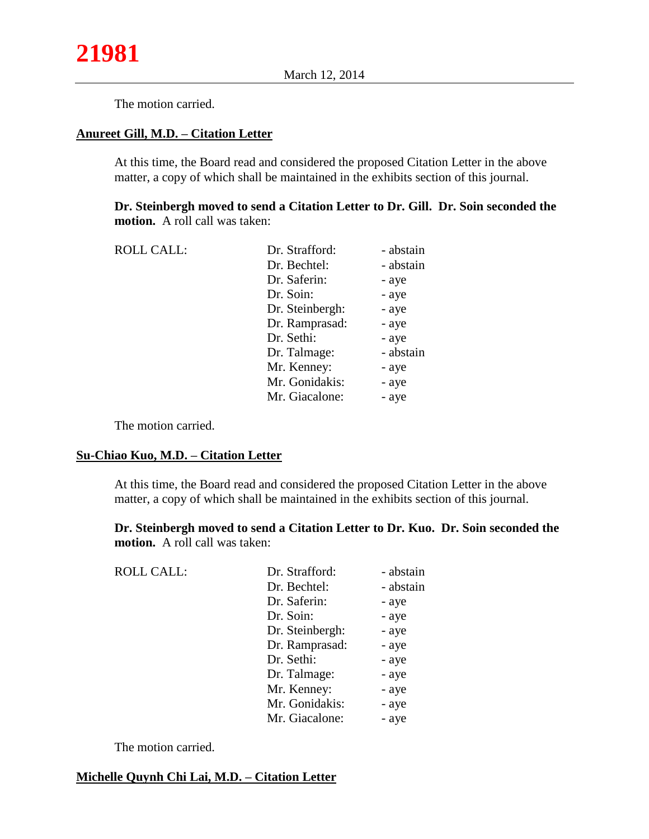The motion carried.

## **Anureet Gill, M.D. – Citation Letter**

At this time, the Board read and considered the proposed Citation Letter in the above matter, a copy of which shall be maintained in the exhibits section of this journal.

**Dr. Steinbergh moved to send a Citation Letter to Dr. Gill. Dr. Soin seconded the motion.** A roll call was taken:

| <b>ROLL CALL:</b> | Dr. Strafford:  | - abstain |
|-------------------|-----------------|-----------|
|                   | Dr. Bechtel:    | - abstain |
|                   | Dr. Saferin:    | - aye     |
|                   | Dr. Soin:       | - aye     |
|                   | Dr. Steinbergh: | - aye     |
|                   | Dr. Ramprasad:  | - aye     |
|                   | Dr. Sethi:      | - aye     |
|                   | Dr. Talmage:    | - abstain |
|                   | Mr. Kenney:     | - aye     |
|                   | Mr. Gonidakis:  | - aye     |
|                   | Mr. Giacalone:  | - aye     |
|                   |                 |           |

The motion carried.

### **Su-Chiao Kuo, M.D. – Citation Letter**

At this time, the Board read and considered the proposed Citation Letter in the above matter, a copy of which shall be maintained in the exhibits section of this journal.

**Dr. Steinbergh moved to send a Citation Letter to Dr. Kuo. Dr. Soin seconded the motion.** A roll call was taken:

| Dr. Strafford:  | - abstain |
|-----------------|-----------|
| Dr. Bechtel:    | - abstain |
| Dr. Saferin:    | - aye     |
| Dr. Soin:       | - aye     |
| Dr. Steinbergh: | - aye     |
| Dr. Ramprasad:  | - aye     |
| Dr. Sethi:      | - aye     |
| Dr. Talmage:    | - aye     |
| Mr. Kenney:     | - aye     |
| Mr. Gonidakis:  | - aye     |
| Mr. Giacalone:  | - aye     |
|                 |           |

The motion carried.

## **Michelle Quynh Chi Lai, M.D. – Citation Letter**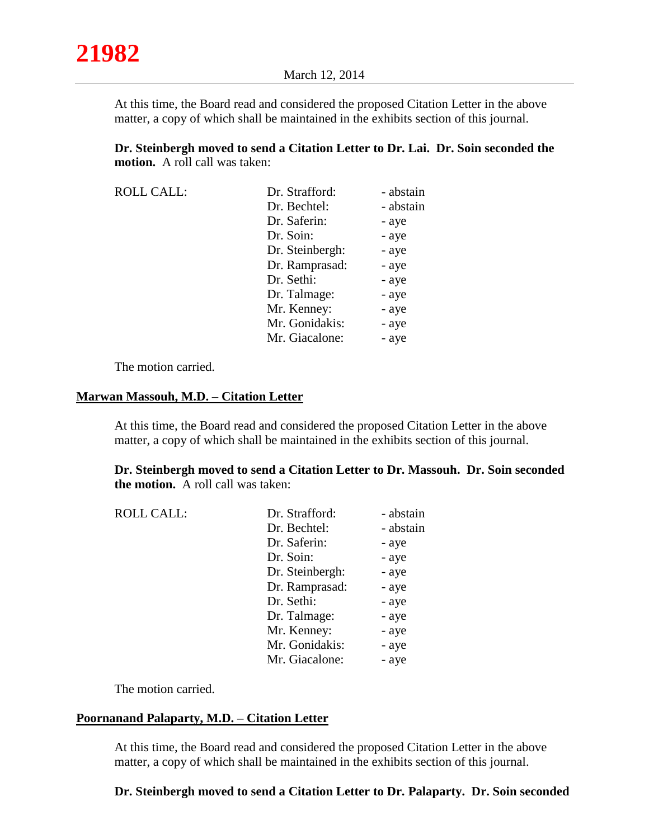At this time, the Board read and considered the proposed Citation Letter in the above matter, a copy of which shall be maintained in the exhibits section of this journal.

**Dr. Steinbergh moved to send a Citation Letter to Dr. Lai. Dr. Soin seconded the motion.** A roll call was taken:

| <b>ROLL CALL:</b> | Dr. Strafford:  | - abstain |
|-------------------|-----------------|-----------|
|                   | Dr. Bechtel:    | - abstain |
|                   | Dr. Saferin:    | - aye     |
|                   | Dr. Soin:       | - aye     |
|                   | Dr. Steinbergh: | - aye     |
|                   | Dr. Ramprasad:  | - aye     |
|                   | Dr. Sethi:      | - aye     |
|                   | Dr. Talmage:    | - aye     |
|                   | Mr. Kenney:     | - aye     |
|                   | Mr. Gonidakis:  | - aye     |
|                   | Mr. Giacalone:  | - aye     |

The motion carried.

#### **Marwan Massouh, M.D. – Citation Letter**

At this time, the Board read and considered the proposed Citation Letter in the above matter, a copy of which shall be maintained in the exhibits section of this journal.

**Dr. Steinbergh moved to send a Citation Letter to Dr. Massouh. Dr. Soin seconded the motion.** A roll call was taken:

| Dr. Strafford:  | - abstain |
|-----------------|-----------|
| Dr. Bechtel:    | - abstain |
| Dr. Saferin:    | - aye     |
| Dr. Soin:       | - aye     |
| Dr. Steinbergh: | - aye     |
| Dr. Ramprasad:  | - aye     |
| Dr. Sethi:      | - aye     |
| Dr. Talmage:    | - aye     |
| Mr. Kenney:     | - aye     |
| Mr. Gonidakis:  | - aye     |
| Mr. Giacalone:  | - aye     |
|                 |           |

The motion carried.

## **Poornanand Palaparty, M.D. – Citation Letter**

At this time, the Board read and considered the proposed Citation Letter in the above matter, a copy of which shall be maintained in the exhibits section of this journal.

#### **Dr. Steinbergh moved to send a Citation Letter to Dr. Palaparty. Dr. Soin seconded**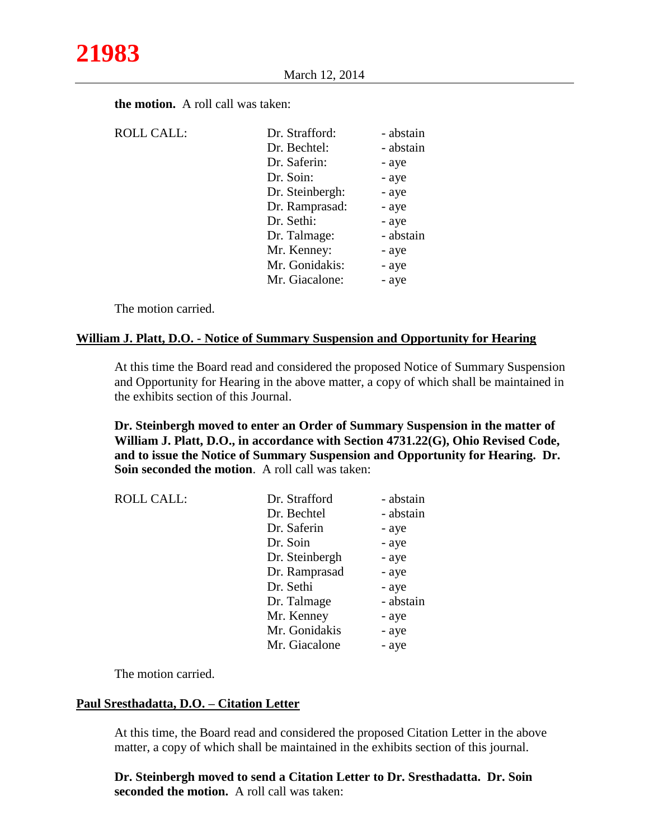| <b>ROLL CALL:</b> | Dr. Strafford:  | - abstain |
|-------------------|-----------------|-----------|
|                   | Dr. Bechtel:    | - abstain |
|                   | Dr. Saferin:    | - aye     |
|                   | Dr. Soin:       | - aye     |
|                   | Dr. Steinbergh: | - aye     |
|                   | Dr. Ramprasad:  | - aye     |
|                   | Dr. Sethi:      | - aye     |
|                   | Dr. Talmage:    | - abstain |
|                   | Mr. Kenney:     | - aye     |
|                   | Mr. Gonidakis:  | - aye     |
|                   | Mr. Giacalone:  | - aye     |

**the motion.** A roll call was taken:

The motion carried.

### **William J. Platt, D.O. - Notice of Summary Suspension and Opportunity for Hearing**

At this time the Board read and considered the proposed Notice of Summary Suspension and Opportunity for Hearing in the above matter, a copy of which shall be maintained in the exhibits section of this Journal.

**Dr. Steinbergh moved to enter an Order of Summary Suspension in the matter of William J. Platt, D.O., in accordance with Section 4731.22(G), Ohio Revised Code, and to issue the Notice of Summary Suspension and Opportunity for Hearing. Dr. Soin seconded the motion**. A roll call was taken:

| <b>ROLL CALL:</b> | Dr. Strafford  | - abstain |
|-------------------|----------------|-----------|
|                   | Dr. Bechtel    | - abstain |
|                   | Dr. Saferin    | - aye     |
|                   | Dr. Soin       | - aye     |
|                   | Dr. Steinbergh | - aye     |
|                   | Dr. Ramprasad  | - aye     |
|                   | Dr. Sethi      | - aye     |
|                   | Dr. Talmage    | - abstain |
|                   | Mr. Kenney     | - aye     |
|                   | Mr. Gonidakis  | - aye     |
|                   | Mr. Giacalone  | - aye     |
|                   |                |           |

The motion carried.

# **Paul Sresthadatta, D.O. – Citation Letter**

At this time, the Board read and considered the proposed Citation Letter in the above matter, a copy of which shall be maintained in the exhibits section of this journal.

**Dr. Steinbergh moved to send a Citation Letter to Dr. Sresthadatta. Dr. Soin seconded the motion.** A roll call was taken: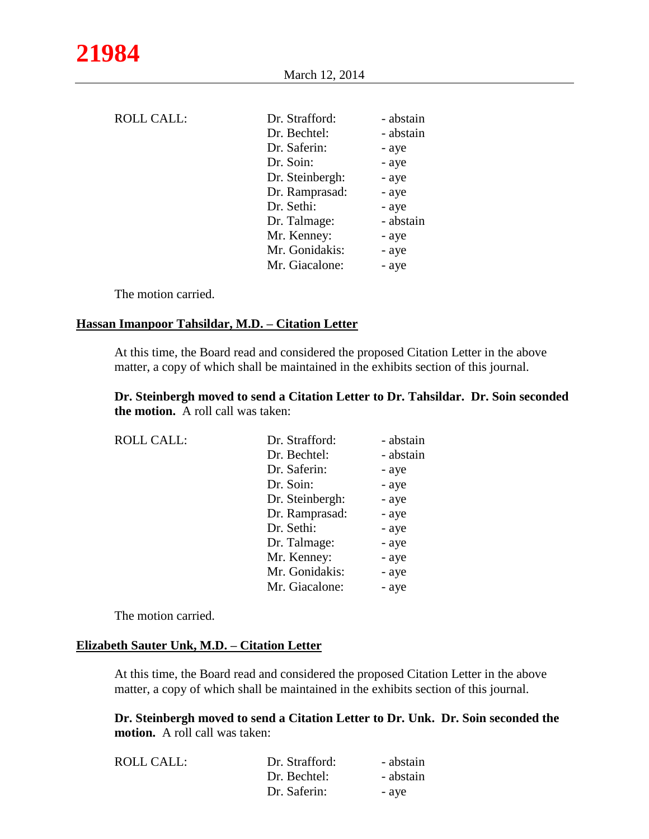March 12, 2014

| <b>ROLL CALL:</b> | Dr. Strafford:<br>Dr. Bechtel:<br>Dr. Saferin:<br>Dr. Soin:<br>Dr. Steinbergh:<br>Dr. Ramprasad:<br>Dr. Sethi:<br>Dr. Talmage: | - abstain<br>- abstain<br>- aye<br>- aye<br>- aye<br>- aye<br>- aye<br>- abstain |
|-------------------|--------------------------------------------------------------------------------------------------------------------------------|----------------------------------------------------------------------------------|
|                   |                                                                                                                                |                                                                                  |
|                   | Mr. Kenney:                                                                                                                    | - aye                                                                            |
|                   | Mr. Gonidakis:                                                                                                                 | - aye                                                                            |
|                   | Mr. Giacalone:                                                                                                                 | - aye                                                                            |
|                   |                                                                                                                                |                                                                                  |

The motion carried.

#### **Hassan Imanpoor Tahsildar, M.D. – Citation Letter**

At this time, the Board read and considered the proposed Citation Letter in the above matter, a copy of which shall be maintained in the exhibits section of this journal.

**Dr. Steinbergh moved to send a Citation Letter to Dr. Tahsildar. Dr. Soin seconded the motion.** A roll call was taken:

| <b>ROLL CALL:</b> | Dr. Strafford:  | - abstain |
|-------------------|-----------------|-----------|
|                   | Dr. Bechtel:    | - abstain |
|                   | Dr. Saferin:    | - aye     |
|                   | Dr. Soin:       | - aye     |
|                   | Dr. Steinbergh: | - aye     |
|                   | Dr. Ramprasad:  | - aye     |
|                   | Dr. Sethi:      | - aye     |
|                   | Dr. Talmage:    | - aye     |
|                   | Mr. Kenney:     | - aye     |
|                   | Mr. Gonidakis:  | - aye     |
|                   | Mr. Giacalone:  | - aye     |

The motion carried.

#### **Elizabeth Sauter Unk, M.D. – Citation Letter**

At this time, the Board read and considered the proposed Citation Letter in the above matter, a copy of which shall be maintained in the exhibits section of this journal.

**Dr. Steinbergh moved to send a Citation Letter to Dr. Unk. Dr. Soin seconded the motion.** A roll call was taken:

| <b>ROLL CALL:</b> | Dr. Strafford: | - abstain |
|-------------------|----------------|-----------|
|                   | Dr. Bechtel:   | - abstain |
|                   | Dr. Saferin:   | - ave     |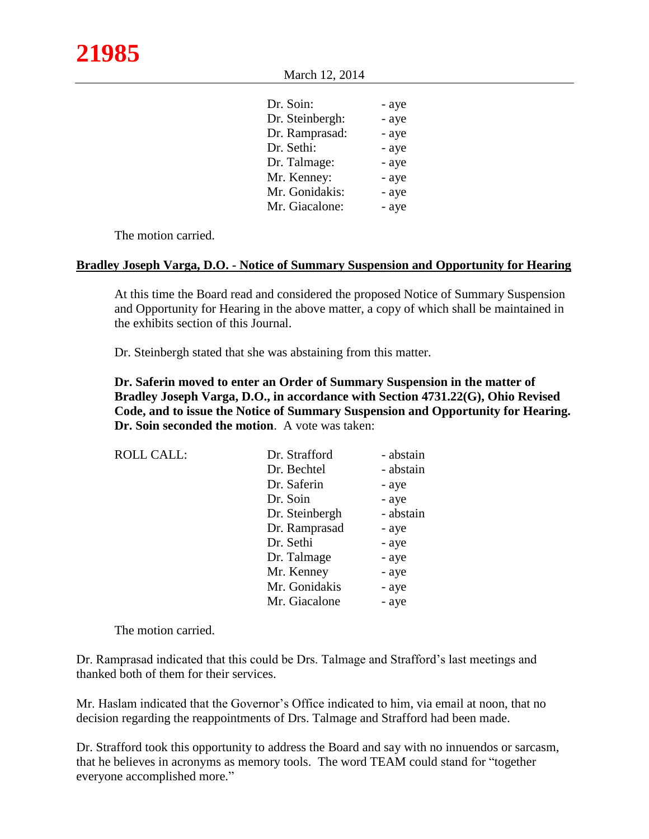March 12, 2014

| Dr. Soin:       | - aye |
|-----------------|-------|
| Dr. Steinbergh: | - aye |
| Dr. Ramprasad:  | - aye |
| Dr. Sethi:      | - aye |
| Dr. Talmage:    | - aye |
| Mr. Kenney:     | - aye |
| Mr. Gonidakis:  | - aye |
| Mr. Giacalone:  | - aye |
|                 |       |

The motion carried.

### **Bradley Joseph Varga, D.O. - Notice of Summary Suspension and Opportunity for Hearing**

At this time the Board read and considered the proposed Notice of Summary Suspension and Opportunity for Hearing in the above matter, a copy of which shall be maintained in the exhibits section of this Journal.

Dr. Steinbergh stated that she was abstaining from this matter.

**Dr. Saferin moved to enter an Order of Summary Suspension in the matter of Bradley Joseph Varga, D.O., in accordance with Section 4731.22(G), Ohio Revised Code, and to issue the Notice of Summary Suspension and Opportunity for Hearing. Dr. Soin seconded the motion**. A vote was taken:

| <b>ROLL CALL:</b> | Dr. Strafford  | - abstain |
|-------------------|----------------|-----------|
|                   | Dr. Bechtel    | - abstain |
|                   | Dr. Saferin    | - aye     |
|                   | Dr. Soin       | - aye     |
|                   | Dr. Steinbergh | - abstain |
|                   | Dr. Ramprasad  | - aye     |
|                   | Dr. Sethi      | - aye     |
|                   | Dr. Talmage    | - aye     |
|                   | Mr. Kenney     | - aye     |
|                   | Mr. Gonidakis  | - aye     |
|                   | Mr. Giacalone  | - aye     |

The motion carried.

Dr. Ramprasad indicated that this could be Drs. Talmage and Strafford's last meetings and thanked both of them for their services.

Mr. Haslam indicated that the Governor's Office indicated to him, via email at noon, that no decision regarding the reappointments of Drs. Talmage and Strafford had been made.

Dr. Strafford took this opportunity to address the Board and say with no innuendos or sarcasm, that he believes in acronyms as memory tools. The word TEAM could stand for "together everyone accomplished more."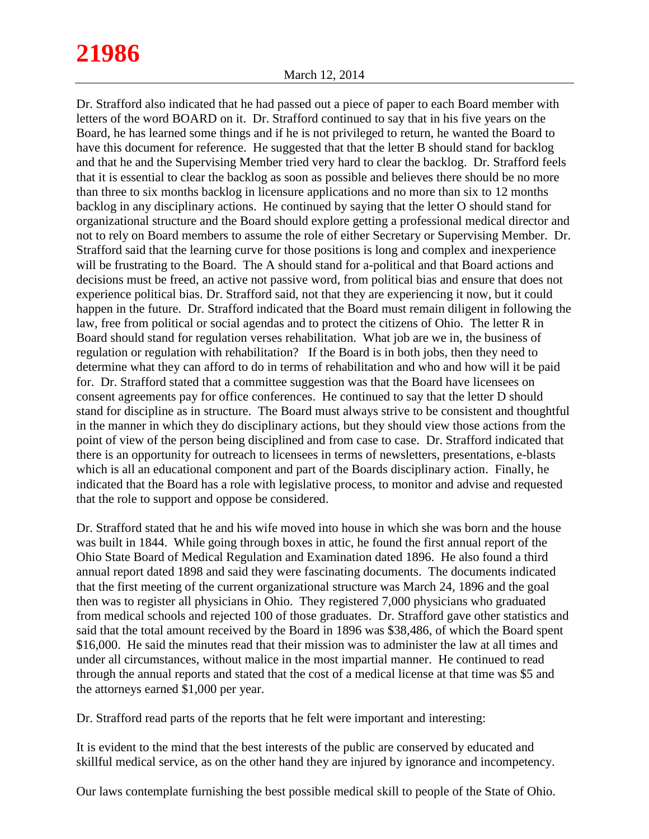# **21986**

Dr. Strafford also indicated that he had passed out a piece of paper to each Board member with letters of the word BOARD on it. Dr. Strafford continued to say that in his five years on the Board, he has learned some things and if he is not privileged to return, he wanted the Board to have this document for reference. He suggested that that the letter B should stand for backlog and that he and the Supervising Member tried very hard to clear the backlog. Dr. Strafford feels that it is essential to clear the backlog as soon as possible and believes there should be no more than three to six months backlog in licensure applications and no more than six to 12 months backlog in any disciplinary actions. He continued by saying that the letter O should stand for organizational structure and the Board should explore getting a professional medical director and not to rely on Board members to assume the role of either Secretary or Supervising Member. Dr. Strafford said that the learning curve for those positions is long and complex and inexperience will be frustrating to the Board. The A should stand for a-political and that Board actions and decisions must be freed, an active not passive word, from political bias and ensure that does not experience political bias. Dr. Strafford said, not that they are experiencing it now, but it could happen in the future. Dr. Strafford indicated that the Board must remain diligent in following the law, free from political or social agendas and to protect the citizens of Ohio. The letter R in Board should stand for regulation verses rehabilitation. What job are we in, the business of regulation or regulation with rehabilitation? If the Board is in both jobs, then they need to determine what they can afford to do in terms of rehabilitation and who and how will it be paid for. Dr. Strafford stated that a committee suggestion was that the Board have licensees on consent agreements pay for office conferences. He continued to say that the letter D should stand for discipline as in structure. The Board must always strive to be consistent and thoughtful in the manner in which they do disciplinary actions, but they should view those actions from the point of view of the person being disciplined and from case to case. Dr. Strafford indicated that there is an opportunity for outreach to licensees in terms of newsletters, presentations, e-blasts which is all an educational component and part of the Boards disciplinary action. Finally, he indicated that the Board has a role with legislative process, to monitor and advise and requested that the role to support and oppose be considered.

Dr. Strafford stated that he and his wife moved into house in which she was born and the house was built in 1844. While going through boxes in attic, he found the first annual report of the Ohio State Board of Medical Regulation and Examination dated 1896. He also found a third annual report dated 1898 and said they were fascinating documents. The documents indicated that the first meeting of the current organizational structure was March 24, 1896 and the goal then was to register all physicians in Ohio. They registered 7,000 physicians who graduated from medical schools and rejected 100 of those graduates. Dr. Strafford gave other statistics and said that the total amount received by the Board in 1896 was \$38,486, of which the Board spent \$16,000. He said the minutes read that their mission was to administer the law at all times and under all circumstances, without malice in the most impartial manner. He continued to read through the annual reports and stated that the cost of a medical license at that time was \$5 and the attorneys earned \$1,000 per year.

Dr. Strafford read parts of the reports that he felt were important and interesting:

It is evident to the mind that the best interests of the public are conserved by educated and skillful medical service, as on the other hand they are injured by ignorance and incompetency.

Our laws contemplate furnishing the best possible medical skill to people of the State of Ohio.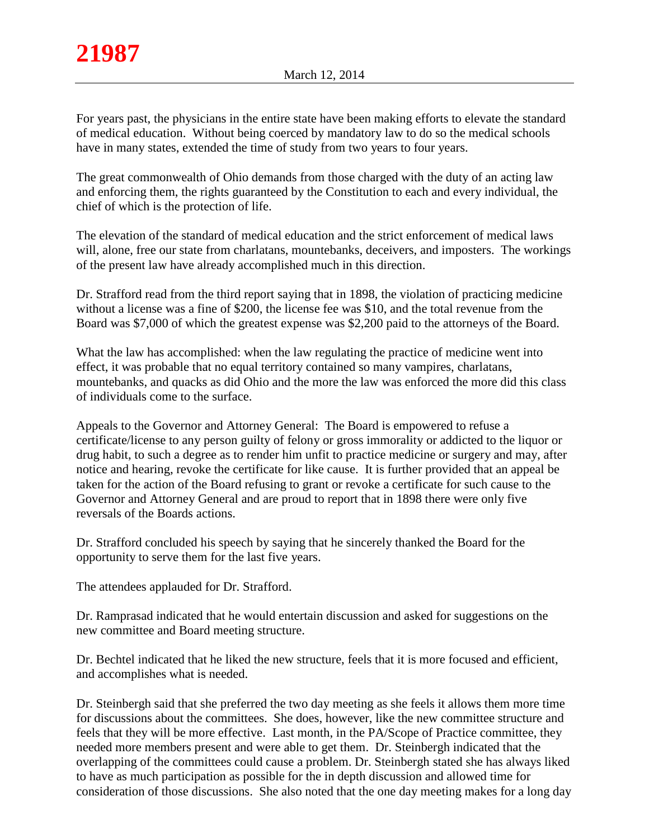For years past, the physicians in the entire state have been making efforts to elevate the standard of medical education. Without being coerced by mandatory law to do so the medical schools have in many states, extended the time of study from two years to four years.

The great commonwealth of Ohio demands from those charged with the duty of an acting law and enforcing them, the rights guaranteed by the Constitution to each and every individual, the chief of which is the protection of life.

The elevation of the standard of medical education and the strict enforcement of medical laws will, alone, free our state from charlatans, mountebanks, deceivers, and imposters. The workings of the present law have already accomplished much in this direction.

Dr. Strafford read from the third report saying that in 1898, the violation of practicing medicine without a license was a fine of \$200, the license fee was \$10, and the total revenue from the Board was \$7,000 of which the greatest expense was \$2,200 paid to the attorneys of the Board.

What the law has accomplished: when the law regulating the practice of medicine went into effect, it was probable that no equal territory contained so many vampires, charlatans, mountebanks, and quacks as did Ohio and the more the law was enforced the more did this class of individuals come to the surface.

Appeals to the Governor and Attorney General: The Board is empowered to refuse a certificate/license to any person guilty of felony or gross immorality or addicted to the liquor or drug habit, to such a degree as to render him unfit to practice medicine or surgery and may, after notice and hearing, revoke the certificate for like cause. It is further provided that an appeal be taken for the action of the Board refusing to grant or revoke a certificate for such cause to the Governor and Attorney General and are proud to report that in 1898 there were only five reversals of the Boards actions.

Dr. Strafford concluded his speech by saying that he sincerely thanked the Board for the opportunity to serve them for the last five years.

The attendees applauded for Dr. Strafford.

Dr. Ramprasad indicated that he would entertain discussion and asked for suggestions on the new committee and Board meeting structure.

Dr. Bechtel indicated that he liked the new structure, feels that it is more focused and efficient, and accomplishes what is needed.

Dr. Steinbergh said that she preferred the two day meeting as she feels it allows them more time for discussions about the committees. She does, however, like the new committee structure and feels that they will be more effective. Last month, in the PA/Scope of Practice committee, they needed more members present and were able to get them. Dr. Steinbergh indicated that the overlapping of the committees could cause a problem. Dr. Steinbergh stated she has always liked to have as much participation as possible for the in depth discussion and allowed time for consideration of those discussions. She also noted that the one day meeting makes for a long day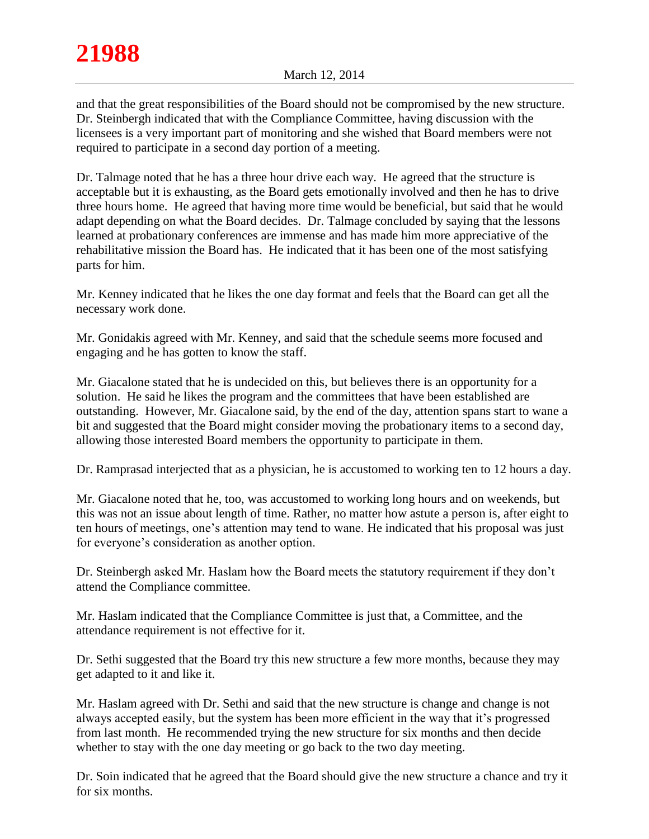and that the great responsibilities of the Board should not be compromised by the new structure. Dr. Steinbergh indicated that with the Compliance Committee, having discussion with the licensees is a very important part of monitoring and she wished that Board members were not required to participate in a second day portion of a meeting.

Dr. Talmage noted that he has a three hour drive each way. He agreed that the structure is acceptable but it is exhausting, as the Board gets emotionally involved and then he has to drive three hours home. He agreed that having more time would be beneficial, but said that he would adapt depending on what the Board decides. Dr. Talmage concluded by saying that the lessons learned at probationary conferences are immense and has made him more appreciative of the rehabilitative mission the Board has. He indicated that it has been one of the most satisfying parts for him.

Mr. Kenney indicated that he likes the one day format and feels that the Board can get all the necessary work done.

Mr. Gonidakis agreed with Mr. Kenney, and said that the schedule seems more focused and engaging and he has gotten to know the staff.

Mr. Giacalone stated that he is undecided on this, but believes there is an opportunity for a solution. He said he likes the program and the committees that have been established are outstanding. However, Mr. Giacalone said, by the end of the day, attention spans start to wane a bit and suggested that the Board might consider moving the probationary items to a second day, allowing those interested Board members the opportunity to participate in them.

Dr. Ramprasad interjected that as a physician, he is accustomed to working ten to 12 hours a day.

Mr. Giacalone noted that he, too, was accustomed to working long hours and on weekends, but this was not an issue about length of time. Rather, no matter how astute a person is, after eight to ten hours of meetings, one's attention may tend to wane. He indicated that his proposal was just for everyone's consideration as another option.

Dr. Steinbergh asked Mr. Haslam how the Board meets the statutory requirement if they don't attend the Compliance committee.

Mr. Haslam indicated that the Compliance Committee is just that, a Committee, and the attendance requirement is not effective for it.

Dr. Sethi suggested that the Board try this new structure a few more months, because they may get adapted to it and like it.

Mr. Haslam agreed with Dr. Sethi and said that the new structure is change and change is not always accepted easily, but the system has been more efficient in the way that it's progressed from last month. He recommended trying the new structure for six months and then decide whether to stay with the one day meeting or go back to the two day meeting.

Dr. Soin indicated that he agreed that the Board should give the new structure a chance and try it for six months.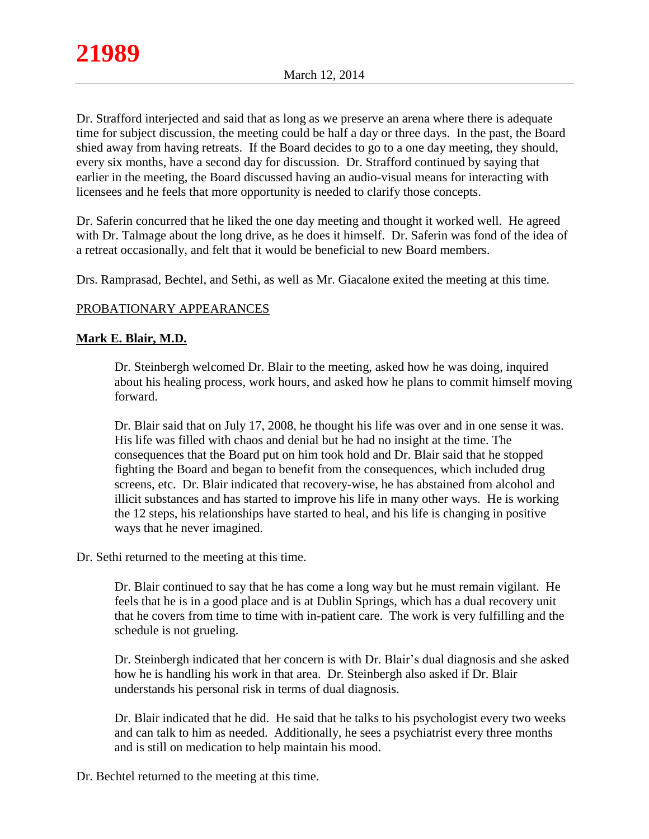Dr. Strafford interjected and said that as long as we preserve an arena where there is adequate time for subject discussion, the meeting could be half a day or three days. In the past, the Board shied away from having retreats. If the Board decides to go to a one day meeting, they should, every six months, have a second day for discussion. Dr. Strafford continued by saying that earlier in the meeting, the Board discussed having an audio-visual means for interacting with licensees and he feels that more opportunity is needed to clarify those concepts.

Dr. Saferin concurred that he liked the one day meeting and thought it worked well. He agreed with Dr. Talmage about the long drive, as he does it himself. Dr. Saferin was fond of the idea of a retreat occasionally, and felt that it would be beneficial to new Board members.

Drs. Ramprasad, Bechtel, and Sethi, as well as Mr. Giacalone exited the meeting at this time.

# PROBATIONARY APPEARANCES

## **Mark E. Blair, M.D.**

Dr. Steinbergh welcomed Dr. Blair to the meeting, asked how he was doing, inquired about his healing process, work hours, and asked how he plans to commit himself moving forward.

Dr. Blair said that on July 17, 2008, he thought his life was over and in one sense it was. His life was filled with chaos and denial but he had no insight at the time. The consequences that the Board put on him took hold and Dr. Blair said that he stopped fighting the Board and began to benefit from the consequences, which included drug screens, etc. Dr. Blair indicated that recovery-wise, he has abstained from alcohol and illicit substances and has started to improve his life in many other ways. He is working the 12 steps, his relationships have started to heal, and his life is changing in positive ways that he never imagined.

Dr. Sethi returned to the meeting at this time.

Dr. Blair continued to say that he has come a long way but he must remain vigilant. He feels that he is in a good place and is at Dublin Springs, which has a dual recovery unit that he covers from time to time with in-patient care. The work is very fulfilling and the schedule is not grueling.

Dr. Steinbergh indicated that her concern is with Dr. Blair's dual diagnosis and she asked how he is handling his work in that area. Dr. Steinbergh also asked if Dr. Blair understands his personal risk in terms of dual diagnosis.

Dr. Blair indicated that he did. He said that he talks to his psychologist every two weeks and can talk to him as needed. Additionally, he sees a psychiatrist every three months and is still on medication to help maintain his mood.

Dr. Bechtel returned to the meeting at this time.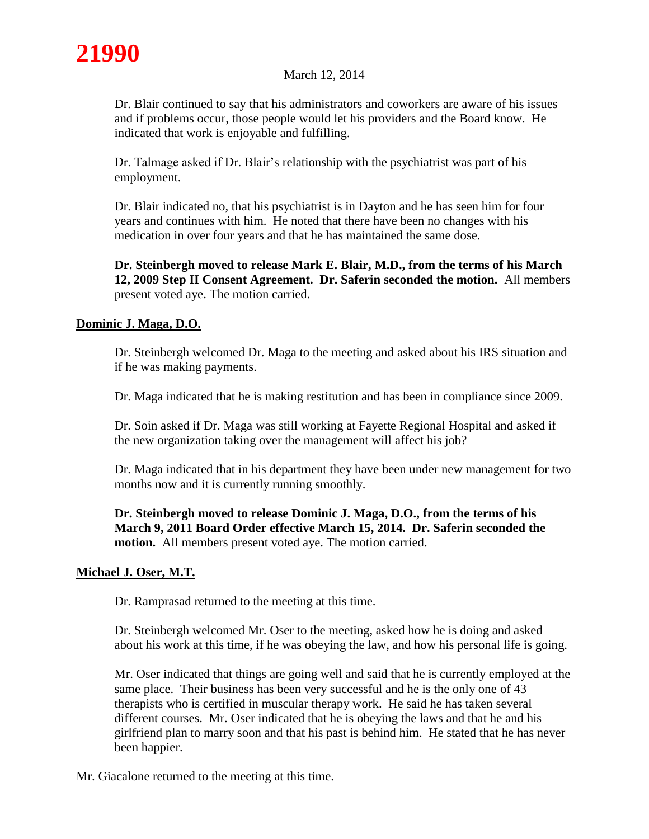

Dr. Blair continued to say that his administrators and coworkers are aware of his issues and if problems occur, those people would let his providers and the Board know. He indicated that work is enjoyable and fulfilling.

Dr. Talmage asked if Dr. Blair's relationship with the psychiatrist was part of his employment.

Dr. Blair indicated no, that his psychiatrist is in Dayton and he has seen him for four years and continues with him. He noted that there have been no changes with his medication in over four years and that he has maintained the same dose.

**Dr. Steinbergh moved to release Mark E. Blair, M.D., from the terms of his March 12, 2009 Step II Consent Agreement. Dr. Saferin seconded the motion.** All members present voted aye. The motion carried.

# **Dominic J. Maga, D.O.**

Dr. Steinbergh welcomed Dr. Maga to the meeting and asked about his IRS situation and if he was making payments.

Dr. Maga indicated that he is making restitution and has been in compliance since 2009.

Dr. Soin asked if Dr. Maga was still working at Fayette Regional Hospital and asked if the new organization taking over the management will affect his job?

Dr. Maga indicated that in his department they have been under new management for two months now and it is currently running smoothly.

**Dr. Steinbergh moved to release Dominic J. Maga, D.O., from the terms of his March 9, 2011 Board Order effective March 15, 2014. Dr. Saferin seconded the motion.** All members present voted aye. The motion carried.

## **Michael J. Oser, M.T.**

Dr. Ramprasad returned to the meeting at this time.

Dr. Steinbergh welcomed Mr. Oser to the meeting, asked how he is doing and asked about his work at this time, if he was obeying the law, and how his personal life is going.

Mr. Oser indicated that things are going well and said that he is currently employed at the same place. Their business has been very successful and he is the only one of 43 therapists who is certified in muscular therapy work. He said he has taken several different courses. Mr. Oser indicated that he is obeying the laws and that he and his girlfriend plan to marry soon and that his past is behind him. He stated that he has never been happier.

Mr. Giacalone returned to the meeting at this time.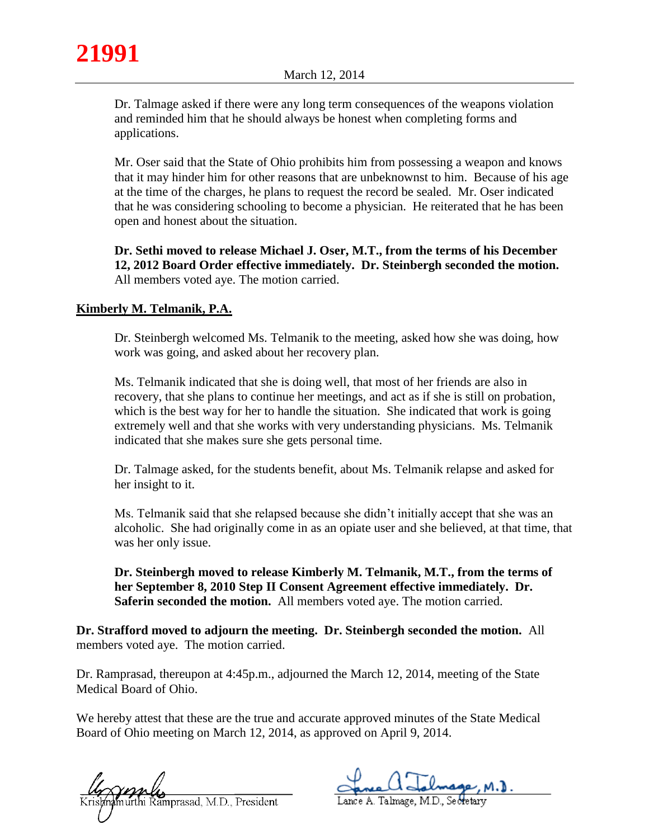

Dr. Talmage asked if there were any long term consequences of the weapons violation and reminded him that he should always be honest when completing forms and applications.

Mr. Oser said that the State of Ohio prohibits him from possessing a weapon and knows that it may hinder him for other reasons that are unbeknownst to him. Because of his age at the time of the charges, he plans to request the record be sealed. Mr. Oser indicated that he was considering schooling to become a physician. He reiterated that he has been open and honest about the situation.

**Dr. Sethi moved to release Michael J. Oser, M.T., from the terms of his December 12, 2012 Board Order effective immediately. Dr. Steinbergh seconded the motion.**  All members voted aye. The motion carried.

# **Kimberly M. Telmanik, P.A.**

Dr. Steinbergh welcomed Ms. Telmanik to the meeting, asked how she was doing, how work was going, and asked about her recovery plan.

Ms. Telmanik indicated that she is doing well, that most of her friends are also in recovery, that she plans to continue her meetings, and act as if she is still on probation, which is the best way for her to handle the situation. She indicated that work is going extremely well and that she works with very understanding physicians. Ms. Telmanik indicated that she makes sure she gets personal time.

Dr. Talmage asked, for the students benefit, about Ms. Telmanik relapse and asked for her insight to it.

Ms. Telmanik said that she relapsed because she didn't initially accept that she was an alcoholic. She had originally come in as an opiate user and she believed, at that time, that was her only issue.

**Dr. Steinbergh moved to release Kimberly M. Telmanik, M.T., from the terms of her September 8, 2010 Step II Consent Agreement effective immediately. Dr. Saferin seconded the motion.** All members voted aye. The motion carried.

**Dr. Strafford moved to adjourn the meeting. Dr. Steinbergh seconded the motion.** All members voted aye. The motion carried.

Dr. Ramprasad, thereupon at 4:45p.m., adjourned the March 12, 2014, meeting of the State Medical Board of Ohio.

We hereby attest that these are the true and accurate approved minutes of the State Medical Board of Ohio meeting on March 12, 2014, as approved on April 9, 2014.

murthi Ramprasad, M.D., President

Lance A. Talmage, M.D., Secretary